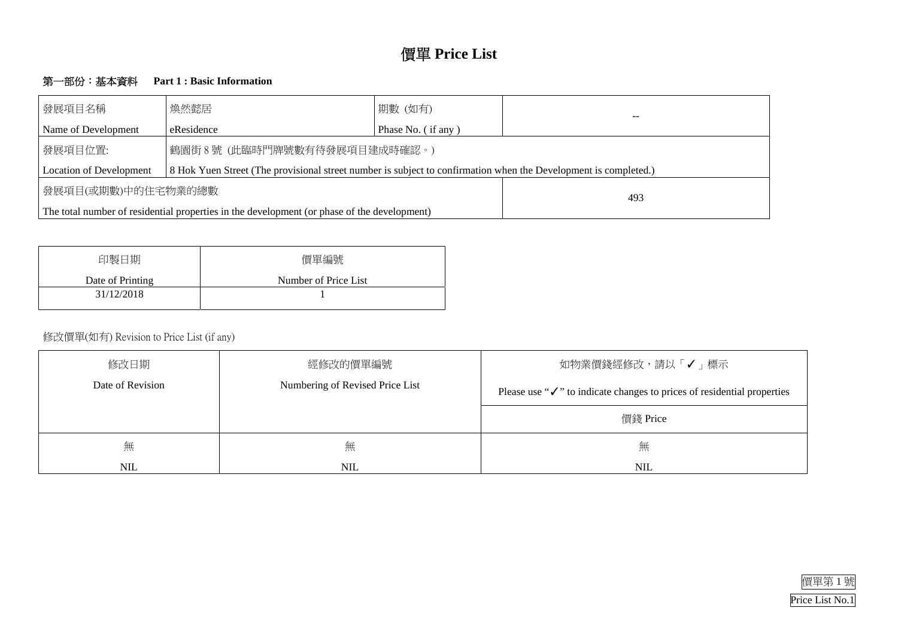

# 價單 **Price List**

## 第一部份:基本資料 **Part 1 : Basic Information**

| 發展項目名稱                         | 煥然懿居                                                                                                            | 期數 (如有)            |  |
|--------------------------------|-----------------------------------------------------------------------------------------------------------------|--------------------|--|
| Name of Development            | eResidence                                                                                                      | Phase No. (if any) |  |
| 發展項目位置:                        | 鶴園街8號 (此臨時門牌號數有待發展項目建成時確認。)                                                                                     |                    |  |
| <b>Location of Development</b> | 8 Hok Yuen Street (The provisional street number is subject to confirmation when the Development is completed.) |                    |  |
| 發展項目(或期數)中的住宅物業的總數             |                                                                                                                 | 493                |  |
|                                | The total number of residential properties in the development (or phase of the development)                     |                    |  |

| 印製日期             | 價單編號                 |
|------------------|----------------------|
| Date of Printing | Number of Price List |
| 31/12/2018       |                      |
|                  |                      |

## 修改價單(如有) Revision to Price List (if any)

| 修改日期             | 經修改的價單編號                        | 如物業價錢經修改,請以                                             |
|------------------|---------------------------------|---------------------------------------------------------|
| Date of Revision | Numbering of Revised Price List | Please use " $\checkmark$ " to indicate changes to pric |
|                  |                                 | 價錢 Price                                                |
| 無                | 無                               | 無                                                       |
| <b>NIL</b>       | <b>NIL</b>                      | <b>NIL</b>                                              |



# 「√」標示

ces of residential properties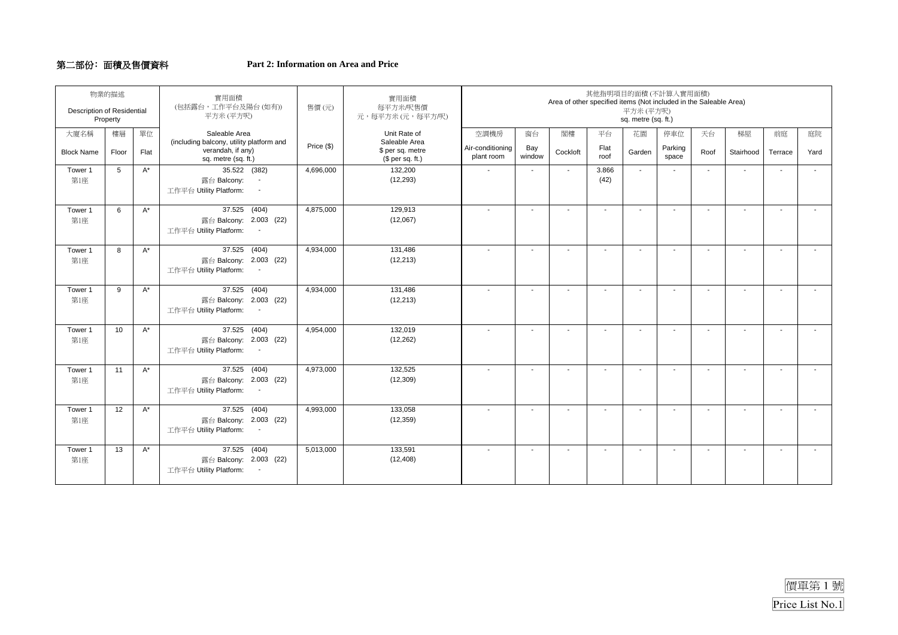#### 第二部份﹕面積及售價資料 **Part 2: Information on Area and Price**

| <b>Description of Residential</b> | 物業的描述<br>Property |       | 實用面積<br>(包括露台,工作平台及陽台(如有))<br>平方米(平方呎)                                                                        | 售價(元)      | 實用面積<br>每平方米/呎售價<br>元,每平方米 (元,每平方/呎)                  |                                |               | Area of other specified items (Not included in the Saleable Area) |               | 平方米(平方呎)<br>sq. metre (sq. ft.) | 其他指明項目的面積(不計算入實用面積)      |                          |                          |                          |      |
|-----------------------------------|-------------------|-------|---------------------------------------------------------------------------------------------------------------|------------|-------------------------------------------------------|--------------------------------|---------------|-------------------------------------------------------------------|---------------|---------------------------------|--------------------------|--------------------------|--------------------------|--------------------------|------|
| 大廈名稱                              | 樓層                | 單位    | Saleable Area                                                                                                 |            | Unit Rate of                                          | 空調機房                           | 窗台            | 閣樓                                                                | 平台            | 花園                              | 停車位                      | 天台                       | 梯屋                       | 前庭                       | 庭院   |
| <b>Block Name</b>                 | Floor             | Flat  | (including balcony, utility platform and<br>verandah, if any)<br>sq. metre (sq. ft.)                          | Price (\$) | Saleable Area<br>\$ per sq. metre<br>(\$ per sq. ft.) | Air-conditioning<br>plant room | Bay<br>window | Cockloft                                                          | Flat<br>roof  | Garden                          | Parking<br>space         | Roof                     | Stairhood                | Terrace                  | Yard |
| Tower 1<br>第1座                    | 5                 | $A^*$ | 35.522 (382)<br>露台 Balcony:<br>$\overline{\phantom{a}}$<br>工作平台 Utility Platform:<br>$\overline{\phantom{a}}$ | 4,696,000  | 132,200<br>(12, 293)                                  | $\mathbf{r}$                   | $\sim$        | $\mathbf{r}$                                                      | 3.866<br>(42) | $\overline{\phantom{a}}$        |                          | $\overline{a}$           | $\sim$                   |                          |      |
| Tower 1<br>第1座                    | 6                 | $A^*$ | 37.525 (404)<br>露台 Balcony: 2.003 (22)<br>工作平台 Utility Platform:                                              | 4,875,000  | 129,913<br>(12,067)                                   | $\blacksquare$                 | $\sim$        | $\blacksquare$                                                    | $\sim$        | $\mathbf{r}$                    | $\overline{a}$           | $\blacksquare$           | $\sim$                   | $\mathbf{r}$             |      |
| Tower 1<br>第1座                    | 8                 | $A^*$ | 37.525 (404)<br>露台 Balcony: 2.003 (22)<br>工作平台 Utility Platform:                                              | 4,934,000  | 131,486<br>(12, 213)                                  | $\sim$                         | $\sim$        | $\overline{\phantom{a}}$                                          |               | $\sim$                          |                          | $\overline{\phantom{a}}$ | $\sim$                   | $\mathbf{r}$             |      |
| Tower 1<br>第1座                    | 9                 | $A^*$ | 37.525 (404)<br>露台 Balcony: 2.003 (22)<br>工作平台 Utility Platform:                                              | 4,934,000  | 131,486<br>(12, 213)                                  | $\overline{a}$                 | $\sim$        | $\overline{a}$                                                    |               | $\sim$                          | $\overline{a}$           | $\blacksquare$           | $\sim$                   | $\sim$                   |      |
| Tower 1<br>第1座                    | 10                | $A^*$ | 37.525 (404)<br>露台 Balcony: 2.003 (22)<br>工作平台 Utility Platform:<br>$\sim$ $-$                                | 4,954,000  | 132,019<br>(12, 262)                                  |                                | $\sim$        |                                                                   |               | $\overline{a}$                  |                          |                          | $\overline{\phantom{a}}$ |                          |      |
| Tower 1<br>第1座                    | 11                | $A^*$ | 37.525 (404)<br>露台 Balcony: 2.003 (22)<br>工作平台 Utility Platform:                                              | 4,973,000  | 132,525<br>(12, 309)                                  | $\sim$                         | $\sim$        | $\overline{\phantom{a}}$                                          |               | $\sim$                          | $\overline{\phantom{a}}$ | $\overline{\phantom{a}}$ | $\overline{\phantom{a}}$ | $\sim$                   |      |
| Tower 1<br>第1座                    | 12                | $A^*$ | 37.525 (404)<br>露台 Balcony: 2.003 (22)<br>工作平台 Utility Platform:<br>$\sim$                                    | 4,993,000  | 133,058<br>(12, 359)                                  | $\blacksquare$                 | $\sim$        | $\blacksquare$                                                    |               | $\blacksquare$                  |                          | $\overline{\phantom{a}}$ | $\sim$                   | $\sim$                   |      |
| Tower 1<br>第1座                    | 13                | $A^*$ | 37.525 (404)<br>露台 Balcony: 2.003 (22)<br>工作平台 Utility Platform:                                              | 5,013,000  | 133,591<br>(12, 408)                                  | $\overline{\phantom{a}}$       | $\sim$        | $\overline{\phantom{a}}$                                          | $\sim$        | $\overline{\phantom{a}}$        | $\blacksquare$           | $\sim$                   | $\overline{\phantom{a}}$ | $\overline{\phantom{a}}$ |      |

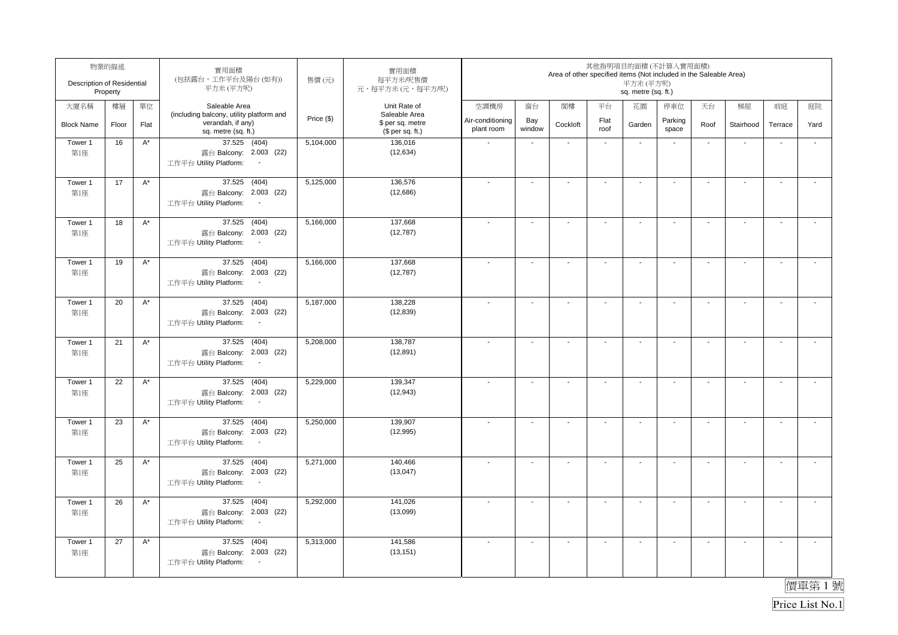| Description of Residential | 物業的描述<br>Property |                    | 實用面積<br>(包括露台,工作平台及陽台(如有))<br>平方米 (平方呎)                                               | 售價(元)      | 實用面積<br>每平方米/呎售價<br>元,每平方米(元,每平方/呎)                   |                                |                          | Area of other specified items (Not included in the Saleable Area) |                          | 其他指明項目的面積(不計算入實用面積)<br>平方米 (平方呎)<br>sq. metre (sq. ft.) |                          |                          |                          |                          |                          |
|----------------------------|-------------------|--------------------|---------------------------------------------------------------------------------------|------------|-------------------------------------------------------|--------------------------------|--------------------------|-------------------------------------------------------------------|--------------------------|---------------------------------------------------------|--------------------------|--------------------------|--------------------------|--------------------------|--------------------------|
| 大廈名稱                       | 樓層                | 單位                 | Saleable Area                                                                         |            | Unit Rate of                                          | 空調機房                           | 窗台                       | 閣樓                                                                | 平台                       | 花園                                                      | 停車位                      | 天台                       | 梯屋                       | 前庭                       | 庭院                       |
| <b>Block Name</b>          | Floor             | Flat               | (including balcony, utility platform and<br>verandah, if any)<br>sq. metre (sq. ft.)  | Price (\$) | Saleable Area<br>\$ per sq. metre<br>$$$ per sq. ft.) | Air-conditioning<br>plant room | Bay<br>window            | Cockloft                                                          | Flat<br>roof             | Garden                                                  | Parking<br>space         | Roof                     | Stairhood                | Terrace                  | Yard                     |
| Tower 1<br>第1座             | 16                | $A^*$              | 37.525 (404)<br>露台 Balcony: 2.003 (22)<br>工作平台 Utility Platform:<br>$\sim$            | 5,104,000  | 136,016<br>(12, 634)                                  |                                | $\blacksquare$           | $\blacksquare$                                                    | $\blacksquare$           | $\blacksquare$                                          | $\overline{\phantom{a}}$ | $\blacksquare$           | ÷,                       | $\overline{\phantom{a}}$ | ÷,                       |
| Tower 1<br>第1座             | 17                | $A^*$              | 37.525<br>(404)<br>露台 Balcony: 2.003 (22)<br>工作平台 Utility Platform:<br>$\sim$         | 5,125,000  | 136,576<br>(12,686)                                   |                                | $\blacksquare$           | $\blacksquare$                                                    | $\overline{\phantom{a}}$ | $\blacksquare$                                          | $\overline{\phantom{a}}$ | $\blacksquare$           | $\mathbf{r}$             | $\overline{\phantom{a}}$ | $\overline{a}$           |
| Tower 1<br>第1座             | 18                | $A^*$              | 37.525<br>(404)<br>露台 Balcony: 2.003 (22)<br>工作平台 Utility Platform:                   | 5,166,000  | 137,668<br>(12, 787)                                  |                                | $\blacksquare$           | $\overline{\phantom{a}}$                                          | $\blacksquare$           | $\blacksquare$                                          | $\overline{\phantom{a}}$ | $\blacksquare$           | $\sim$                   | $\overline{\phantom{a}}$ | $\tilde{\phantom{a}}$    |
| Tower 1<br>第1座             | 19                | $\mathsf{A}^\star$ | 37.525 (404)<br>露台 Balcony: 2.003 (22)<br>工作平台 Utility Platform:<br>$\sim$            | 5,166,000  | 137,668<br>(12, 787)                                  |                                | $\blacksquare$           | $\blacksquare$                                                    | $\overline{\phantom{a}}$ | $\overline{\phantom{a}}$                                | $\blacksquare$           | $\overline{\phantom{a}}$ | $\blacksquare$           | $\sim$                   | $\overline{\phantom{a}}$ |
| Tower 1<br>第1座             | 20                | $A^*$              | 37.525 (404)<br>露台 Balcony: 2.003 (22)<br>工作平台 Utility Platform:<br>$\sim$            | 5,187,000  | 138,228<br>(12, 839)                                  |                                | $\blacksquare$           | $\blacksquare$                                                    | $\blacksquare$           | $\blacksquare$                                          | $\blacksquare$           | $\blacksquare$           | $\mathbf{r}$             | $\blacksquare$           | $\mathbf{r}$             |
| Tower 1<br>第1座             | 21                | $\mathsf{A}^\star$ | 37.525 (404)<br>露台 Balcony: 2.003 (22)<br>工作平台 Utility Platform:<br>$\sim$            | 5,208,000  | 138,787<br>(12, 891)                                  |                                | $\mathbf{r}$             | $\blacksquare$                                                    | $\mathbf{r}$             | $\sim$                                                  | $\sim$                   | $\sim$                   | $\mathbf{r}$             | $\sim$                   | $\mathbf{r}$             |
| Tower 1<br>第1座             | 22                | $\mathsf{A}^\star$ | 37.525 (404)<br>露台 Balcony: 2.003 (22)<br>工作平台 Utility Platform:<br>$\sim$            | 5,229,000  | 139,347<br>(12, 943)                                  | $\overline{\phantom{a}}$       | $\ddot{\phantom{a}}$     | $\blacksquare$                                                    | $\mathbf{r}$             | $\sim$                                                  | $\sim$                   | $\sim$                   | $\sim$                   | $\sim$                   | $\mathbf{r}$             |
| Tower 1<br>第1座             | 23                | $A^*$              | 37.525 (404)<br>露台 Balcony: 2.003 (22)<br>工作平台 Utility Platform:<br>$\sim$            | 5,250,000  | 139,907<br>(12, 995)                                  |                                | $\overline{\phantom{a}}$ | $\overline{\phantom{a}}$                                          | $\blacksquare$           | $\overline{\phantom{a}}$                                | $\overline{\phantom{a}}$ | $\overline{\phantom{a}}$ | $\overline{\phantom{a}}$ | $\blacksquare$           | $\tilde{\phantom{a}}$    |
| Tower 1<br>第1座             | 25                | $A^*$              | 37.525 (404)<br>露台 Balcony: 2.003 (22)<br>工作平台 Utility Platform:<br>$\sim$            | 5,271,000  | 140,466<br>(13,047)                                   |                                | $\blacksquare$           | $\blacksquare$                                                    | $\blacksquare$           | $\blacksquare$                                          | $\overline{\phantom{a}}$ | $\blacksquare$           | $\mathbf{r}$             | $\overline{\phantom{a}}$ | $\tilde{\phantom{a}}$    |
| Tower 1<br>第1座             | 26                | $A^*$              | (404)<br>37.525<br>露台 Balcony: 2.003 (22)<br>工作平台 Utility Platform:<br>$\blacksquare$ | 5,292,000  | 141,026<br>(13,099)                                   |                                | ä,                       | $\sim$                                                            | $\mathbf{r}$             | $\sim$                                                  | $\mathbf{r}$             | $\sim$                   | $\sim$                   | L.                       | $\tilde{\phantom{a}}$    |
| Tower 1<br>第1座             | 27                | $A^*$              | 37.525 (404)<br>露台 Balcony: 2.003 (22)<br>工作平台 Utility Platform:<br>$\sim$            | 5,313,000  | 141,586<br>(13, 151)                                  |                                | $\blacksquare$           | $\overline{a}$                                                    | $\overline{\phantom{a}}$ | $\blacksquare$                                          | $\overline{\phantom{a}}$ | $\blacksquare$           | $\blacksquare$           | $\blacksquare$           | $\overline{\phantom{a}}$ |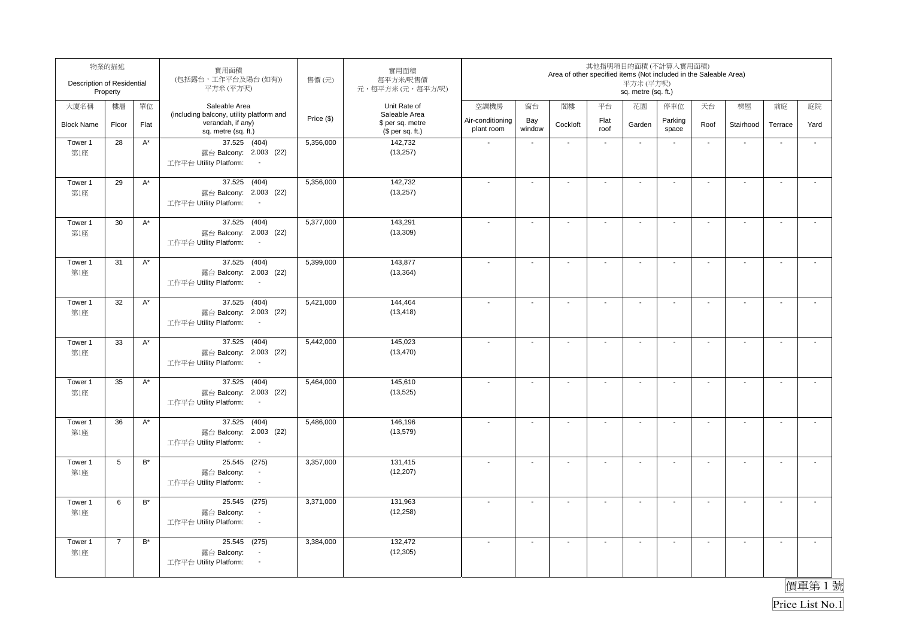| Description of Residential | 物業的描述<br>Property |                      | 實用面積<br>(包括露台,工作平台及陽台(如有))<br>平方米(平方呎)                                                          | 售價(元)      | 實用面積<br>每平方米/呎售價<br>元,每平方米(元,每平方/呎)                   |                                |                          | Area of other specified items (Not included in the Saleable Area) |                             | 其他指明項目的面積(不計算入實用面積)<br>平方米(平方呎)<br>sq. metre (sq. ft.) |                          |                          |                          |                          |                          |
|----------------------------|-------------------|----------------------|-------------------------------------------------------------------------------------------------|------------|-------------------------------------------------------|--------------------------------|--------------------------|-------------------------------------------------------------------|-----------------------------|--------------------------------------------------------|--------------------------|--------------------------|--------------------------|--------------------------|--------------------------|
| 大廈名稱                       | 樓層                | 單位                   | Saleable Area                                                                                   |            | Unit Rate of                                          | 空調機房                           | 窗台                       | 閣樓                                                                | 平台                          | 花園                                                     | 停車位                      | 天台                       | 梯屋                       | 前庭                       | 庭院                       |
| <b>Block Name</b>          | Floor             | Flat                 | (including balcony, utility platform and<br>verandah, if any)<br>sq. metre (sq. ft.)            | Price (\$) | Saleable Area<br>\$ per sq. metre<br>$$$ per sq. ft.) | Air-conditioning<br>plant room | Bay<br>window            | Cockloft                                                          | Flat<br>roof                | Garden                                                 | Parking<br>space         | Roof                     | Stairhood                | Terrace                  | Yard                     |
| Tower 1<br>第1座             | 28                | $A^*$                | 37.525 (404)<br>露台 Balcony: 2.003 (22)<br>工作平台 Utility Platform:<br>$\overline{\phantom{a}}$    | 5,356,000  | 142,732<br>(13, 257)                                  |                                | $\mathbf{r}$             | $\sim$                                                            | $\mathcal{L}_{\mathcal{A}}$ | $\sim$                                                 | $\blacksquare$           | $\sim$                   | $\overline{\phantom{a}}$ | L.                       | $\mathbf{r}$             |
| Tower 1<br>第1座             | 29                | $A^*$                | 37.525<br>(404)<br>露台 Balcony: 2.003 (22)<br>工作平台 Utility Platform:<br>$\sim$                   | 5,356,000  | 142,732<br>(13, 257)                                  | $\overline{\phantom{a}}$       | ä,                       | $\blacksquare$                                                    | $\mathbf{r}$                | $\blacksquare$                                         | $\sim$                   | $\blacksquare$           | $\mathbf{r}$             | L.                       | $\tilde{\phantom{a}}$    |
| Tower 1<br>第1座             | 30                | $A^*$                | 37.525<br>(404)<br>露台 Balcony: 2.003 (22)<br>工作平台 Utility Platform:<br>$\overline{\phantom{a}}$ | 5,377,000  | 143,291<br>(13, 309)                                  |                                | $\sim$                   | $\sim$                                                            | $\mathbf{r}$                | $\sim$                                                 | $\sim$                   | $\sim$                   | $\sim$                   | $\sim$                   | $\overline{\phantom{a}}$ |
| Tower 1<br>第1座             | 31                | $A^*$                | 37.525 (404)<br>露台 Balcony: 2.003 (22)<br>工作平台 Utility Platform:<br>$\sim$                      | 5,399,000  | 143,877<br>(13, 364)                                  |                                | $\overline{a}$           | $\overline{a}$                                                    | $\blacksquare$              | $\blacksquare$                                         | $\overline{\phantom{a}}$ | $\blacksquare$           | $\blacksquare$           | $\overline{\phantom{a}}$ | $\mathbf{r}$             |
| Tower 1<br>第1座             | 32                | $A^*$                | 37.525 (404)<br>露台 Balcony: 2.003 (22)<br>工作平台 Utility Platform:                                | 5,421,000  | 144,464<br>(13, 418)                                  |                                | $\blacksquare$           | $\overline{\phantom{a}}$                                          | $\overline{\phantom{a}}$    | $\overline{\phantom{a}}$                               | $\overline{\phantom{a}}$ | $\overline{\phantom{a}}$ | $\blacksquare$           | $\overline{\phantom{a}}$ | $\sim$                   |
| Tower 1<br>第1座             | 33                | $\mathsf{A}^\star$   | 37.525 (404)<br>露台 Balcony: 2.003 (22)<br>工作平台 Utility Platform:<br>$\sim$                      | 5,442,000  | 145,023<br>(13, 470)                                  |                                | $\overline{\phantom{a}}$ | $\overline{\phantom{a}}$                                          | $\mathbf{r}$                | $\sim$                                                 | $\blacksquare$           | $\overline{\phantom{a}}$ | $\sim$                   | $\mathbf{r}$             | $\sim$                   |
| Tower 1<br>第1座             | 35                | $\mathsf{A}^\star$   | 37.525 (404)<br>露台 Balcony: 2.003 (22)<br>工作平台 Utility Platform:<br>$\sim$                      | 5,464,000  | 145,610<br>(13, 525)                                  |                                | $\blacksquare$           | $\blacksquare$                                                    | $\blacksquare$              | $\blacksquare$                                         | $\blacksquare$           | $\blacksquare$           | $\sim$                   | $\blacksquare$           | $\mathbf{r}$             |
| Tower 1<br>第1座             | 36                | $A^*$                | 37.525 (404)<br>露台 Balcony: 2.003 (22)<br>工作平台 Utility Platform:<br>$\sim$                      | 5,486,000  | 146,196<br>(13, 579)                                  |                                | $\blacksquare$           | $\blacksquare$                                                    | $\blacksquare$              | $\blacksquare$                                         | $\overline{\phantom{a}}$ | $\blacksquare$           | $\sim$                   | $\mathbf{r}$             | $\mathbf{r}$             |
| Tower 1<br>第1座             | 5                 | $\mathsf{B}^{\star}$ | 25.545 (275)<br>露台 Balcony:<br>$\overline{\phantom{a}}$<br>工作平台 Utility Platform:<br>$\sim$     | 3,357,000  | 131,415<br>(12, 207)                                  |                                | $\sim$                   | $\blacksquare$                                                    | $\sim$                      | $\sim$                                                 | $\overline{a}$           | $\overline{\phantom{a}}$ | $\sim$                   | $\blacksquare$           | $\sim$                   |
| Tower 1<br>第1座             | 6                 | $B^*$                | 25.545 (275)<br>露台 Balcony:<br>工作平台 Utility Platform:<br>$\sim$                                 | 3,371,000  | 131,963<br>(12, 258)                                  |                                | $\blacksquare$           | $\overline{\phantom{a}}$                                          | $\sim$                      | $\overline{\phantom{a}}$                               | $\blacksquare$           | $\overline{\phantom{a}}$ | $\sim$                   | $\mathbf{r}$             | $\tilde{\phantom{a}}$    |
| Tower 1<br>第1座             | $\overline{7}$    | $B^*$                | 25.545 (275)<br>露台 Balcony:<br>工作平台 Utility Platform:<br>$\sim$                                 | 3,384,000  | 132,472<br>(12, 305)                                  |                                | $\overline{\phantom{a}}$ | $\blacksquare$                                                    | $\sim$                      | $\sim$                                                 | $\sim$                   | $\sim$                   | $\sim$                   | $\mathbf{r}$             | $\mathbf{L}$             |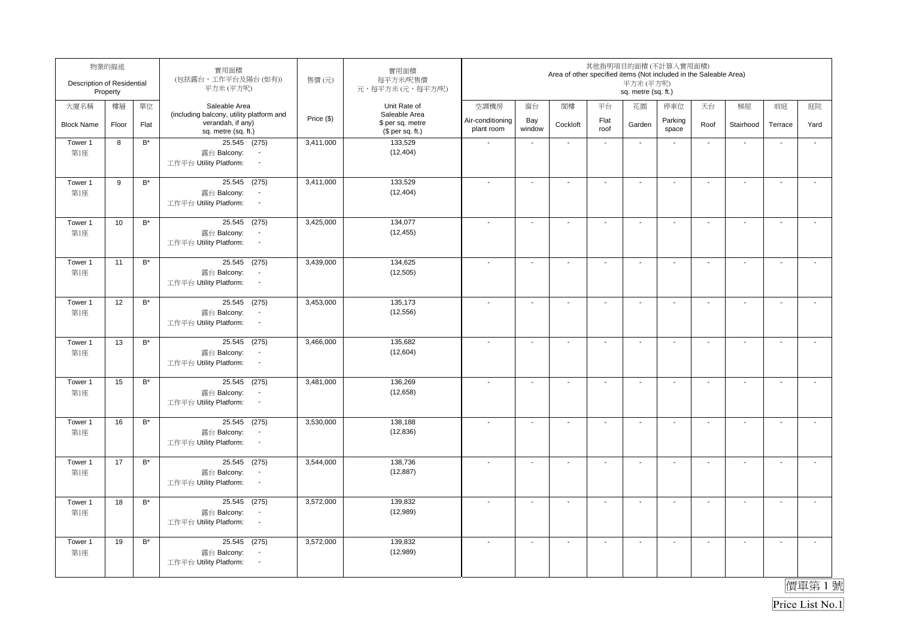| Description of Residential | 物業的描述<br>Property |                    | 實用面積<br>(包括露台,工作平台及陽台(如有))<br>平方米(平方呎)                                                                             | 售價(元)      | 實用面積<br>每平方米/呎售價<br>元,每平方米(元,每平方/呎)                   |                                |                          | Area of other specified items (Not included in the Saleable Area) |                          | 其他指明項目的面積(不計算入實用面積)<br>平方米(平方呎)<br>sq. metre (sq. ft.) |                          |                          |                          |                          |                       |
|----------------------------|-------------------|--------------------|--------------------------------------------------------------------------------------------------------------------|------------|-------------------------------------------------------|--------------------------------|--------------------------|-------------------------------------------------------------------|--------------------------|--------------------------------------------------------|--------------------------|--------------------------|--------------------------|--------------------------|-----------------------|
| 大廈名稱                       | 樓層                | 單位                 | Saleable Area                                                                                                      |            | Unit Rate of                                          | 空調機房                           | 窗台                       | 閣樓                                                                | 平台                       | 花園                                                     | 停車位                      | 天台                       | 梯屋                       | 前庭                       | 庭院                    |
| <b>Block Name</b>          | Floor             | Flat               | (including balcony, utility platform and<br>verandah, if any)<br>sq. metre (sq. ft.)                               | Price (\$) | Saleable Area<br>\$ per sq. metre<br>(\$ per sq. ft.) | Air-conditioning<br>plant room | Bay<br>window            | Cockloft                                                          | Flat<br>roof             | Garden                                                 | Parking<br>space         | Roof                     | Stairhood                | Terrace                  | Yard                  |
| Tower 1<br>第1座             | 8                 | $B^*$              | 25.545 (275)<br>露台 Balcony:<br>工作平台 Utility Platform:<br>$\blacksquare$                                            | 3,411,000  | 133,529<br>(12, 404)                                  | $\sim$                         | $\mathbf{r}$             | $\sim$                                                            | $\sim$                   | $\sim$                                                 | $\blacksquare$           | $\sim$                   | $\overline{\phantom{a}}$ | ÷,                       | $\mathbf{r}$          |
| Tower 1<br>第1座             | 9                 | $B^*$              | 25.545 (275)<br>露台 Balcony:<br>$\blacksquare$<br>工作平台 Utility Platform:<br>$\sim$                                  | 3,411,000  | 133,529<br>(12, 404)                                  | $\overline{\phantom{a}}$       | $\overline{a}$           | $\blacksquare$                                                    | $\mathbf{r}$             | $\blacksquare$                                         | $\overline{\phantom{a}}$ | $\blacksquare$           | $\mathbf{r}$             | L.                       | $\tilde{\phantom{a}}$ |
| Tower 1<br>第1座             | 10                | $\mathsf{B}^\star$ | 25.545 (275)<br>露台 Balcony:<br>$\overline{\phantom{a}}$<br>工作平台 Utility Platform:<br>$\sim$                        | 3,425,000  | 134,077<br>(12, 455)                                  |                                | $\sim$                   | $\blacksquare$                                                    | $\sim$                   | $\sim$                                                 | $\sim$                   | $\blacksquare$           | $\mathbf{r}$             | $\sim$                   | $\mathcal{L}$         |
| Tower 1<br>第1座             | 11                | $B^*$              | 25.545 (275)<br>露台 Balcony:<br>$\overline{\phantom{a}}$<br>工作平台 Utility Platform:<br>$\blacksquare$                | 3,439,000  | 134,625<br>(12, 505)                                  |                                | $\overline{a}$           | $\blacksquare$                                                    | $\blacksquare$           | $\blacksquare$                                         | $\overline{\phantom{a}}$ | $\blacksquare$           | $\blacksquare$           | $\overline{\phantom{a}}$ | $\blacksquare$        |
| Tower 1<br>第1座             | 12                | $\mathsf{B}^*$     | 25.545 (275)<br>露台 Balcony:<br>$\overline{\phantom{a}}$<br>工作平台 Utility Platform:<br>$\sim$                        | 3,453,000  | 135,173<br>(12, 556)                                  |                                | $\blacksquare$           | $\overline{\phantom{a}}$                                          | $\overline{\phantom{a}}$ | $\overline{\phantom{a}}$                               | $\overline{\phantom{a}}$ | $\overline{\phantom{a}}$ | $\blacksquare$           | $\overline{\phantom{a}}$ | $\sim$                |
| Tower 1<br>第1座             | 13                | $\mathsf{B}^\star$ | 25.545 (275)<br>露台 Balcony:<br>$\overline{\phantom{a}}$<br>工作平台 Utility Platform:<br>$\sim$                        | 3,466,000  | 135,682<br>(12,604)                                   |                                | $\overline{\phantom{a}}$ | $\overline{\phantom{a}}$                                          | $\mathbf{r}$             | $\blacksquare$                                         | $\blacksquare$           | $\overline{\phantom{a}}$ | $\sim$                   | $\mathbf{r}$             | $\sim$                |
| Tower 1<br>第1座             | 15                | $\mathsf{B}^\star$ | $25.545$ (275)<br>露台 Balcony:<br>$\overline{\phantom{a}}$<br>工作平台 Utility Platform:<br>$\mathcal{L}_{\mathcal{A}}$ | 3,481,000  | 136,269<br>(12, 658)                                  |                                | $\blacksquare$           | $\blacksquare$                                                    | $\blacksquare$           | $\blacksquare$                                         | $\blacksquare$           | $\blacksquare$           | $\sim$                   | $\blacksquare$           | $\mathbf{r}$          |
| Tower 1<br>第1座             | 16                | $\mathsf{B}^\star$ | 25.545 (275)<br>露台 Balcony:<br>$\sim$<br>工作平台 Utility Platform:<br>$\sim$                                          | 3,530,000  | 138,188<br>(12, 836)                                  |                                | $\blacksquare$           | $\blacksquare$                                                    | $\blacksquare$           | $\blacksquare$                                         | $\overline{\phantom{a}}$ | $\blacksquare$           | $\mathbf{r}$             | $\mathbf{r}$             | $\mathbf{r}$          |
| Tower 1<br>第1座             | 17                | $\mathsf{B}^\star$ | 25.545 (275)<br>露台 Balcony:<br>$\overline{\phantom{a}}$<br>工作平台 Utility Platform:<br>$\sim$                        | 3,544,000  | 138,736<br>(12, 887)                                  |                                | $\sim$                   | $\blacksquare$                                                    | $\sim$                   | $\overline{\phantom{a}}$                               | $\blacksquare$           | $\overline{\phantom{a}}$ | $\sim$                   | $\blacksquare$           | $\mathbf{r}$          |
| Tower 1<br>第1座             | 18                | $B^*$              | 25.545 (275)<br>露台 Balcony:<br>$\overline{\phantom{a}}$<br>工作平台 Utility Platform:<br>$\sim$                        | 3,572,000  | 139,832<br>(12,989)                                   |                                | $\overline{\phantom{a}}$ | $\overline{\phantom{a}}$                                          | $\blacksquare$           | $\overline{\phantom{a}}$                               | $\blacksquare$           | $\overline{\phantom{a}}$ | $\sim$                   | $\mathbf{r}$             | $\mathbf{r}$          |
| Tower 1<br>第1座             | 19                | $B^*$              | 25.545 (275)<br>露台 Balcony:<br>工作平台 Utility Platform:<br>$\sim$                                                    | 3,572,000  | 139,832<br>(12,989)                                   |                                | $\sim$                   | $\overline{\phantom{a}}$                                          | $\mathbf{r}$             | $\sim$                                                 | $\sim$                   | $\sim$                   | $\sim$                   | $\sim$                   | $\mathbf{L}$          |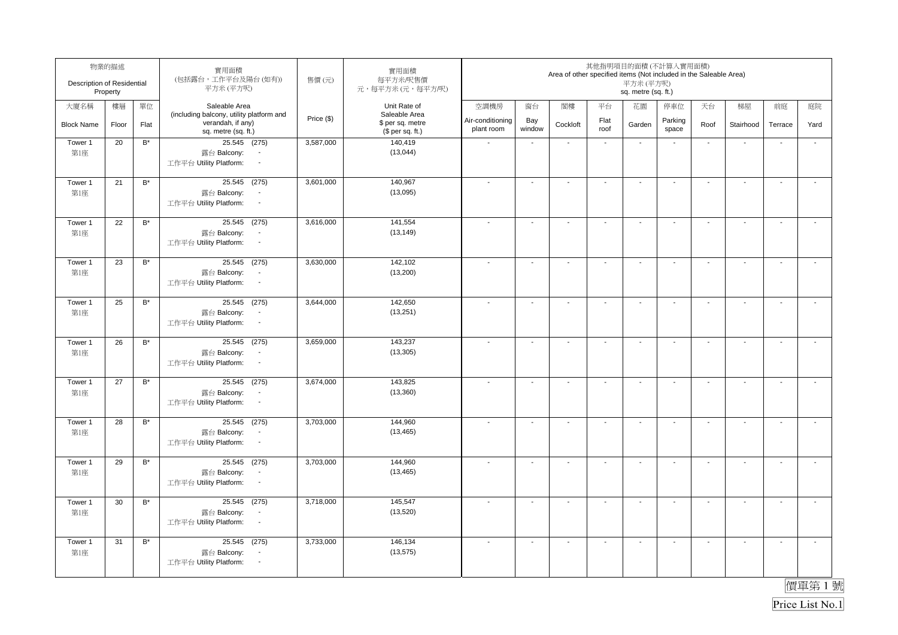| Description of Residential | 物業的描述<br>Property |                    | 實用面積<br>(包括露台,工作平台及陽台(如有))<br>平方米(平方呎)                                                              | 售價(元)      | 實用面積<br>每平方米/呎售價<br>元,每平方米(元,每平方/呎)                   |                                |                          | Area of other specified items (Not included in the Saleable Area) |                          | 其他指明項目的面積(不計算入實用面積)<br>平方米(平方呎)<br>sq. metre (sq. ft.) |                          |                          |                          |                          |                       |
|----------------------------|-------------------|--------------------|-----------------------------------------------------------------------------------------------------|------------|-------------------------------------------------------|--------------------------------|--------------------------|-------------------------------------------------------------------|--------------------------|--------------------------------------------------------|--------------------------|--------------------------|--------------------------|--------------------------|-----------------------|
| 大廈名稱                       | 樓層                | 單位                 | Saleable Area                                                                                       |            | Unit Rate of                                          | 空調機房                           | 窗台                       | 閣樓                                                                | 平台                       | 花園                                                     | 停車位                      | 天台                       | 梯屋                       | 前庭                       | 庭院                    |
| <b>Block Name</b>          | Floor             | Flat               | (including balcony, utility platform and<br>verandah, if any)<br>sq. metre (sq. ft.)                | Price (\$) | Saleable Area<br>\$ per sq. metre<br>(\$ per sq. ft.) | Air-conditioning<br>plant room | Bay<br>window            | Cockloft                                                          | Flat<br>roof             | Garden                                                 | Parking<br>space         | Roof                     | Stairhood                | Terrace                  | Yard                  |
| Tower 1<br>第1座             | 20                | $B^*$              | 25.545 (275)<br>露台 Balcony:<br>工作平台 Utility Platform:<br>$\blacksquare$                             | 3,587,000  | 140,419<br>(13,044)                                   | $\sim$                         | $\mathbf{r}$             | $\sim$                                                            | $\sim$                   | $\sim$                                                 | $\blacksquare$           | $\sim$                   | $\overline{\phantom{a}}$ | $\ddot{\phantom{a}}$     | $\mathbf{r}$          |
| Tower 1<br>第1座             | 21                | $B^*$              | 25.545 (275)<br>露台 Balcony:<br>$\blacksquare$<br>工作平台 Utility Platform:<br>$\sim$                   | 3,601,000  | 140,967<br>(13,095)                                   | $\overline{\phantom{a}}$       | $\sim$                   | $\blacksquare$                                                    | $\mathbf{r}$             | $\blacksquare$                                         | $\overline{\phantom{a}}$ | $\blacksquare$           | $\mathbf{r}$             | L.                       | $\tilde{\phantom{a}}$ |
| Tower 1<br>第1座             | 22                | $\mathsf{B}^\star$ | 25.545 (275)<br>露台 Balcony:<br>$\overline{\phantom{a}}$<br>工作平台 Utility Platform:<br>$\sim$         | 3,616,000  | 141,554<br>(13, 149)                                  |                                | $\sim$                   | $\blacksquare$                                                    | $\sim$                   | $\sim$                                                 | $\sim$                   | $\blacksquare$           | $\mathbf{r}$             | $\sim$                   | $\mathcal{L}$         |
| Tower 1<br>第1座             | 23                | $B^*$              | 25.545 (275)<br>露台 Balcony:<br>$\overline{\phantom{a}}$<br>工作平台 Utility Platform:<br>$\blacksquare$ | 3,630,000  | 142,102<br>(13,200)                                   |                                | $\blacksquare$           | $\blacksquare$                                                    | $\blacksquare$           | $\blacksquare$                                         | $\overline{\phantom{a}}$ | $\blacksquare$           | $\blacksquare$           | $\overline{\phantom{a}}$ | $\blacksquare$        |
| Tower 1<br>第1座             | 25                | $\mathsf{B}^\star$ | 25.545 (275)<br>露台 Balcony:<br>$\overline{\phantom{a}}$<br>工作平台 Utility Platform:<br>$\sim$         | 3,644,000  | 142,650<br>(13,251)                                   |                                | $\blacksquare$           | $\overline{\phantom{a}}$                                          | $\overline{\phantom{a}}$ | $\overline{\phantom{a}}$                               | $\overline{\phantom{a}}$ | $\overline{\phantom{a}}$ | $\blacksquare$           | $\overline{\phantom{a}}$ | $\sim$                |
| Tower 1<br>第1座             | 26                | $\mathsf{B}^\star$ | 25.545 (275)<br>露台 Balcony:<br>$\overline{\phantom{a}}$<br>工作平台 Utility Platform:<br>$\sim$         | 3,659,000  | 143,237<br>(13, 305)                                  |                                | $\overline{\phantom{a}}$ | $\overline{\phantom{a}}$                                          | $\mathbf{r}$             | $\blacksquare$                                         | $\blacksquare$           | $\sim$                   | $\sim$                   | $\mathbf{r}$             | $\sim$                |
| Tower 1<br>第1座             | 27                | $\mathsf{B}^\star$ | 25.545 (275)<br>露台 Balcony:<br>工作平台 Utility Platform:<br>$\mathcal{L}_{\mathcal{A}}$                | 3,674,000  | 143,825<br>(13,360)                                   |                                | $\blacksquare$           | $\blacksquare$                                                    | $\blacksquare$           | $\blacksquare$                                         | $\blacksquare$           | $\blacksquare$           | $\sim$                   | $\blacksquare$           | $\mathbf{r}$          |
| Tower 1<br>第1座             | 28                | $\mathsf{B}^\star$ | 25.545 (275)<br>露台 Balcony:<br>$\sim$<br>工作平台 Utility Platform:<br>$\sim$                           | 3,703,000  | 144,960<br>(13, 465)                                  |                                | $\blacksquare$           | $\blacksquare$                                                    | $\blacksquare$           | $\blacksquare$                                         | $\overline{\phantom{a}}$ | $\blacksquare$           | $\mathbf{r}$             | $\mathbf{r}$             | $\mathbf{r}$          |
| Tower 1<br>第1座             | 29                | $\mathsf{B}^\star$ | 25.545 (275)<br>露台 Balcony:<br>$\overline{\phantom{a}}$<br>工作平台 Utility Platform:<br>$\sim$         | 3,703,000  | 144,960<br>(13, 465)                                  |                                | $\sim$                   | $\blacksquare$                                                    | $\sim$                   | $\overline{\phantom{a}}$                               | $\blacksquare$           | $\overline{\phantom{a}}$ | $\sim$                   | $\blacksquare$           | $\mathbf{r}$          |
| Tower 1<br>第1座             | 30                | $B^*$              | 25.545 (275)<br>露台 Balcony:<br>$\overline{\phantom{a}}$<br>工作平台 Utility Platform:<br>$\sim$         | 3,718,000  | 145,547<br>(13,520)                                   |                                | $\overline{\phantom{a}}$ | $\overline{\phantom{a}}$                                          | $\blacksquare$           | $\overline{\phantom{a}}$                               | $\blacksquare$           | $\overline{\phantom{a}}$ | $\sim$                   | $\mathbf{r}$             | $\mathbf{r}$          |
| Tower 1<br>第1座             | 31                | $B^*$              | 25.545 (275)<br>露台 Balcony:<br>$\overline{\phantom{a}}$<br>工作平台 Utility Platform:<br>$\sim$         | 3,733,000  | 146,134<br>(13, 575)                                  |                                | $\sim$                   | $\overline{\phantom{a}}$                                          | $\mathbf{r}$             | $\sim$                                                 | $\sim$                   | $\sim$                   | $\sim$                   | $\sim$                   | $\mathbf{L}$          |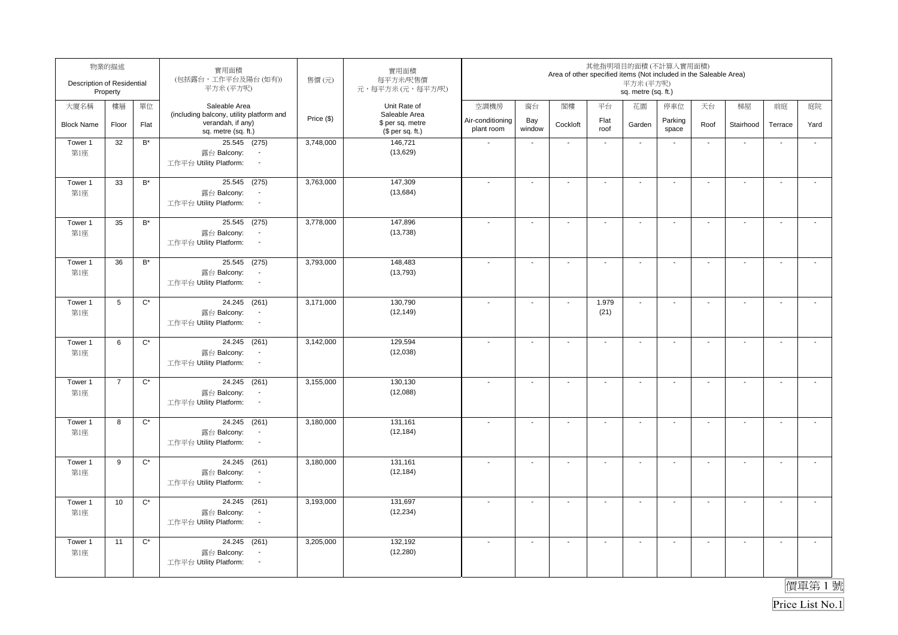| Description of Residential | 物業的描述<br>Property |                      | 實用面積<br>(包括露台,工作平台及陽台(如有))<br>平方米(平方呎)                                                                           | 售價(元)      | 實用面積<br>每平方米/呎售價<br>元,每平方米(元,每平方/呎)  |                                |                          | Area of other specified items (Not included in the Saleable Area) |                | 其他指明項目的面積(不計算入實用面積)<br>平方米(平方呎)<br>sq. metre (sq. ft.) |                          |                          |                          |                          |                       |
|----------------------------|-------------------|----------------------|------------------------------------------------------------------------------------------------------------------|------------|--------------------------------------|--------------------------------|--------------------------|-------------------------------------------------------------------|----------------|--------------------------------------------------------|--------------------------|--------------------------|--------------------------|--------------------------|-----------------------|
| 大廈名稱                       | 樓層                | 單位                   | Saleable Area<br>(including balcony, utility platform and                                                        |            | Unit Rate of<br>Saleable Area        | 空調機房                           | 窗台                       | 閣樓                                                                | 平台             | 花園                                                     | 停車位                      | 天台                       | 梯屋                       | 前庭                       | 庭院                    |
| <b>Block Name</b>          | Floor             | Flat                 | verandah, if any)<br>sq. metre (sq. ft.)                                                                         | Price (\$) | \$ per sq. metre<br>$$$ per sq. ft.) | Air-conditioning<br>plant room | Bay<br>window            | Cockloft                                                          | Flat<br>roof   | Garden                                                 | Parking<br>space         | Roof                     | Stairhood                | Terrace                  | Yard                  |
| Tower 1<br>第1座             | 32                | $B^*$                | 25.545 (275)<br>露台 Balcony:<br>工作平台 Utility Platform:<br>$\blacksquare$                                          | 3,748,000  | 146,721<br>(13,629)                  | $\sim$                         | $\mathbf{r}$             | $\sim$                                                            | $\sim$         | $\sim$                                                 | $\blacksquare$           | $\sim$                   | $\overline{\phantom{a}}$ | $\ddot{\phantom{a}}$     | $\mathbf{r}$          |
| Tower 1<br>第1座             | 33                | $B^*$                | 25.545 (275)<br>露台 Balcony:<br>$\blacksquare$<br>工作平台 Utility Platform:<br>$\sim$                                | 3,763,000  | 147,309<br>(13, 684)                 | $\overline{\phantom{a}}$       | $\sim$                   | $\blacksquare$                                                    | $\mathbf{r}$   | $\blacksquare$                                         | $\overline{\phantom{a}}$ | $\blacksquare$           | $\mathbf{r}$             | L.                       | $\tilde{\phantom{a}}$ |
| Tower 1<br>第1座             | 35                | $\mathsf{B}^\star$   | 25.545 (275)<br>露台 Balcony:<br>$\overline{\phantom{a}}$<br>工作平台 Utility Platform:<br>$\sim$                      | 3,778,000  | 147,896<br>(13, 738)                 |                                | $\sim$                   | $\blacksquare$                                                    | $\sim$         | $\sim$                                                 | $\sim$                   | $\blacksquare$           | $\mathbf{r}$             | $\sim$                   | $\mathcal{L}$         |
| Tower 1<br>第1座             | 36                | $B^*$                | 25.545 (275)<br>露台 Balcony:<br>$\overline{\phantom{a}}$<br>工作平台 Utility Platform:<br>$\blacksquare$              | 3,793,000  | 148,483<br>(13, 793)                 |                                | $\overline{a}$           | $\blacksquare$                                                    | $\blacksquare$ | $\blacksquare$                                         | $\overline{\phantom{a}}$ | $\blacksquare$           | $\blacksquare$           | $\overline{\phantom{a}}$ | $\blacksquare$        |
| Tower 1<br>第1座             | 5                 | $\mathrm{C}^{\star}$ | 24.245 (261)<br>露台 Balcony:<br>$\blacksquare$<br>工作平台 Utility Platform:<br>$\sim$                                | 3,171,000  | 130,790<br>(12, 149)                 |                                | $\blacksquare$           | $\overline{\phantom{a}}$                                          | 1.979<br>(21)  | $\blacksquare$                                         | $\overline{\phantom{a}}$ | $\blacksquare$           | $\blacksquare$           | $\overline{\phantom{a}}$ | $\sim$                |
| Tower 1<br>第1座             | 6                 | $\mathrm{C}^*$       | 24.245 (261)<br>露台 Balcony:<br>$\overline{\phantom{a}}$<br>工作平台 Utility Platform:<br>$\sim$                      | 3,142,000  | 129,594<br>(12,038)                  |                                | $\overline{\phantom{a}}$ | $\overline{\phantom{a}}$                                          | $\sim$         | $\blacksquare$                                         | $\blacksquare$           | $\overline{\phantom{a}}$ | $\sim$                   | $\mathbf{r}$             | $\sim$                |
| Tower 1<br>第1座             | $\overline{7}$    | $\mathrm{C}^*$       | 24.245 (261)<br>露台 Balcony:<br>$\overline{\phantom{a}}$<br>工作平台 Utility Platform:<br>$\mathcal{L}_{\mathcal{A}}$ | 3,155,000  | 130,130<br>(12,088)                  |                                | $\blacksquare$           | $\blacksquare$                                                    | $\blacksquare$ | $\blacksquare$                                         | $\blacksquare$           | $\blacksquare$           | $\sim$                   | $\blacksquare$           | $\mathbf{r}$          |
| Tower 1<br>第1座             | 8                 | $\mathrm{C}^{\star}$ | 24.245 (261)<br>露台 Balcony:<br>$\sim$<br>工作平台 Utility Platform:<br>$\sim$                                        | 3,180,000  | 131,161<br>(12, 184)                 |                                | $\blacksquare$           | $\blacksquare$                                                    | $\blacksquare$ | $\blacksquare$                                         | $\overline{\phantom{a}}$ | $\blacksquare$           | $\mathbf{r}$             | $\mathbf{r}$             | $\mathbf{r}$          |
| Tower 1<br>第1座             | 9                 | $\mathrm{C}^{\star}$ | 24.245 (261)<br>露台 Balcony:<br>$\overline{\phantom{a}}$<br>工作平台 Utility Platform:<br>$\sim$                      | 3,180,000  | 131,161<br>(12, 184)                 |                                | $\sim$                   | $\blacksquare$                                                    | $\sim$         | $\overline{\phantom{a}}$                               | $\blacksquare$           | $\overline{\phantom{a}}$ | $\sim$                   | $\blacksquare$           | $\mathbf{r}$          |
| Tower 1<br>第1座             | 10                | $C^*$                | 24.245 (261)<br>露台 Balcony:<br>$\overline{\phantom{a}}$<br>工作平台 Utility Platform:<br>$\sim$                      | 3,193,000  | 131,697<br>(12, 234)                 |                                | $\overline{\phantom{a}}$ | $\overline{\phantom{a}}$                                          | $\blacksquare$ | $\overline{\phantom{a}}$                               | $\blacksquare$           | $\overline{\phantom{a}}$ | $\sim$                   | $\mathbf{r}$             | $\mathbf{r}$          |
| Tower 1<br>第1座             | 11                | $\mathrm{C}^{\star}$ | 24.245 (261)<br>露台 Balcony:<br>$\overline{\phantom{a}}$<br>工作平台 Utility Platform:<br>$\sim$                      | 3,205,000  | 132,192<br>(12, 280)                 |                                | $\sim$                   | $\overline{\phantom{a}}$                                          | $\mathbf{r}$   | $\sim$                                                 | $\sim$                   | $\sim$                   | $\sim$                   | $\sim$                   | $\mathbf{L}$          |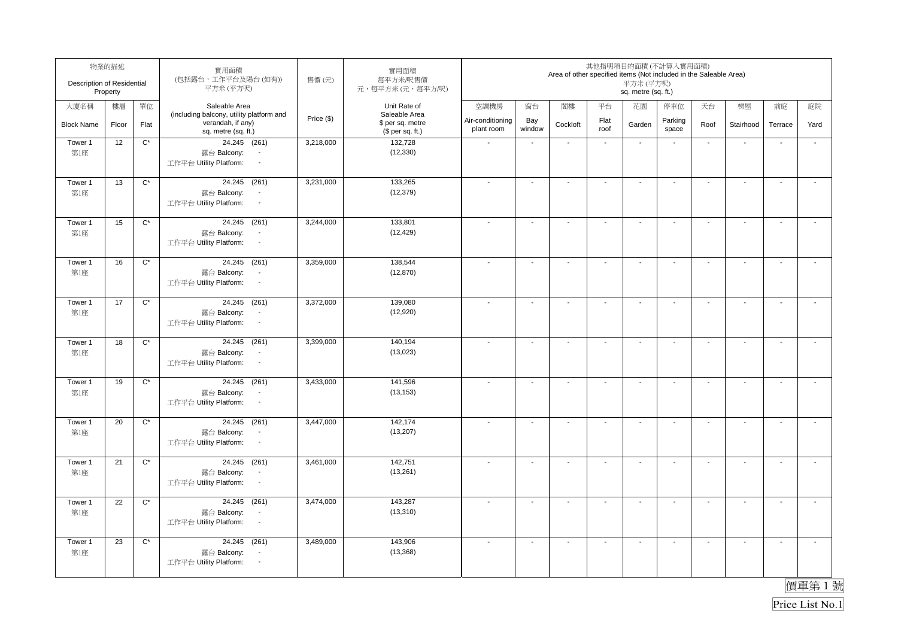| Description of Residential | 物業的描述<br>Property |                      | 實用面積<br>(包括露台,工作平台及陽台(如有))<br>平方米(平方呎)                                                      | 售價(元)      | 實用面積<br>每平方米/呎售價<br>元,每平方米(元,每平方/呎)                   |                                |                          | Area of other specified items (Not included in the Saleable Area) |                          | 其他指明項目的面積(不計算入實用面積)<br>平方米(平方呎)<br>sq. metre (sq. ft.) |                          |                          |                          |                          |                       |
|----------------------------|-------------------|----------------------|---------------------------------------------------------------------------------------------|------------|-------------------------------------------------------|--------------------------------|--------------------------|-------------------------------------------------------------------|--------------------------|--------------------------------------------------------|--------------------------|--------------------------|--------------------------|--------------------------|-----------------------|
| 大廈名稱                       | 樓層                | 單位                   | Saleable Area                                                                               |            | Unit Rate of                                          | 空調機房                           | 窗台                       | 閣樓                                                                | 平台                       | 花園                                                     | 停車位                      | 天台                       | 梯屋                       | 前庭                       | 庭院                    |
| <b>Block Name</b>          | Floor             | Flat                 | (including balcony, utility platform and<br>verandah, if any)<br>sq. metre (sq. ft.)        | Price (\$) | Saleable Area<br>\$ per sq. metre<br>$$$ per sq. ft.) | Air-conditioning<br>plant room | Bay<br>window            | Cockloft                                                          | Flat<br>roof             | Garden                                                 | Parking<br>space         | Roof                     | Stairhood                | Terrace                  | Yard                  |
| Tower 1<br>第1座             | 12                | $C^*$                | 24.245 (261)<br>露台 Balcony:<br>$\blacksquare$<br>工作平台 Utility Platform:<br>$\blacksquare$   | 3,218,000  | 132,728<br>(12, 330)                                  | $\sim$                         | $\mathbf{r}$             | $\sim$                                                            | $\sim$                   | $\sim$                                                 | $\blacksquare$           | $\sim$                   | $\overline{\phantom{a}}$ | $\ddot{\phantom{a}}$     | $\mathbf{r}$          |
| Tower 1<br>第1座             | 13                | $C^*$                | 24.245 (261)<br>露台 Balcony:<br>$\blacksquare$<br>工作平台 Utility Platform:<br>$\sim$           | 3,231,000  | 133,265<br>(12, 379)                                  | $\overline{\phantom{a}}$       | $\sim$                   | $\blacksquare$                                                    | $\mathbf{r}$             | $\blacksquare$                                         | $\overline{\phantom{a}}$ | $\blacksquare$           | $\mathbf{r}$             | L.                       | $\tilde{\phantom{a}}$ |
| Tower 1<br>第1座             | 15                | $\mathrm{C}^*$       | 24.245 (261)<br>露台 Balcony:<br>$\overline{\phantom{a}}$<br>工作平台 Utility Platform:<br>$\sim$ | 3,244,000  | 133,801<br>(12, 429)                                  |                                | $\sim$                   | $\blacksquare$                                                    | $\sim$                   | $\overline{a}$                                         | $\sim$                   | $\blacksquare$           | $\mathbf{r}$             | $\sim$                   | $\mathcal{L}$         |
| Tower 1<br>第1座             | 16                | $\mathrm{C}^*$       | 24.245 (261)<br>露台 Balcony:<br>$\blacksquare$<br>工作平台 Utility Platform:<br>$\blacksquare$   | 3,359,000  | 138,544<br>(12, 870)                                  |                                | $\blacksquare$           | $\blacksquare$                                                    | $\blacksquare$           | $\blacksquare$                                         | $\overline{\phantom{a}}$ | $\blacksquare$           | $\blacksquare$           | $\overline{\phantom{a}}$ | $\blacksquare$        |
| Tower 1<br>第1座             | 17                | $\mathrm{C}^{\star}$ | 24.245 (261)<br>露台 Balcony:<br>$\blacksquare$<br>工作平台 Utility Platform:<br>$\sim$           | 3,372,000  | 139,080<br>(12,920)                                   |                                | $\blacksquare$           | $\overline{\phantom{a}}$                                          | $\overline{\phantom{a}}$ | $\overline{\phantom{a}}$                               | $\overline{\phantom{a}}$ | $\overline{\phantom{a}}$ | $\blacksquare$           | $\overline{\phantom{a}}$ | $\sim$                |
| Tower 1<br>第1座             | 18                | $\mathrm{C}^*$       | 24.245 (261)<br>露台 Balcony:<br>$\overline{\phantom{a}}$<br>工作平台 Utility Platform:<br>$\sim$ | 3,399,000  | 140,194<br>(13,023)                                   |                                | $\overline{\phantom{a}}$ | $\overline{\phantom{a}}$                                          | $\mathbf{r}$             | $\blacksquare$                                         | $\blacksquare$           | $\overline{\phantom{a}}$ | $\sim$                   | $\mathbf{r}$             | $\sim$                |
| Tower 1<br>第1座             | 19                | $\mathrm{C}^*$       | 24.245 (261)<br>露台 Balcony:<br>$\overline{\phantom{a}}$<br>工作平台 Utility Platform:<br>$\sim$ | 3,433,000  | 141,596<br>(13, 153)                                  |                                | $\blacksquare$           | $\blacksquare$                                                    | $\blacksquare$           | $\blacksquare$                                         | $\blacksquare$           | $\blacksquare$           | $\sim$                   | $\blacksquare$           | $\mathbf{r}$          |
| Tower 1<br>第1座             | 20                | $\mathrm{C}^{\star}$ | 24.245 (261)<br>露台 Balcony:<br>$\sim$<br>工作平台 Utility Platform:<br>$\sim$                   | 3,447,000  | 142,174<br>(13, 207)                                  |                                | $\blacksquare$           | $\blacksquare$                                                    | $\blacksquare$           | $\blacksquare$                                         | $\overline{\phantom{a}}$ | $\blacksquare$           | $\mathbf{r}$             | $\mathbf{r}$             | $\mathbf{r}$          |
| Tower 1<br>第1座             | 21                | $\mathrm{C}^{\star}$ | 24.245 (261)<br>露台 Balcony:<br>$\overline{\phantom{a}}$<br>工作平台 Utility Platform:<br>$\sim$ | 3,461,000  | 142,751<br>(13,261)                                   |                                | $\sim$                   | $\blacksquare$                                                    | $\sim$                   | $\overline{\phantom{a}}$                               | $\blacksquare$           | $\overline{\phantom{a}}$ | $\sim$                   | $\blacksquare$           | $\mathbf{r}$          |
| Tower 1<br>第1座             | 22                | $C^*$                | 24.245 (261)<br>露台 Balcony:<br>$\overline{\phantom{a}}$<br>工作平台 Utility Platform:<br>$\sim$ | 3,474,000  | 143,287<br>(13, 310)                                  |                                | $\overline{\phantom{a}}$ | $\overline{\phantom{a}}$                                          | $\blacksquare$           | $\overline{\phantom{a}}$                               | $\blacksquare$           | $\overline{\phantom{a}}$ | $\sim$                   | $\mathbf{r}$             | $\mathbf{r}$          |
| Tower 1<br>第1座             | 23                | $\mathrm{C}^{\star}$ | 24.245 (261)<br>露台 Balcony:<br>$\overline{\phantom{a}}$<br>工作平台 Utility Platform:<br>$\sim$ | 3,489,000  | 143,906<br>(13, 368)                                  |                                | $\sim$                   | $\overline{\phantom{a}}$                                          | $\mathbf{r}$             | $\sim$                                                 | $\sim$                   | $\sim$                   | $\sim$                   | $\sim$                   | $\mathbf{L}$          |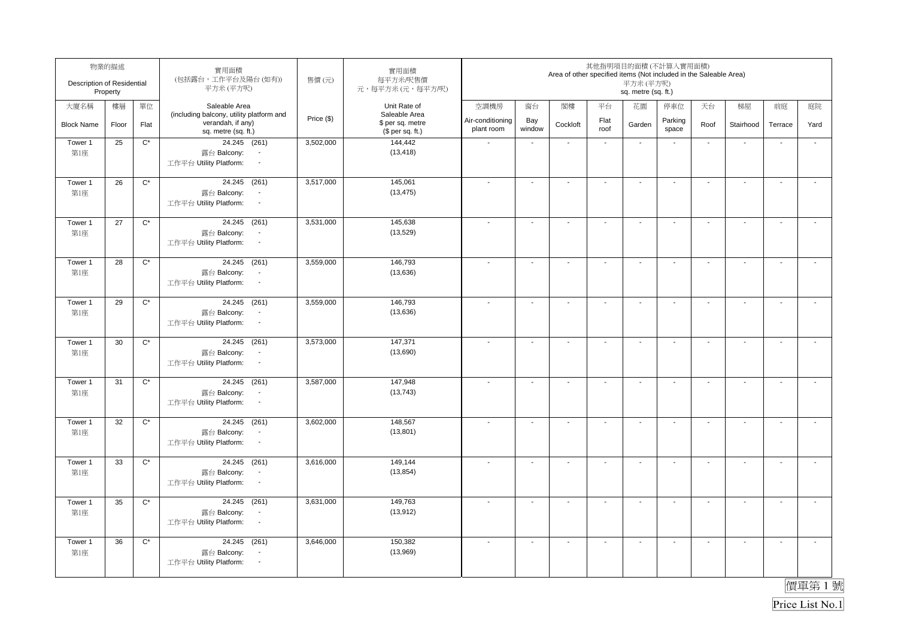| Description of Residential | 物業的描述<br>Property |                      | 實用面積<br>(包括露台,工作平台及陽台(如有))<br>平方米(平方呎)                                                      | 售價(元)      | 實用面積<br>每平方米/呎售價<br>元,每平方米(元,每平方/呎)                   |                                |                          | Area of other specified items (Not included in the Saleable Area) |                          | 其他指明項目的面積(不計算入實用面積)<br>平方米(平方呎)<br>sq. metre (sq. ft.) |                          |                          |                          |                          |                       |
|----------------------------|-------------------|----------------------|---------------------------------------------------------------------------------------------|------------|-------------------------------------------------------|--------------------------------|--------------------------|-------------------------------------------------------------------|--------------------------|--------------------------------------------------------|--------------------------|--------------------------|--------------------------|--------------------------|-----------------------|
| 大廈名稱                       | 樓層                | 單位                   | Saleable Area                                                                               |            | Unit Rate of                                          | 空調機房                           | 窗台                       | 閣樓                                                                | 平台                       | 花園                                                     | 停車位                      | 天台                       | 梯屋                       | 前庭                       | 庭院                    |
| <b>Block Name</b>          | Floor             | Flat                 | (including balcony, utility platform and<br>verandah, if any)<br>sq. metre (sq. ft.)        | Price (\$) | Saleable Area<br>\$ per sq. metre<br>(\$ per sq. ft.) | Air-conditioning<br>plant room | Bay<br>window            | Cockloft                                                          | Flat<br>roof             | Garden                                                 | Parking<br>space         | Roof                     | Stairhood                | Terrace                  | Yard                  |
| Tower 1<br>第1座             | 25                | $C^*$                | 24.245 (261)<br>露台 Balcony:<br>$\blacksquare$<br>工作平台 Utility Platform:<br>$\blacksquare$   | 3,502,000  | 144,442<br>(13, 418)                                  | $\sim$                         | $\mathbf{r}$             | $\sim$                                                            | $\sim$                   | $\sim$                                                 | $\blacksquare$           | $\sim$                   | $\overline{\phantom{a}}$ | $\ddot{\phantom{a}}$     | $\mathbf{r}$          |
| Tower 1<br>第1座             | 26                | $C^*$                | 24.245 (261)<br>露台 Balcony:<br>$\blacksquare$<br>工作平台 Utility Platform:<br>$\sim$           | 3,517,000  | 145,061<br>(13, 475)                                  | $\overline{\phantom{a}}$       | $\sim$                   | $\blacksquare$                                                    | $\mathbf{r}$             | $\blacksquare$                                         | $\overline{\phantom{a}}$ | $\blacksquare$           | $\mathbf{r}$             | L.                       | $\tilde{\phantom{a}}$ |
| Tower 1<br>第1座             | 27                | $\mathrm{C}^*$       | 24.245 (261)<br>露台 Balcony:<br>$\overline{\phantom{a}}$<br>工作平台 Utility Platform:<br>$\sim$ | 3,531,000  | 145,638<br>(13,529)                                   |                                | $\sim$                   | $\blacksquare$                                                    | $\sim$                   | $\overline{a}$                                         | $\sim$                   | $\blacksquare$           | $\mathcal{L}$            | $\sim$                   | $\mathcal{L}$         |
| Tower 1<br>第1座             | 28                | $\mathrm{C}^*$       | 24.245 (261)<br>露台 Balcony:<br>$\blacksquare$<br>工作平台 Utility Platform:<br>$\blacksquare$   | 3,559,000  | 146,793<br>(13, 636)                                  |                                | $\blacksquare$           | $\blacksquare$                                                    | $\blacksquare$           | $\blacksquare$                                         | $\overline{\phantom{a}}$ | $\blacksquare$           | $\blacksquare$           | $\overline{\phantom{a}}$ | $\blacksquare$        |
| Tower 1<br>第1座             | 29                | $\mathrm{C}^{\star}$ | 24.245 (261)<br>露台 Balcony:<br>$\blacksquare$<br>工作平台 Utility Platform:<br>$\sim$           | 3,559,000  | 146,793<br>(13,636)                                   |                                | $\blacksquare$           | $\overline{\phantom{a}}$                                          | $\overline{\phantom{a}}$ | $\overline{\phantom{a}}$                               | $\overline{\phantom{a}}$ | $\overline{\phantom{a}}$ | $\blacksquare$           | $\overline{\phantom{a}}$ | $\sim$                |
| Tower 1<br>第1座             | 30                | $\mathrm{C}^*$       | 24.245 (261)<br>露台 Balcony:<br>$\overline{\phantom{a}}$<br>工作平台 Utility Platform:<br>$\sim$ | 3,573,000  | 147,371<br>(13,690)                                   |                                | $\overline{\phantom{a}}$ | $\overline{\phantom{a}}$                                          | $\mathbf{r}$             | $\blacksquare$                                         | $\blacksquare$           | $\overline{\phantom{a}}$ | $\sim$                   | $\mathbf{r}$             | $\sim$                |
| Tower 1<br>第1座             | 31                | $\mathrm{C}^*$       | 24.245 (261)<br>露台 Balcony:<br>$\overline{\phantom{a}}$<br>工作平台 Utility Platform:<br>$\sim$ | 3,587,000  | 147,948<br>(13, 743)                                  |                                | $\blacksquare$           | $\blacksquare$                                                    | $\blacksquare$           | $\blacksquare$                                         | $\blacksquare$           | $\blacksquare$           | $\sim$                   | $\blacksquare$           | $\mathbf{r}$          |
| Tower 1<br>第1座             | 32                | $\mathrm{C}^{\star}$ | 24.245 (261)<br>露台 Balcony:<br>$\sim$<br>工作平台 Utility Platform:<br>$\sim$                   | 3,602,000  | 148,567<br>(13, 801)                                  |                                | $\blacksquare$           | $\blacksquare$                                                    | $\blacksquare$           | $\blacksquare$                                         | $\overline{\phantom{a}}$ | $\blacksquare$           | $\mathbf{r}$             | $\mathbf{r}$             | $\mathbf{r}$          |
| Tower 1<br>第1座             | 33                | $\mathrm{C}^{\star}$ | 24.245 (261)<br>露台 Balcony:<br>$\overline{\phantom{a}}$<br>工作平台 Utility Platform:<br>$\sim$ | 3,616,000  | 149,144<br>(13, 854)                                  |                                | $\sim$                   | $\blacksquare$                                                    | $\sim$                   | $\overline{\phantom{a}}$                               | $\blacksquare$           | $\overline{\phantom{a}}$ | $\sim$                   | $\blacksquare$           | $\mathbf{r}$          |
| Tower 1<br>第1座             | 35                | $C^*$                | 24.245 (261)<br>露台 Balcony:<br>$\overline{\phantom{a}}$<br>工作平台 Utility Platform:<br>$\sim$ | 3,631,000  | 149,763<br>(13, 912)                                  |                                | $\overline{\phantom{a}}$ | $\overline{\phantom{a}}$                                          | $\blacksquare$           | $\overline{\phantom{a}}$                               | $\blacksquare$           | $\overline{\phantom{a}}$ | $\sim$                   | $\mathbf{r}$             | $\mathbf{r}$          |
| Tower 1<br>第1座             | 36                | $\mathrm{C}^{\star}$ | 24.245 (261)<br>露台 Balcony:<br>$\overline{\phantom{a}}$<br>工作平台 Utility Platform:<br>$\sim$ | 3,646,000  | 150,382<br>(13,969)                                   |                                | $\sim$                   | $\overline{\phantom{a}}$                                          | $\mathbf{r}$             | $\sim$                                                 | $\sim$                   | $\sim$                   | $\sim$                   | $\sim$                   | $\mathbf{L}$          |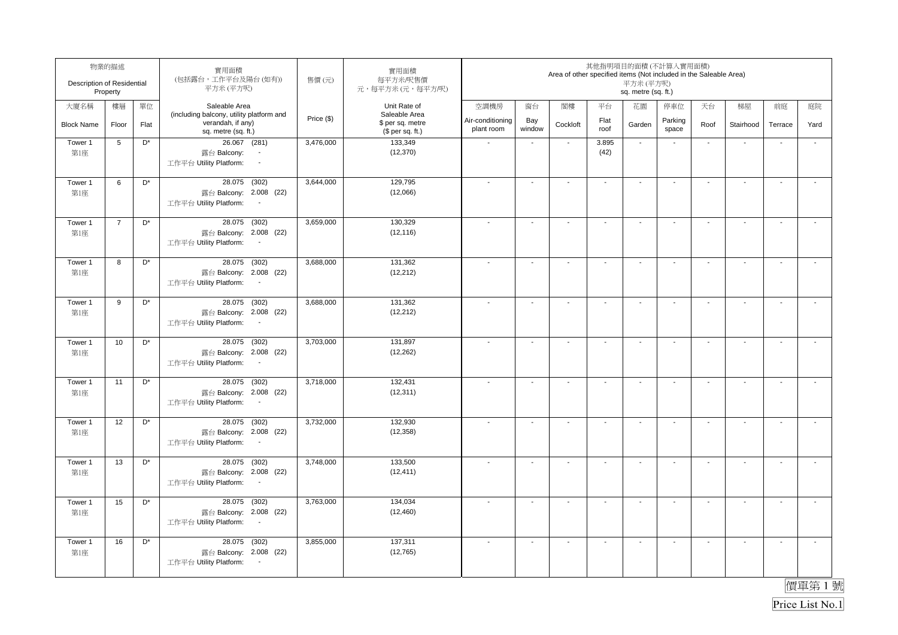| Description of Residential | 物業的描述<br>Property |                | 實用面積<br>(包括露台,工作平台及陽台(如有))<br>平方米(平方呎)                                                              | 售價(元)      | 實用面積<br>每平方米/呎售價<br>元,每平方米(元,每平方/呎)               |                          |                          | Area of other specified items (Not included in the Saleable Area) |                          | 其他指明項目的面積(不計算入實用面積)<br>平方米 (平方呎)<br>sq. metre (sq. ft.) |                          |                          |                          |                          |                          |
|----------------------------|-------------------|----------------|-----------------------------------------------------------------------------------------------------|------------|---------------------------------------------------|--------------------------|--------------------------|-------------------------------------------------------------------|--------------------------|---------------------------------------------------------|--------------------------|--------------------------|--------------------------|--------------------------|--------------------------|
| 大廈名稱                       | 樓層                | 單位             | Saleable Area<br>(including balcony, utility platform and<br>verandah, if any)                      | Price (\$) | Unit Rate of<br>Saleable Area<br>\$ per sq. metre | 空調機房<br>Air-conditioning | 窗台<br>Bay                | 閣樓                                                                | 平台<br>Flat               | 花園                                                      | 停車位<br>Parking           | 天台                       | 梯屋                       | 前庭                       | 庭院                       |
| <b>Block Name</b>          | Floor             | Flat           | sq. metre (sq. ft.)                                                                                 |            | (\$ per sq. ft.)                                  | plant room               | window                   | Cockloft                                                          | roof                     | Garden                                                  | space                    | Roof                     | Stairhood                | Terrace                  | Yard                     |
| Tower 1<br>第1座             | 5                 | D*             | 26.067 (281)<br>露台 Balcony:<br>$\blacksquare$<br>工作平台 Utility Platform:<br>$\overline{\phantom{a}}$ | 3,476,000  | 133,349<br>(12, 370)                              |                          | $\blacksquare$           | $\sim$                                                            | 3.895<br>(42)            | $\sim$                                                  | $\overline{\phantom{a}}$ | $\blacksquare$           | ÷,                       | $\overline{\phantom{a}}$ | $\tilde{\phantom{a}}$    |
| Tower 1<br>第1座             | 6                 | D <sup>*</sup> | 28.075<br>(302)<br>露台 Balcony: 2.008 (22)<br>工作平台 Utility Platform:<br>$\sim$                       | 3,644,000  | 129,795<br>(12,066)                               |                          | $\blacksquare$           | $\overline{a}$                                                    | $\overline{\phantom{a}}$ | $\blacksquare$                                          | $\overline{\phantom{a}}$ | $\blacksquare$           | $\sim$                   | $\overline{\phantom{a}}$ | $\overline{a}$           |
| Tower 1<br>第1座             | $\overline{7}$    | D <sup>*</sup> | 28.075<br>(302)<br>露台 Balcony: 2.008 (22)<br>工作平台 Utility Platform:                                 | 3,659,000  | 130.329<br>(12, 116)                              |                          | $\blacksquare$           | $\overline{\phantom{a}}$                                          | $\blacksquare$           | $\blacksquare$                                          | $\overline{\phantom{a}}$ | $\blacksquare$           | $\sim$                   | $\overline{\phantom{a}}$ | $\tilde{\phantom{a}}$    |
| Tower 1<br>第1座             | 8                 | D*             | 28.075 (302)<br>露台 Balcony: 2.008 (22)<br>工作平台 Utility Platform:<br>$\blacksquare$                  | 3,688,000  | 131,362<br>(12, 212)                              |                          | $\blacksquare$           | $\blacksquare$                                                    | $\overline{\phantom{a}}$ | $\overline{\phantom{a}}$                                | $\overline{\phantom{a}}$ | $\overline{\phantom{a}}$ | $\blacksquare$           | $\sim$                   | $\overline{\phantom{a}}$ |
| Tower 1<br>第1座             | 9                 | D <sup>*</sup> | 28.075 (302)<br>露台 Balcony: 2.008 (22)<br>工作平台 Utility Platform:<br>$\sim$                          | 3,688,000  | 131,362<br>(12, 212)                              |                          | $\blacksquare$           | $\blacksquare$                                                    | $\blacksquare$           | $\blacksquare$                                          | $\blacksquare$           | $\blacksquare$           | $\sim$                   | $\overline{\phantom{a}}$ | $\mathbf{r}$             |
| Tower 1<br>第1座             | 10                | $\mathsf{D}^*$ | 28.075 (302)<br>露台 Balcony: 2.008 (22)<br>工作平台 Utility Platform:<br>$\sim$                          | 3,703,000  | 131,897<br>(12, 262)                              |                          | $\overline{\phantom{a}}$ | $\blacksquare$                                                    | $\mathbf{r}$             | $\sim$                                                  | $\sim$                   | $\sim$                   | $\mathbf{r}$             | $\mathbf{r}$             | $\mathcal{L}$            |
| Tower 1<br>第1座             | 11                | D <sup>*</sup> | 28.075 (302)<br>露台 Balcony: 2.008 (22)<br>工作平台 Utility Platform:<br>$\sim$                          | 3,718,000  | 132,431<br>(12, 311)                              | $\overline{\phantom{a}}$ | $\sim$                   | $\blacksquare$                                                    | $\mathbf{r}$             | $\sim$                                                  | $\sim$                   | $\sim$                   | $\mathbf{r}$             | $\sim$                   | $\mathbf{r}$             |
| Tower 1<br>第1座             | 12                | D*             | 28.075 (302)<br>露台 Balcony: 2.008 (22)<br>工作平台 Utility Platform:<br>$\sim$                          | 3,732,000  | 132,930<br>(12, 358)                              |                          | $\overline{\phantom{a}}$ | $\overline{\phantom{a}}$                                          | $\blacksquare$           | $\overline{\phantom{a}}$                                | $\overline{\phantom{a}}$ | $\overline{\phantom{a}}$ | $\overline{\phantom{a}}$ | $\blacksquare$           | $\tilde{\phantom{a}}$    |
| Tower 1<br>第1座             | 13                | D <sup>*</sup> | 28.075 (302)<br>露台 Balcony: 2.008 (22)<br>工作平台 Utility Platform:<br>$\sim$                          | 3,748,000  | 133,500<br>(12, 411)                              |                          | $\blacksquare$           | $\blacksquare$                                                    | $\blacksquare$           | $\sim$                                                  | $\overline{\phantom{a}}$ | $\blacksquare$           | $\mathbf{r}$             | $\overline{\phantom{a}}$ | $\tilde{\phantom{a}}$    |
| Tower 1<br>第1座             | 15                | D <sup>*</sup> | (302)<br>28.075<br>露台 Balcony: 2.008 (22)<br>工作平台 Utility Platform:<br>$\overline{\phantom{a}}$     | 3,763,000  | 134,034<br>(12, 460)                              |                          | ä,                       | $\sim$                                                            | $\mathbf{r}$             | $\sim$                                                  | $\blacksquare$           | $\sim$                   | $\mathbf{r}$             | L.                       | $\tilde{\phantom{a}}$    |
| Tower 1<br>第1座             | 16                | D <sup>*</sup> | 28.075 (302)<br>露台 Balcony: 2.008 (22)<br>工作平台 Utility Platform:<br>$\sim$                          | 3,855,000  | 137,311<br>(12, 765)                              |                          | $\blacksquare$           | $\overline{\phantom{a}}$                                          | $\overline{\phantom{a}}$ | $\blacksquare$                                          | $\overline{\phantom{a}}$ | $\blacksquare$           | $\blacksquare$           | $\blacksquare$           | $\overline{\phantom{a}}$ |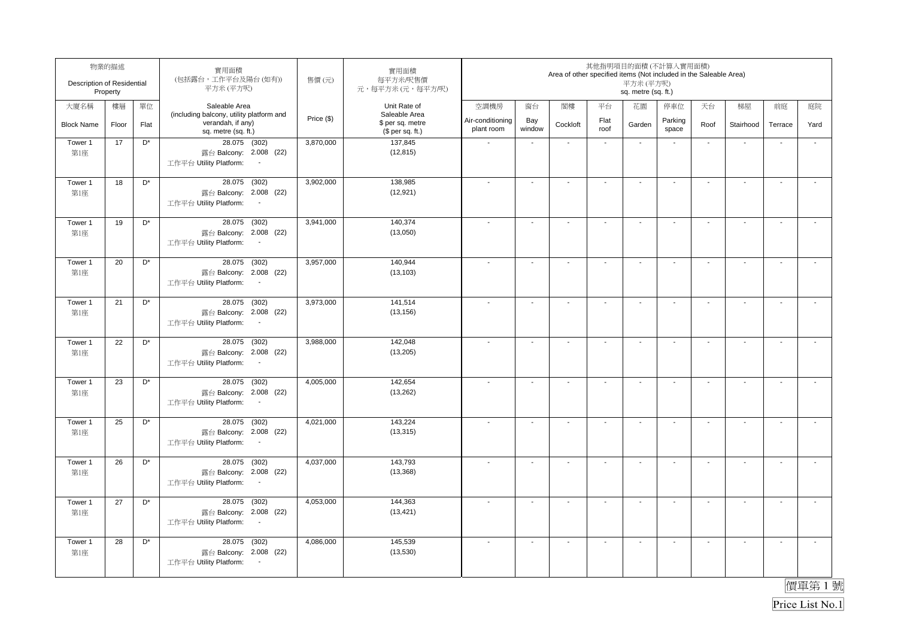| Description of Residential | 物業的描述<br>Property |                      | 實用面積<br>(包括露台,工作平台及陽台(如有))<br>平方米(平方呎)                                                          | 售價(元)      | 實用面積<br>每平方米/呎售價<br>元,每平方米(元,每平方/呎)                   |                                |                          | Area of other specified items (Not included in the Saleable Area) |                          | 其他指明項目的面積(不計算入實用面積)<br>平方米 (平方呎)<br>sq. metre (sq. ft.) |                          |                          |                          |                          |                          |
|----------------------------|-------------------|----------------------|-------------------------------------------------------------------------------------------------|------------|-------------------------------------------------------|--------------------------------|--------------------------|-------------------------------------------------------------------|--------------------------|---------------------------------------------------------|--------------------------|--------------------------|--------------------------|--------------------------|--------------------------|
| 大廈名稱                       | 樓層                | 單位                   | Saleable Area                                                                                   |            | Unit Rate of                                          | 空調機房                           | 窗台                       | 閣樓                                                                | 平台                       | 花園                                                      | 停車位                      | 天台                       | 梯屋                       | 前庭                       | 庭院                       |
| <b>Block Name</b>          | Floor             | Flat                 | (including balcony, utility platform and<br>verandah, if any)<br>sq. metre (sq. ft.)            | Price (\$) | Saleable Area<br>\$ per sq. metre<br>$$$ per sq. ft.) | Air-conditioning<br>plant room | Bay<br>window            | Cockloft                                                          | Flat<br>roof             | Garden                                                  | Parking<br>space         | Roof                     | Stairhood                | Terrace                  | Yard                     |
| Tower 1<br>第1座             | 17                | D*                   | 28.075 (302)<br>露台 Balcony: 2.008 (22)<br>工作平台 Utility Platform:<br>$\sim$                      | 3,870,000  | 137,845<br>(12, 815)                                  |                                | $\blacksquare$           | $\blacksquare$                                                    | $\blacksquare$           | $\blacksquare$                                          | $\overline{\phantom{a}}$ | $\blacksquare$           | ÷,                       | $\overline{\phantom{a}}$ | $\tilde{\phantom{a}}$    |
| Tower 1<br>第1座             | 18                | $D^*$                | 28.075<br>(302)<br>露台 Balcony: 2.008 (22)<br>工作平台 Utility Platform:<br>$\sim$                   | 3,902,000  | 138,985<br>(12, 921)                                  |                                | $\blacksquare$           | $\blacksquare$                                                    | $\overline{\phantom{a}}$ | $\blacksquare$                                          | $\overline{\phantom{a}}$ | $\blacksquare$           | $\sim$                   | $\overline{\phantom{a}}$ | $\overline{a}$           |
| Tower 1<br>第1座             | 19                | D <sup>*</sup>       | 28.075<br>(302)<br>露台 Balcony: 2.008 (22)<br>工作平台 Utility Platform:                             | 3,941,000  | 140,374<br>(13,050)                                   |                                | $\blacksquare$           | $\overline{\phantom{a}}$                                          | $\blacksquare$           | $\blacksquare$                                          | $\overline{\phantom{a}}$ | $\blacksquare$           | $\sim$                   | $\overline{\phantom{a}}$ | $\tilde{\phantom{a}}$    |
| Tower 1<br>第1座             | 20                | $\mathsf{D}^*$       | 28.075 (302)<br>露台 Balcony: 2.008 (22)<br>工作平台 Utility Platform:<br>$\sim$                      | 3,957,000  | 140,944<br>(13, 103)                                  |                                | $\blacksquare$           | $\blacksquare$                                                    | $\overline{\phantom{a}}$ | $\overline{\phantom{a}}$                                | $\overline{\phantom{a}}$ | $\overline{\phantom{a}}$ | $\blacksquare$           | $\sim$                   | $\overline{\phantom{a}}$ |
| Tower 1<br>第1座             | 21                | D <sup>*</sup>       | 28.075 (302)<br>露台 Balcony: 2.008 (22)<br>工作平台 Utility Platform:<br>$\sim$                      | 3,973,000  | 141,514<br>(13, 156)                                  |                                | $\blacksquare$           | $\blacksquare$                                                    | $\blacksquare$           | $\blacksquare$                                          | $\blacksquare$           | $\blacksquare$           | $\sim$                   | $\overline{\phantom{a}}$ | $\mathbf{r}$             |
| Tower 1<br>第1座             | 22                | $\mathsf{D}^*$       | 28.075 (302)<br>露台 Balcony: 2.008 (22)<br>工作平台 Utility Platform:<br>$\sim$                      | 3,988,000  | 142,048<br>(13,205)                                   |                                | $\overline{\phantom{a}}$ | $\blacksquare$                                                    | $\mathbf{r}$             | $\sim$                                                  | $\sim$                   | $\sim$                   | $\mathbf{r}$             | $\mathbf{r}$             | $\mathcal{L}$            |
| Tower 1<br>第1座             | 23                | D <sup>*</sup>       | 28.075 (302)<br>露台 Balcony: 2.008 (22)<br>工作平台 Utility Platform:<br>$\sim$                      | 4,005,000  | 142,654<br>(13,262)                                   | $\overline{\phantom{a}}$       | $\sim$                   | $\blacksquare$                                                    | $\mathbf{r}$             | $\sim$                                                  | $\sim$                   | $\sim$                   | $\mathbf{r}$             | $\sim$                   | $\mathbf{r}$             |
| Tower 1<br>第1座             | 25                | $\mathsf{D}^{\star}$ | 28.075 (302)<br>露台 Balcony: 2.008 (22)<br>工作平台 Utility Platform:<br>$\sim$                      | 4,021,000  | 143,224<br>(13, 315)                                  |                                | $\overline{\phantom{a}}$ | $\overline{\phantom{a}}$                                          | $\blacksquare$           | $\overline{\phantom{a}}$                                | $\overline{\phantom{a}}$ | $\overline{\phantom{a}}$ | $\overline{\phantom{a}}$ | $\blacksquare$           | $\tilde{\phantom{a}}$    |
| Tower 1<br>第1座             | 26                | D <sup>*</sup>       | 28.075 (302)<br>露台 Balcony: 2.008 (22)<br>工作平台 Utility Platform:<br>$\sim$                      | 4,037,000  | 143,793<br>(13, 368)                                  |                                | $\blacksquare$           | $\blacksquare$                                                    | $\blacksquare$           | $\sim$                                                  | $\overline{\phantom{a}}$ | $\blacksquare$           | $\mathbf{r}$             | $\overline{\phantom{a}}$ | $\tilde{\phantom{a}}$    |
| Tower 1<br>第1座             | 27                | D <sup>*</sup>       | (302)<br>28.075<br>露台 Balcony: 2.008 (22)<br>工作平台 Utility Platform:<br>$\overline{\phantom{a}}$ | 4,053,000  | 144.363<br>(13, 421)                                  |                                | ä,                       | $\sim$                                                            | $\mathbf{r}$             | $\sim$                                                  | $\overline{\phantom{a}}$ | $\sim$                   | $\mathbf{r}$             | L.                       | $\tilde{\phantom{a}}$    |
| Tower 1<br>第1座             | 28                | D <sup>*</sup>       | 28.075 (302)<br>露台 Balcony: 2.008 (22)<br>工作平台 Utility Platform:<br>$\sim$                      | 4,086,000  | 145,539<br>(13,530)                                   |                                | $\blacksquare$           | $\overline{\phantom{a}}$                                          | $\overline{\phantom{a}}$ | $\blacksquare$                                          | $\overline{\phantom{a}}$ | $\blacksquare$           | $\blacksquare$           | $\blacksquare$           | $\overline{\phantom{a}}$ |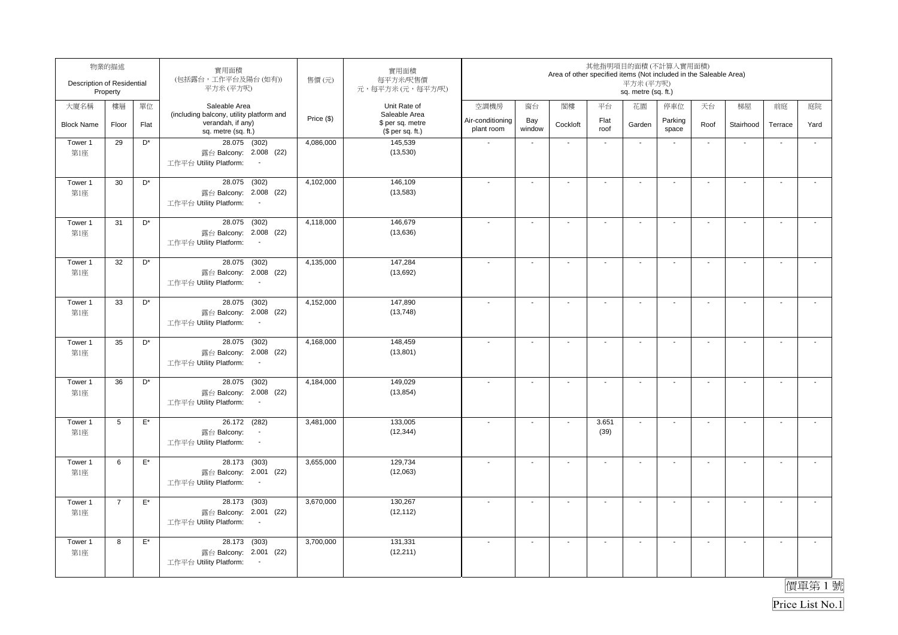| Description of Residential | 物業的描述<br>Property |                    | 實用面積<br>(包括露台,工作平台及陽台(如有))<br>平方米 (平方呎)                                                             | 售價(元)      | 實用面積<br>每平方米/呎售價<br>元,每平方米(元,每平方/呎)                   |                                |                          | Area of other specified items (Not included in the Saleable Area) |                          | 其他指明項目的面積(不計算入實用面積)<br>平方米 (平方呎)<br>sq. metre (sq. ft.) |                          |                          |                          |                          |                          |
|----------------------------|-------------------|--------------------|-----------------------------------------------------------------------------------------------------|------------|-------------------------------------------------------|--------------------------------|--------------------------|-------------------------------------------------------------------|--------------------------|---------------------------------------------------------|--------------------------|--------------------------|--------------------------|--------------------------|--------------------------|
| 大廈名稱                       | 樓層                | 單位                 | Saleable Area                                                                                       |            | Unit Rate of                                          | 空調機房                           | 窗台                       | 閣樓                                                                | 平台                       | 花園                                                      | 停車位                      | 天台                       | 梯屋                       | 前庭                       | 庭院                       |
| <b>Block Name</b>          | Floor             | Flat               | (including balcony, utility platform and<br>verandah, if any)<br>sq. metre (sq. ft.)                | Price (\$) | Saleable Area<br>\$ per sq. metre<br>$$$ per sq. ft.) | Air-conditioning<br>plant room | Bay<br>window            | Cockloft                                                          | Flat<br>roof             | Garden                                                  | Parking<br>space         | Roof                     | Stairhood                | Terrace                  | Yard                     |
| Tower 1<br>第1座             | 29                | D*                 | 28.075 (302)<br>露台 Balcony: 2.008 (22)<br>工作平台 Utility Platform:<br>$\sim$                          | 4,086,000  | 145,539<br>(13,530)                                   |                                | $\blacksquare$           | $\blacksquare$                                                    | $\blacksquare$           | $\blacksquare$                                          | $\overline{\phantom{a}}$ | $\blacksquare$           | ÷,                       | $\overline{\phantom{a}}$ | $\tilde{\phantom{a}}$    |
| Tower 1<br>第1座             | 30                | $D^*$              | 28.075<br>(302)<br>露台 Balcony: 2.008 (22)<br>工作平台 Utility Platform:<br>$\sim$                       | 4,102,000  | 146,109<br>(13,583)                                   |                                | $\blacksquare$           | $\blacksquare$                                                    | $\blacksquare$           | $\blacksquare$                                          | $\overline{\phantom{a}}$ | $\blacksquare$           | $\mathbf{r}$             | $\overline{\phantom{a}}$ | $\overline{a}$           |
| Tower 1<br>第1座             | 31                | D <sup>*</sup>     | 28.075<br>(302)<br>露台 Balcony: 2.008 (22)<br>工作平台 Utility Platform:                                 | 4,118,000  | 146,679<br>(13,636)                                   |                                | $\blacksquare$           | $\overline{\phantom{a}}$                                          | $\blacksquare$           | $\blacksquare$                                          | $\overline{\phantom{a}}$ | $\blacksquare$           | $\sim$                   | $\overline{\phantom{a}}$ | $\mathbf{r}$             |
| Tower 1<br>第1座             | 32                | $\mathsf{D}^*$     | 28.075 (302)<br>露台 Balcony: 2.008 (22)<br>工作平台 Utility Platform:<br>$\sim$                          | 4,135,000  | 147,284<br>(13,692)                                   |                                | $\blacksquare$           | $\blacksquare$                                                    | $\overline{\phantom{a}}$ | $\overline{\phantom{a}}$                                | $\overline{\phantom{a}}$ | $\overline{\phantom{a}}$ | $\blacksquare$           | $\overline{\phantom{a}}$ | $\overline{\phantom{a}}$ |
| Tower 1<br>第1座             | 33                | D <sup>*</sup>     | 28.075 (302)<br>露台 Balcony: 2.008 (22)<br>工作平台 Utility Platform:<br>$\sim$                          | 4,152,000  | 147,890<br>(13, 748)                                  |                                | $\blacksquare$           | $\blacksquare$                                                    | $\blacksquare$           | $\blacksquare$                                          | $\blacksquare$           | $\blacksquare$           | $\sim$                   | $\blacksquare$           | $\mathbf{r}$             |
| Tower 1<br>第1座             | 35                | D <sup>*</sup>     | 28.075 (302)<br>露台 Balcony: 2.008 (22)<br>工作平台 Utility Platform:<br>$\sim$                          | 4,168,000  | 148,459<br>(13, 801)                                  |                                | $\overline{\phantom{a}}$ | $\blacksquare$                                                    | $\mathbf{r}$             | $\sim$                                                  | $\sim$                   | $\sim$                   | $\mathbf{r}$             | $\mathbf{r}$             | $\mathcal{L}$            |
| Tower 1<br>第1座             | 36                | D <sup>*</sup>     | 28.075 (302)<br>露台 Balcony: 2.008 (22)<br>工作平台 Utility Platform:<br>$\sim$                          | 4,184,000  | 149,029<br>(13, 854)                                  | $\overline{\phantom{a}}$       | $\sim$                   | $\blacksquare$                                                    | $\mathbf{r}$             | $\sim$                                                  | $\sim$                   | $\sim$                   | $\mathbf{r}$             | $\sim$                   | $\sim$                   |
| Tower 1<br>第1座             | 5                 | $\mathsf{E}^\star$ | 26.172 (282)<br>露台 Balcony:<br>$\blacksquare$<br>工作平台 Utility Platform:<br>$\overline{\phantom{a}}$ | 3,481,000  | 133,005<br>(12, 344)                                  |                                | $\overline{\phantom{a}}$ | $\overline{\phantom{a}}$                                          | 3.651<br>(39)            | $\ddot{\phantom{a}}$                                    | $\overline{\phantom{a}}$ | $\overline{\phantom{a}}$ | $\overline{\phantom{a}}$ | $\blacksquare$           | $\tilde{\phantom{a}}$    |
| Tower 1<br>第1座             | 6                 | $\mathsf{E}^\star$ | 28.173 (303)<br>露台 Balcony: 2.001 (22)<br>工作平台 Utility Platform:<br>$\sim$                          | 3,655,000  | 129,734<br>(12,063)                                   | $\overline{\phantom{a}}$       | $\blacksquare$           | $\blacksquare$                                                    | $\blacksquare$           | $\blacksquare$                                          | $\overline{\phantom{a}}$ | $\blacksquare$           | $\mathbf{r}$             | $\overline{\phantom{a}}$ | $\tilde{\phantom{a}}$    |
| Tower 1<br>第1座             | $\overline{7}$    | $\mathsf{E}^\star$ | (303)<br>28.173<br>露台 Balcony: 2.001 (22)<br>工作平台 Utility Platform:<br>$\overline{\phantom{a}}$     | 3,670,000  | 130.267<br>(12, 112)                                  |                                | ä,                       | $\sim$                                                            | $\mathbf{r}$             | $\sim$                                                  | $\overline{\phantom{a}}$ | $\sim$                   | $\mathbf{r}$             | L.                       | $\tilde{\phantom{a}}$    |
| Tower 1<br>第1座             | 8                 | $\mathsf{E}^\star$ | 28.173 (303)<br>露台 Balcony: 2.001 (22)<br>工作平台 Utility Platform:<br>$\sim$                          | 3,700,000  | 131,331<br>(12, 211)                                  |                                | $\blacksquare$           | $\overline{\phantom{a}}$                                          | $\overline{\phantom{a}}$ | $\blacksquare$                                          | $\overline{\phantom{a}}$ | $\blacksquare$           | $\blacksquare$           | $\blacksquare$           | $\overline{\phantom{a}}$ |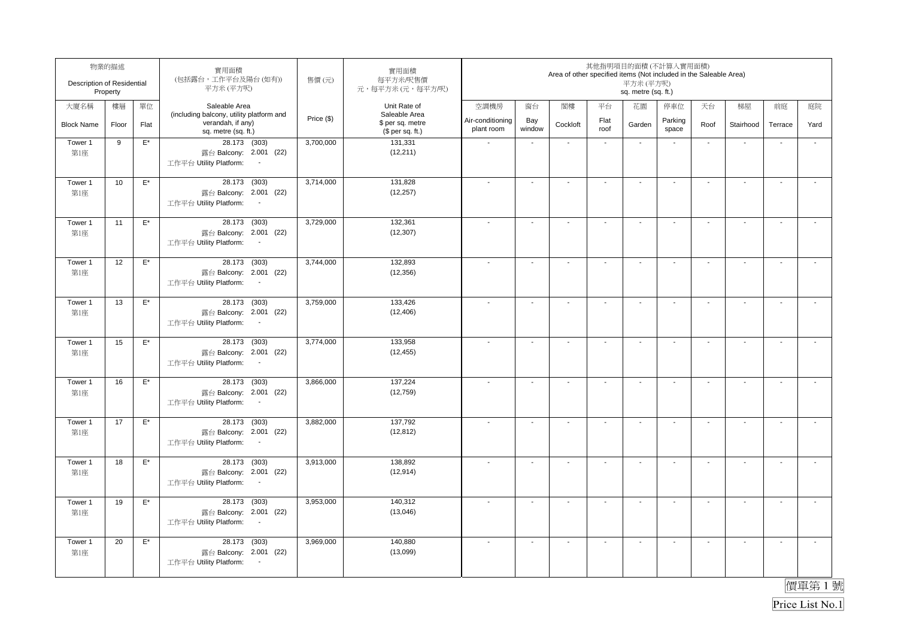| Description of Residential | 物業的描述<br>Property |                    | 實用面積<br>(包括露台,工作平台及陽台(如有))<br>平方米 (平方呎)                                                         | 售價(元)      | 實用面積<br>每平方米/呎售價<br>元,每平方米(元,每平方/呎)                   |                                |                          | Area of other specified items (Not included in the Saleable Area) |                          | 其他指明項目的面積(不計算入實用面積)<br>平方米 (平方呎)<br>sq. metre (sq. ft.) |                          |                          |                          |                          |                          |
|----------------------------|-------------------|--------------------|-------------------------------------------------------------------------------------------------|------------|-------------------------------------------------------|--------------------------------|--------------------------|-------------------------------------------------------------------|--------------------------|---------------------------------------------------------|--------------------------|--------------------------|--------------------------|--------------------------|--------------------------|
| 大廈名稱                       | 樓層                | 單位                 | Saleable Area                                                                                   |            | Unit Rate of                                          | 空調機房                           | 窗台                       | 閣樓                                                                | 平台                       | 花園                                                      | 停車位                      | 天台                       | 梯屋                       | 前庭                       | 庭院                       |
| <b>Block Name</b>          | Floor             | Flat               | (including balcony, utility platform and<br>verandah, if any)<br>sq. metre (sq. ft.)            | Price (\$) | Saleable Area<br>\$ per sq. metre<br>$$$ per sq. ft.) | Air-conditioning<br>plant room | Bay<br>window            | Cockloft                                                          | Flat<br>roof             | Garden                                                  | Parking<br>space         | Roof                     | Stairhood                | Terrace                  | Yard                     |
| Tower 1<br>第1座             | 9                 | $\mathsf{E}^\star$ | 28.173 (303)<br>露台 Balcony: 2.001 (22)<br>工作平台 Utility Platform:<br>$\sim$                      | 3,700,000  | 131,331<br>(12, 211)                                  |                                | $\blacksquare$           | $\blacksquare$                                                    | $\blacksquare$           | $\blacksquare$                                          |                          | $\blacksquare$           | ÷,                       | $\overline{\phantom{a}}$ | ÷,                       |
| Tower 1<br>第1座             | 10                | $\mathsf{E}^\star$ | 28.173<br>(303)<br>露台 Balcony: 2.001 (22)<br>工作平台 Utility Platform:<br>$\sim$                   | 3,714,000  | 131,828<br>(12, 257)                                  |                                | $\blacksquare$           | $\blacksquare$                                                    | $\overline{\phantom{a}}$ | $\blacksquare$                                          | $\overline{\phantom{a}}$ | $\blacksquare$           | $\mathbf{r}$             | $\overline{\phantom{a}}$ | $\overline{a}$           |
| Tower 1<br>第1座             | 11                | $\mathsf{E}^\star$ | 28.173<br>(303)<br>露台 Balcony: 2.001 (22)<br>工作平台 Utility Platform:                             | 3,729,000  | 132,361<br>(12, 307)                                  |                                | $\blacksquare$           | $\overline{\phantom{a}}$                                          | $\blacksquare$           | $\blacksquare$                                          | $\overline{\phantom{a}}$ | $\blacksquare$           | $\sim$                   | $\overline{\phantom{a}}$ | $\blacksquare$           |
| Tower 1<br>第1座             | 12                | $\mathsf{E}^\star$ | 28.173 (303)<br>露台 Balcony: 2.001 (22)<br>工作平台 Utility Platform:<br>$\sim$                      | 3,744,000  | 132,893<br>(12, 356)                                  |                                | $\blacksquare$           | $\blacksquare$                                                    | $\overline{\phantom{a}}$ | $\overline{\phantom{a}}$                                | $\blacksquare$           | $\overline{\phantom{a}}$ | $\blacksquare$           | $\sim$                   | $\overline{\phantom{a}}$ |
| Tower 1<br>第1座             | 13                | $\mathsf{E}^\star$ | 28.173 (303)<br>露台 Balcony: 2.001 (22)<br>工作平台 Utility Platform:<br>$\sim$                      | 3,759,000  | 133,426<br>(12, 406)                                  |                                | $\blacksquare$           | $\blacksquare$                                                    | $\blacksquare$           | $\blacksquare$                                          | $\blacksquare$           | $\blacksquare$           | $\sim$                   | $\overline{\phantom{a}}$ | $\mathbf{r}$             |
| Tower 1<br>第1座             | 15                | $\mathsf{E}^\star$ | 28.173 (303)<br>露台 Balcony: 2.001 (22)<br>工作平台 Utility Platform:<br>$\sim$                      | 3,774,000  | 133,958<br>(12, 455)                                  |                                | $\overline{\phantom{a}}$ | $\blacksquare$                                                    | $\mathbf{r}$             | $\sim$                                                  | $\sim$                   | $\sim$                   | $\mathbf{r}$             | $\mathbf{r}$             | $\mathbf{r}$             |
| Tower 1<br>第1座             | 16                | $\mathsf{E}^\star$ | 28.173 (303)<br>露台 Balcony: 2.001 (22)<br>工作平台 Utility Platform:<br>$\sim$                      | 3,866,000  | 137,224<br>(12, 759)                                  | $\overline{\phantom{a}}$       | $\sim$                   | $\blacksquare$                                                    | $\mathbf{r}$             | $\sim$                                                  | $\sim$                   | $\sim$                   | $\sim$                   | $\sim$                   | $\mathbf{r}$             |
| Tower 1<br>第1座             | 17                | $\mathsf{E}^\star$ | 28.173 (303)<br>露台 Balcony: 2.001 (22)<br>工作平台 Utility Platform:<br>$\sim$                      | 3,882,000  | 137,792<br>(12, 812)                                  |                                | $\overline{\phantom{a}}$ | $\overline{\phantom{a}}$                                          | $\blacksquare$           | $\overline{\phantom{a}}$                                | $\overline{\phantom{a}}$ | $\overline{\phantom{a}}$ | $\overline{\phantom{a}}$ | $\blacksquare$           | $\tilde{\phantom{a}}$    |
| Tower 1<br>第1座             | 18                | $\mathsf{E}^\star$ | 28.173 (303)<br>露台 Balcony: 2.001 (22)<br>工作平台 Utility Platform:<br>$\sim$                      | 3,913,000  | 138,892<br>(12, 914)                                  |                                | $\blacksquare$           | $\blacksquare$                                                    | $\blacksquare$           | $\sim$                                                  | $\overline{\phantom{a}}$ | $\blacksquare$           | $\mathbf{r}$             | $\overline{\phantom{a}}$ | $\tilde{\phantom{a}}$    |
| Tower 1<br>第1座             | 19                | $\mathsf{E}^\star$ | (303)<br>28.173<br>露台 Balcony: 2.001 (22)<br>工作平台 Utility Platform:<br>$\overline{\phantom{a}}$ | 3,953,000  | 140,312<br>(13,046)                                   |                                | L.                       | $\sim$                                                            | $\mathbf{r}$             | $\sim$                                                  | $\overline{\phantom{a}}$ | $\sim$                   | $\sim$                   | L.                       | $\tilde{\phantom{a}}$    |
| Tower 1<br>第1座             | 20                | $\mathsf{E}^\star$ | 28.173 (303)<br>露台 Balcony: 2.001 (22)<br>工作平台 Utility Platform:<br>$\sim$                      | 3,969,000  | 140,880<br>(13,099)                                   |                                | $\blacksquare$           | $\overline{\phantom{a}}$                                          | $\overline{\phantom{a}}$ | $\blacksquare$                                          | $\overline{\phantom{a}}$ | $\blacksquare$           | $\blacksquare$           | $\blacksquare$           | $\overline{\phantom{a}}$ |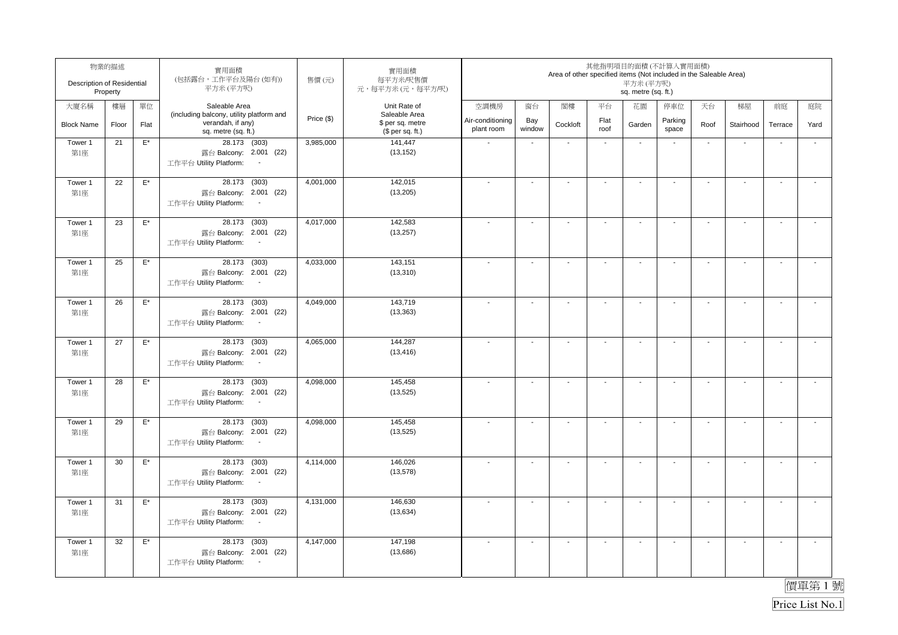| Description of Residential | 物業的描述<br>Property |                    | 實用面積<br>(包括露台,工作平台及陽台(如有))<br>平方米 (平方呎)                                                         | 售價(元)      | 實用面積<br>每平方米/呎售價<br>元,每平方米(元,每平方/呎)                   |                                |                          | Area of other specified items (Not included in the Saleable Area) |                          | 其他指明項目的面積(不計算入實用面積)<br>平方米(平方呎)<br>sq. metre (sq. ft.) |                          |                          |                |                          |                          |
|----------------------------|-------------------|--------------------|-------------------------------------------------------------------------------------------------|------------|-------------------------------------------------------|--------------------------------|--------------------------|-------------------------------------------------------------------|--------------------------|--------------------------------------------------------|--------------------------|--------------------------|----------------|--------------------------|--------------------------|
| 大廈名稱                       | 樓層                | 單位                 | Saleable Area                                                                                   |            | Unit Rate of                                          | 空調機房                           | 窗台                       | 閣樓                                                                | 平台                       | 花園                                                     | 停車位                      | 天台                       | 梯屋             | 前庭                       | 庭院                       |
| <b>Block Name</b>          | Floor             | Flat               | (including balcony, utility platform and<br>verandah, if any)<br>sq. metre (sq. ft.)            | Price (\$) | Saleable Area<br>\$ per sq. metre<br>$$$ per sq. ft.) | Air-conditioning<br>plant room | Bay<br>window            | Cockloft                                                          | Flat<br>roof             | Garden                                                 | Parking<br>space         | Roof                     | Stairhood      | Terrace                  | Yard                     |
| Tower 1<br>第1座             | 21                | $\mathsf{E}^\star$ | 28.173 (303)<br>露台 Balcony: 2.001 (22)<br>工作平台 Utility Platform:                                | 3,985,000  | 141,447<br>(13, 152)                                  |                                | $\blacksquare$           | $\blacksquare$                                                    | $\blacksquare$           | $\blacksquare$                                         |                          | $\blacksquare$           | $\blacksquare$ |                          | $\blacksquare$           |
| Tower 1<br>第1座             | 22                | $\mathsf{E}^\star$ | 28.173 (303)<br>露台 Balcony: 2.001 (22)<br>工作平台 Utility Platform:<br>$\sim$                      | 4,001,000  | 142,015<br>(13, 205)                                  |                                | $\sim$                   | $\overline{a}$                                                    |                          | $\blacksquare$                                         |                          | $\blacksquare$           | $\mathbf{r}$   | $\sim$                   |                          |
| Tower 1<br>第1座             | 23                | $\mathsf{E}^\star$ | 28.173 (303)<br>露台 Balcony: 2.001 (22)<br>工作平台 Utility Platform:<br>$\overline{\phantom{a}}$    | 4,017,000  | 142,583<br>(13, 257)                                  |                                | $\blacksquare$           | $\overline{\phantom{a}}$                                          | $\overline{\phantom{a}}$ | $\blacksquare$                                         |                          | $\blacksquare$           | $\sim$         | $\sim$                   | $\sim$                   |
| Tower 1<br>第1座             | 25                | $\mathsf{E}^\star$ | 28.173 (303)<br>露台 Balcony: 2.001 (22)<br>工作平台 Utility Platform:<br>$\sim$                      | 4,033,000  | 143,151<br>(13, 310)                                  |                                | $\ddot{\phantom{a}}$     | $\sim$                                                            | $\mathbf{r}$             | $\ddot{\phantom{a}}$                                   | $\mathbf{r}$             | $\sim$                   | $\mathbf{r}$   | $\overline{\phantom{a}}$ | $\mathcal{L}$            |
| Tower 1<br>第1座             | 26                | $\mathsf{E}^\star$ | 28.173 (303)<br>露台 Balcony: 2.001 (22)<br>工作平台 Utility Platform:<br>$\sim$                      | 4,049,000  | 143,719<br>(13, 363)                                  | $\overline{\phantom{a}}$       | $\overline{\phantom{a}}$ | $\overline{\phantom{a}}$                                          | $\sim$                   | $\overline{\phantom{a}}$                               | $\sim$                   | $\overline{\phantom{a}}$ | $\sim$         | $\sim$                   | $\sim$                   |
| Tower 1<br>第1座             | 27                | $\mathsf{E}^\star$ | 28.173 (303)<br>露台 Balcony: 2.001 (22)<br>工作平台 Utility Platform:<br>$\sim$                      | 4,065,000  | 144,287<br>(13, 416)                                  |                                | $\mathbf{r}$             | $\blacksquare$                                                    | $\mathbf{r}$             | $\sim$                                                 | $\mathbf{r}$             | $\sim$                   | $\mathbf{r}$   | $\overline{\phantom{a}}$ | $\overline{\phantom{a}}$ |
| Tower 1<br>第1座             | 28                | $\mathsf{E}^\star$ | 28.173 (303)<br>露台 Balcony: 2.001 (22)<br>工作平台 Utility Platform:<br>$\sim$                      | 4,098,000  | 145,458<br>(13, 525)                                  | $\overline{\phantom{a}}$       | $\ddot{\phantom{a}}$     | $\ddot{\phantom{a}}$                                              | $\overline{a}$           | $\sim$                                                 | $\mathbf{r}$             | $\sim$                   | $\mathbf{r}$   | $\overline{\phantom{a}}$ | $\mathcal{L}$            |
| Tower 1<br>第1座             | 29                | $\mathsf{E}^\star$ | 28.173 (303)<br>露台 Balcony: 2.001 (22)<br>工作平台 Utility Platform:<br>$\sim$                      | 4,098,000  | 145,458<br>(13, 525)                                  |                                | $\blacksquare$           | $\blacksquare$                                                    | $\blacksquare$           | $\blacksquare$                                         | $\blacksquare$           | $\blacksquare$           | $\sim$         | $\blacksquare$           | $\overline{\phantom{a}}$ |
| Tower 1<br>第1座             | 30                | $\mathsf{E}^\star$ | 28.173 (303)<br>露台 Balcony: 2.001 (22)<br>工作平台 Utility Platform:<br>$\sim$                      | 4,114,000  | 146,026<br>(13, 578)                                  | $\overline{\phantom{a}}$       | $\sim$                   | $\blacksquare$                                                    | $\blacksquare$           | $\sim$                                                 | $\overline{\phantom{a}}$ | $\blacksquare$           | $\mathbf{r}$   | $\blacksquare$           | $\tilde{\phantom{a}}$    |
| Tower 1<br>第1座             | 31                | $\mathsf{E}^\star$ | (303)<br>28.173<br>露台 Balcony: 2.001 (22)<br>工作平台 Utility Platform:<br>$\overline{\phantom{a}}$ | 4,131,000  | 146,630<br>(13, 634)                                  |                                | $\sim$                   | $\overline{\phantom{a}}$                                          | $\mathbf{r}$             | $\overline{\phantom{a}}$                               | $\sim$                   | $\overline{\phantom{a}}$ | $\sim$         | $\mathbf{r}$             | $\mathcal{L}$            |
| Tower 1<br>第1座             | 32                | $\mathsf{E}^\star$ | 28.173 (303)<br>露台 Balcony: 2.001 (22)<br>工作平台 Utility Platform:<br>$\sim$                      | 4,147,000  | 147,198<br>(13,686)                                   |                                | $\blacksquare$           | $\overline{\phantom{a}}$                                          | $\blacksquare$           | $\blacksquare$                                         | $\overline{\phantom{a}}$ | $\blacksquare$           | $\blacksquare$ | $\blacksquare$           | $\overline{\phantom{a}}$ |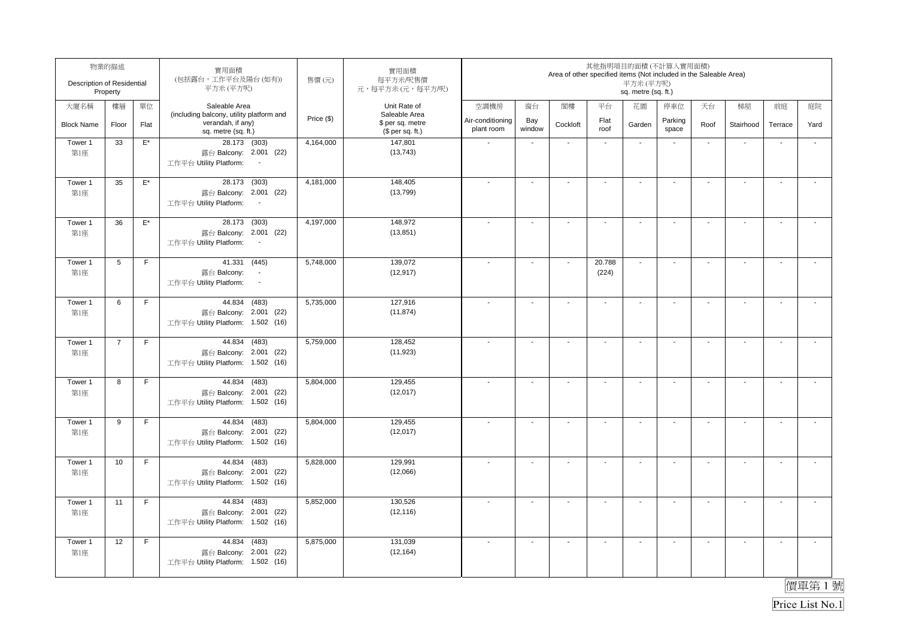| Description of Residential | 物業的描述<br>Property |                    | 實用面積<br>(包括露台,工作平台及陽台(如有))<br>平方米(平方呎)                                                       | 售價(元)      | 實用面積<br>每平方米/呎售價<br>元,每平方米(元,每平方/呎)                   |                                |                          | Area of other specified items (Not included in the Saleable Area) |                          | 其他指明項目的面積(不計算入實用面積)<br>平方米 (平方呎)<br>sq. metre (sq. ft.) |                          |                          |                          |                          |                          |
|----------------------------|-------------------|--------------------|----------------------------------------------------------------------------------------------|------------|-------------------------------------------------------|--------------------------------|--------------------------|-------------------------------------------------------------------|--------------------------|---------------------------------------------------------|--------------------------|--------------------------|--------------------------|--------------------------|--------------------------|
| 大廈名稱                       | 樓層                | 單位                 | Saleable Area                                                                                |            | Unit Rate of                                          | 空調機房                           | 窗台                       | 閣樓                                                                | 平台                       | 花園                                                      | 停車位                      | 天台                       | 梯屋                       | 前庭                       | 庭院                       |
| <b>Block Name</b>          | Floor             | Flat               | (including balcony, utility platform and<br>verandah, if any)<br>sq. metre (sq. ft.)         | Price (\$) | Saleable Area<br>\$ per sq. metre<br>$$$ per sq. ft.) | Air-conditioning<br>plant room | Bay<br>window            | Cockloft                                                          | Flat<br>roof             | Garden                                                  | Parking<br>space         | Roof                     | Stairhood                | Terrace                  | Yard                     |
| Tower 1<br>第1座             | 33                | $\mathsf{E}^\star$ | 28.173 (303)<br>露台 Balcony: 2.001 (22)<br>工作平台 Utility Platform:<br>$\overline{\phantom{a}}$ | 4,164,000  | 147,801<br>(13, 743)                                  |                                |                          | $\overline{\phantom{a}}$                                          | $\overline{\phantom{a}}$ | $\overline{\phantom{a}}$                                |                          | $\blacksquare$           | ÷,                       |                          | $\overline{\phantom{a}}$ |
| Tower 1<br>第1座             | 35                | $\mathsf{E}^\star$ | 28.173<br>(303)<br>露台 Balcony: 2.001 (22)<br>工作平台 Utility Platform:<br>$\sim$                | 4,181,000  | 148,405<br>(13, 799)                                  |                                | $\blacksquare$           | $\overline{a}$                                                    |                          | $\blacksquare$                                          |                          | $\overline{\phantom{a}}$ | $\blacksquare$           |                          |                          |
| Tower 1<br>第1座             | 36                | $\mathsf{E}^\star$ | 28.173 (303)<br>露台 Balcony: 2.001 (22)<br>工作平台 Utility Platform:                             | 4,197,000  | 148,972<br>(13, 851)                                  |                                | $\overline{\phantom{a}}$ |                                                                   | $\overline{\phantom{a}}$ | $\blacksquare$                                          |                          | $\blacksquare$           | $\mathbf{r}$             | $\blacksquare$           | $\mathbf{r}$             |
| Tower 1<br>第1座             | 5                 | F                  | 41.331 (445)<br>露台 Balcony:<br>$\bullet$<br>工作平台 Utility Platform:<br>$\blacksquare$         | 5,748,000  | 139,072<br>(12, 917)                                  |                                | $\blacksquare$           | $\blacksquare$                                                    | 20.788<br>(224)          | $\mathbf{r}$                                            | $\overline{\phantom{a}}$ | $\blacksquare$           | $\sim$                   | $\overline{\phantom{a}}$ | $\blacksquare$           |
| Tower 1<br>第1座             | 6                 | F                  | 44.834 (483)<br>露台 Balcony: 2.001 (22)<br>工作平台 Utility Platform: 1.502 (16)                  | 5,735,000  | 127,916<br>(11, 874)                                  |                                | $\overline{a}$           | $\blacksquare$                                                    | $\sim$                   | $\ddot{\phantom{a}}$                                    | $\blacksquare$           | $\overline{\phantom{a}}$ | $\sim$                   | L.                       | $\mathbf{r}$             |
| Tower 1<br>第1座             | $\overline{7}$    | F                  | 44.834 (483)<br>露台 Balcony: 2.001 (22)<br>工作平台 Utility Platform: 1.502 (16)                  | 5,759,000  | 128,452<br>(11, 923)                                  |                                | $\blacksquare$           | $\blacksquare$                                                    | $\sim$                   | $\overline{\phantom{a}}$                                | $\blacksquare$           | $\overline{\phantom{a}}$ | $\sim$                   | $\sim$                   | $\overline{\phantom{a}}$ |
| Tower 1<br>第1座             | 8                 | F                  | 44.834 (483)<br>露台 Balcony: 2.001 (22)<br>工作平台 Utility Platform: 1.502 (16)                  | 5,804,000  | 129,455<br>(12, 017)                                  |                                | $\sim$                   | $\overline{\phantom{a}}$                                          | $\sim$                   | $\sim$                                                  | $\blacksquare$           | $\sim$                   | $\sim$                   | $\mathbf{r}$             | $\sim$                   |
| Tower 1<br>第1座             | 9                 | F                  | 44.834 (483)<br>露台 Balcony: 2.001 (22)<br>工作平台 Utility Platform: 1.502 (16)                  | 5,804,000  | 129,455<br>(12, 017)                                  |                                | $\sim$                   | $\sim$                                                            | $\sim$                   | $\blacksquare$                                          | $\overline{\phantom{a}}$ | $\blacksquare$           | $\sim$                   | $\sim$                   | $\tilde{\phantom{a}}$    |
| Tower 1<br>第1座             | 10                | F                  | 44.834 (483)<br>露台 Balcony: 2.001 (22)<br>工作平台 Utility Platform: 1.502 (16)                  | 5,828,000  | 129,991<br>(12,066)                                   |                                | $\overline{\phantom{a}}$ | $\overline{\phantom{a}}$                                          | ÷,                       | $\sim$                                                  |                          | $\sim$                   | $\sim$                   | $\sim$                   | $\overline{\phantom{a}}$ |
| Tower 1<br>第1座             | 11                | F                  | 44.834<br>(483)<br>露台 Balcony: 2.001 (22)<br>工作平台 Utility Platform: 1.502 (16)               | 5,852,000  | 130,526<br>(12, 116)                                  |                                | $\overline{\phantom{a}}$ |                                                                   |                          | $\overline{\phantom{a}}$                                |                          | $\blacksquare$           | $\overline{\phantom{a}}$ | $\overline{\phantom{a}}$ | $\mathbf{r}$             |
| Tower 1<br>第1座             | 12                | $\mathsf F$        | 44.834 (483)<br>露台 Balcony: 2.001 (22)<br>工作平台 Utility Platform: 1.502 (16)                  | 5,875,000  | 131,039<br>(12, 164)                                  |                                | $\blacksquare$           | $\overline{\phantom{a}}$                                          | $\overline{\phantom{a}}$ | $\blacksquare$                                          |                          | $\overline{\phantom{a}}$ | $\blacksquare$           | $\overline{\phantom{a}}$ | $\overline{\phantom{a}}$ |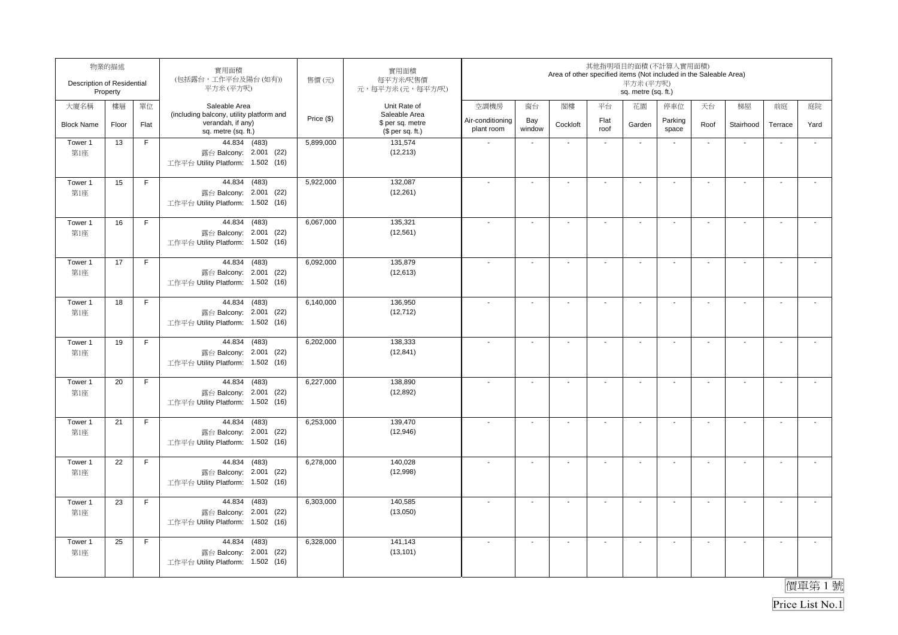| Description of Residential | 物業的描述<br>Property |             | 實用面積<br>(包括露台,工作平台及陽台(如有))<br>平方米(平方呎)                                         | 售價(元)      | 實用面積<br>每平方米/呎售價<br>元,每平方米(元,每平方/呎)  | 其他指明項目的面積(不計算入實用面積)<br>Area of other specified items (Not included in the Saleable Area)<br>平方米 (平方呎)<br>sq. metre (sq. ft.) |                          |                |                          |                          |                          |                          |                          |                      |                          |
|----------------------------|-------------------|-------------|--------------------------------------------------------------------------------|------------|--------------------------------------|------------------------------------------------------------------------------------------------------------------------------|--------------------------|----------------|--------------------------|--------------------------|--------------------------|--------------------------|--------------------------|----------------------|--------------------------|
| 大廈名稱                       | 樓層                | 單位          | Saleable Area<br>(including balcony, utility platform and                      |            | Unit Rate of<br>Saleable Area        | 空調機房                                                                                                                         | 窗台                       | 閣樓             | 平台                       | 花園                       | 停車位                      | 天台                       | 梯屋                       | 前庭                   | 庭院                       |
| <b>Block Name</b>          | Floor             | Flat        | verandah, if any)<br>sq. metre (sq. ft.)                                       | Price (\$) | \$ per sq. metre<br>$$$ per sq. ft.) | Air-conditioning<br>plant room                                                                                               | Bay<br>window            | Cockloft       | Flat<br>roof             | Garden                   | Parking<br>space         | Roof                     | Stairhood                | Terrace              | Yard                     |
| Tower 1<br>第1座             | 13                | $\mathsf F$ | 44.834 (483)<br>露台 Balcony: 2.001 (22)<br>工作平台 Utility Platform: 1.502 (16)    | 5,899,000  | 131,574<br>(12, 213)                 |                                                                                                                              | $\blacksquare$           |                |                          | $\blacksquare$           |                          | $\sim$                   | $\overline{\phantom{a}}$ |                      |                          |
| Tower 1<br>第1座             | 15                | F           | 44.834<br>(483)<br>露台 Balcony: 2.001 (22)<br>工作平台 Utility Platform: 1.502 (16) | 5,922,000  | 132,087<br>(12, 261)                 |                                                                                                                              | $\blacksquare$           |                |                          | $\blacksquare$           |                          | $\blacksquare$           | $\blacksquare$           |                      |                          |
| Tower 1<br>第1座             | 16                | F           | 44.834<br>(483)<br>露台 Balcony: 2.001 (22)<br>工作平台 Utility Platform: 1.502 (16) | 6,067,000  | 135,321<br>(12, 561)                 |                                                                                                                              | $\blacksquare$           |                | $\overline{\phantom{a}}$ | $\blacksquare$           |                          |                          | $\blacksquare$           |                      | $\overline{\phantom{a}}$ |
| Tower 1<br>第1座             | 17                | F           | 44.834 (483)<br>露台 Balcony: 2.001 (22)<br>工作平台 Utility Platform: 1.502 (16)    | 6,092,000  | 135,879<br>(12, 613)                 |                                                                                                                              | $\blacksquare$           | $\blacksquare$ | $\sim$                   | $\blacksquare$           |                          | $\sim$                   | $\blacksquare$           | $\blacksquare$       | $\sim$                   |
| Tower 1<br>第1座             | 18                | F           | 44.834 (483)<br>露台 Balcony: 2.001 (22)<br>工作平台 Utility Platform: 1.502 (16)    | 6,140,000  | 136,950<br>(12, 712)                 |                                                                                                                              | $\overline{\phantom{a}}$ | $\sim$         | $\blacksquare$           | $\mathbf{r}$             | $\overline{\phantom{a}}$ | $\sim$                   | $\sim$                   | $\ddot{\phantom{a}}$ | $\sim$                   |
| Tower 1<br>第1座             | 19                | F           | 44.834 (483)<br>露台 Balcony: 2.001 (22)<br>工作平台 Utility Platform: 1.502 (16)    | 6,202,000  | 138,333<br>(12, 841)                 |                                                                                                                              | $\blacksquare$           | $\overline{a}$ | $\blacksquare$           | $\overline{\phantom{a}}$ |                          | $\sim$                   | $\sim$                   | $\sim$               | $\sim$                   |
| Tower 1<br>第1座             | 20                | F           | 44.834 (483)<br>露台 Balcony: 2.001 (22)<br>工作平台 Utility Platform: 1.502 (16)    | 6,227,000  | 138,890<br>(12, 892)                 |                                                                                                                              | $\sim$                   | $\blacksquare$ | $\overline{a}$           | $\sim$                   | $\overline{\phantom{a}}$ | $\sim$                   | $\sim$                   | $\sim$               | $\sim$                   |
| Tower 1<br>第1座             | 21                | F           | 44.834 (483)<br>露台 Balcony: 2.001 (22)<br>工作平台 Utility Platform: 1.502 (16)    | 6,253,000  | 139,470<br>(12,946)                  |                                                                                                                              | $\blacksquare$           | $\sim$         | $\sim$                   | $\sim$                   | $\overline{\phantom{a}}$ | $\overline{\phantom{a}}$ | $\blacksquare$           | $\blacksquare$       | $\sim$                   |
| Tower 1<br>第1座             | 22                | F           | 44.834 (483)<br>露台 Balcony: 2.001 (22)<br>工作平台 Utility Platform: 1.502 (16)    | 6,278,000  | 140,028<br>(12,998)                  |                                                                                                                              | ÷,                       | $\overline{a}$ |                          | $\sim$                   |                          | $\overline{\phantom{a}}$ | $\mathbf{r}$             | ÷,                   | $\sim$                   |
| Tower 1<br>第1座             | 23                | F           | 44.834<br>(483)<br>露台 Balcony: 2.001 (22)<br>工作平台 Utility Platform: 1.502 (16) | 6,303,000  | 140,585<br>(13,050)                  |                                                                                                                              | $\sim$                   |                | ÷,                       |                          |                          |                          | $\blacksquare$           | ÷,                   | $\mathbf{r}$             |
| Tower 1<br>第1座             | 25                | $\mathsf F$ | 44.834 (483)<br>露台 Balcony: 2.001 (22)<br>工作平台 Utility Platform: 1.502 (16)    | 6,328,000  | 141,143<br>(13, 101)                 |                                                                                                                              | $\overline{\phantom{a}}$ | $\overline{a}$ | $\overline{\phantom{a}}$ | $\blacksquare$           |                          |                          | $\overline{\phantom{a}}$ | $\blacksquare$       | $\blacksquare$           |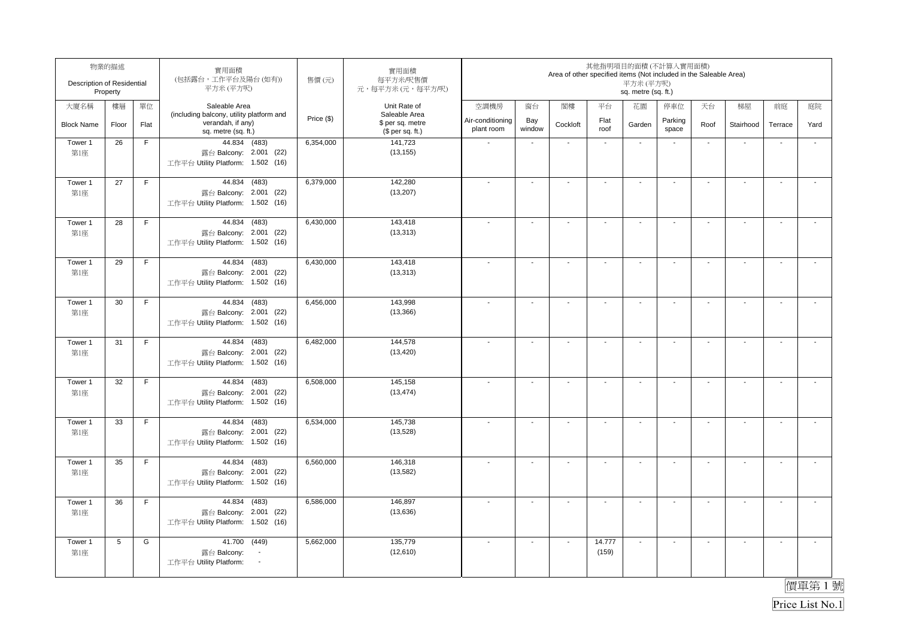| Description of Residential | 物業的描述<br>Property |      | 實用面積<br>(包括露台,工作平台及陽台(如有))<br>平方米(平方呎)                                         | 售價(元)      | 實用面積<br>每平方米/呎售價<br>元,每平方米(元,每平方/呎)  | 其他指明項目的面積(不計算入實用面積)<br>Area of other specified items (Not included in the Saleable Area)<br>平方米(平方呎)<br>sq. metre (sq. ft.) |                          |                          |                       |                          |                          |                          |                          |                          |                      |
|----------------------------|-------------------|------|--------------------------------------------------------------------------------|------------|--------------------------------------|-----------------------------------------------------------------------------------------------------------------------------|--------------------------|--------------------------|-----------------------|--------------------------|--------------------------|--------------------------|--------------------------|--------------------------|----------------------|
| 大廈名稱                       | 樓層                | 單位   | Saleable Area<br>(including balcony, utility platform and                      |            | Unit Rate of<br>Saleable Area        | 空調機房                                                                                                                        | 窗台                       | 閣樓                       | 平台                    | 花園                       | 停車位                      | 天台                       | 梯屋                       | 前庭                       | 庭院                   |
| <b>Block Name</b>          | Floor             | Flat | verandah, if any)<br>sq. metre (sq. ft.)                                       | Price (\$) | \$ per sq. metre<br>$$$ per sq. ft.) | Air-conditioning<br>plant room                                                                                              | Bay<br>window            | Cockloft                 | Flat<br>roof          | Garden                   | Parking<br>space         | Roof                     | Stairhood                | Terrace                  | Yard                 |
| Tower 1<br>第1座             | 26                | F    | 44.834 (483)<br>露台 Balcony: 2.001 (22)<br>工作平台 Utility Platform: 1.502 (16)    | 6,354,000  | 141,723<br>(13, 155)                 |                                                                                                                             | $\blacksquare$           | $\overline{\phantom{a}}$ | $\mathbf{r}$          | $\mathbf{r}$             | $\blacksquare$           | $\mathbf{r}$             | $\blacksquare$           |                          | $\mathbf{r}$         |
| Tower 1<br>第1座             | 27                | F.   | 44.834<br>(483)<br>露台 Balcony: 2.001 (22)<br>工作平台 Utility Platform: 1.502 (16) | 6,379,000  | 142,280<br>(13, 207)                 |                                                                                                                             | $\overline{\phantom{a}}$ | $\sim$                   | $\ddot{\phantom{0}}$  | $\sim$                   |                          | $\sim$                   | $\sim$                   | $\sim$                   |                      |
| Tower 1<br>第1座             | 28                | F    | 44.834<br>(483)<br>露台 Balcony: 2.001 (22)<br>工作平台 Utility Platform: 1.502 (16) | 6,430,000  | 143,418<br>(13, 313)                 |                                                                                                                             | $\mathbf{r}$             | $\blacksquare$           | $\sim$                | $\sim$                   | $\overline{\phantom{a}}$ | $\sim$                   | $\overline{\phantom{a}}$ | $\sim$                   | $\sim$               |
| Tower 1<br>第1座             | 29                | F    | 44.834 (483)<br>露台 Balcony: 2.001 (22)<br>工作平台 Utility Platform: 1.502 (16)    | 6,430,000  | 143,418<br>(13, 313)                 |                                                                                                                             | $\blacksquare$           |                          | $\tilde{\phantom{a}}$ | $\blacksquare$           |                          | $\sim$                   | $\blacksquare$           | $\ddot{\phantom{a}}$     | $\blacksquare$       |
| Tower 1<br>第1座             | 30                | F    | 44.834 (483)<br>露台 Balcony: 2.001 (22)<br>工作平台 Utility Platform: 1.502 (16)    | 6,456,000  | 143,998<br>(13, 366)                 |                                                                                                                             | $\blacksquare$           |                          | $\tilde{\phantom{a}}$ | $\blacksquare$           |                          |                          | $\blacksquare$           |                          |                      |
| Tower 1<br>第1座             | 31                | F    | 44.834 (483)<br>露台 Balcony: 2.001 (22)<br>工作平台 Utility Platform: 1.502 (16)    | 6,482,000  | 144,578<br>(13, 420)                 |                                                                                                                             | $\mathbf{r}$             | $\overline{a}$           | $\blacksquare$        | $\sim$                   |                          |                          | $\blacksquare$           | $\sim$                   | $\sim$               |
| Tower 1<br>第1座             | 32                | F    | 44.834 (483)<br>露台 Balcony: 2.001 (22)<br>工作平台 Utility Platform: 1.502 (16)    | 6,508,000  | 145,158<br>(13, 474)                 |                                                                                                                             | $\blacksquare$           | $\blacksquare$           | $\blacksquare$        | $\blacksquare$           | $\blacksquare$           | $\sim$                   | $\blacksquare$           | $\blacksquare$           | $\blacksquare$       |
| Tower 1<br>第1座             | 33                | F    | 44.834 (483)<br>露台 Balcony: 2.001 (22)<br>工作平台 Utility Platform: 1.502 (16)    | 6,534,000  | 145,738<br>(13,528)                  |                                                                                                                             | $\blacksquare$           | $\sim$                   | $\tilde{\phantom{a}}$ | $\sim$                   | $\overline{\phantom{a}}$ | $\sim$                   | $\mathbf{r}$             | $\blacksquare$           | $\mathbf{r}$         |
| Tower 1<br>第1座             | 35                | F    | 44.834 (483)<br>露台 Balcony: 2.001 (22)<br>工作平台 Utility Platform: 1.502 (16)    | 6,560,000  | 146,318<br>(13, 582)                 |                                                                                                                             | $\overline{a}$           | $\sim$                   | $\sim$                | $\sim$                   | $\overline{\phantom{a}}$ | $\sim$                   | $\sim$                   | $\sim$                   | $\sim$               |
| Tower 1<br>第1座             | 36                | F    | 44.834 (483)<br>露台 Balcony: 2.001 (22)<br>工作平台 Utility Platform: 1.502 (16)    | 6,586,000  | 146,897<br>(13, 636)                 |                                                                                                                             | $\blacksquare$           | $\blacksquare$           | $\blacksquare$        | $\overline{\phantom{a}}$ |                          | $\overline{\phantom{a}}$ | $\blacksquare$           | $\overline{\phantom{a}}$ | $\mathbf{r}$         |
| Tower 1<br>第1座             | 5                 | G    | 41.700 (449)<br>露台 Balcony:<br>工作平台 Utility Platform:<br>$\sim$                | 5,662,000  | 135,779<br>(12,610)                  |                                                                                                                             | $\mathbf{r}$             | $\overline{\phantom{a}}$ | 14.777<br>(159)       | $\sim$                   | $\overline{\phantom{a}}$ | $\sim$                   | $\sim$                   | $\sim$                   | $\ddot{\phantom{a}}$ |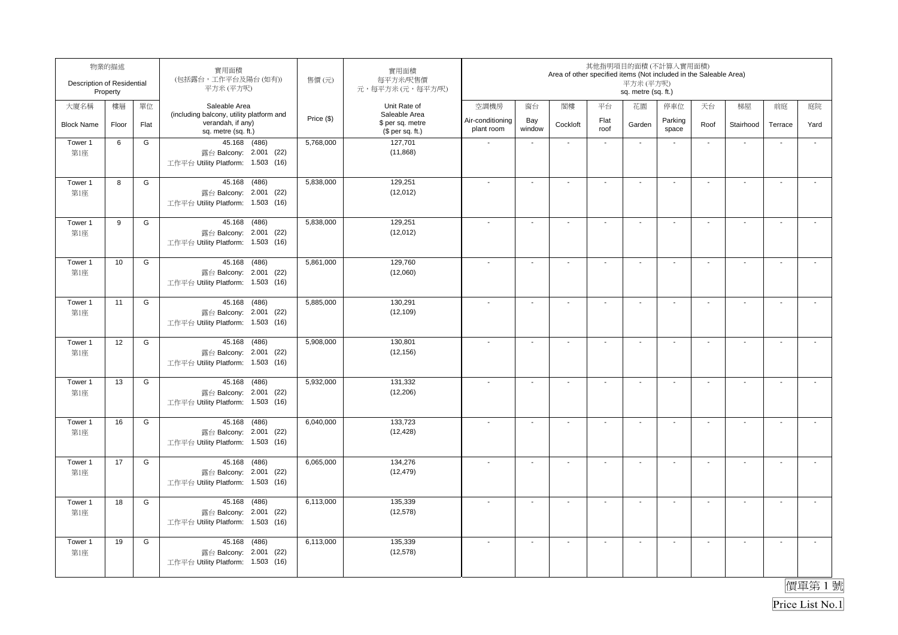| Description of Residential | 物業的描述<br>Property |      | 實用面積<br>(包括露台,工作平台及陽台(如有))<br>平方米(平方呎)                                         | 售價(元)      | 實用面積<br>每平方米/呎售價<br>元,每平方米(元,每平方/呎)  | 其他指明項目的面積(不計算入實用面積)<br>Area of other specified items (Not included in the Saleable Area)<br>平方米 (平方呎)<br>sq. metre (sq. ft.) |                          |                |                          |                          |                          |                          |                          |                      |                          |
|----------------------------|-------------------|------|--------------------------------------------------------------------------------|------------|--------------------------------------|------------------------------------------------------------------------------------------------------------------------------|--------------------------|----------------|--------------------------|--------------------------|--------------------------|--------------------------|--------------------------|----------------------|--------------------------|
| 大廈名稱                       | 樓層                | 單位   | Saleable Area<br>(including balcony, utility platform and                      |            | Unit Rate of<br>Saleable Area        | 空調機房                                                                                                                         | 窗台                       | 閣樓             | 平台                       | 花園                       | 停車位                      | 天台                       | 梯屋                       | 前庭                   | 庭院                       |
| <b>Block Name</b>          | Floor             | Flat | verandah, if any)<br>sq. metre (sq. ft.)                                       | Price (\$) | \$ per sq. metre<br>$$$ per sq. ft.) | Air-conditioning<br>plant room                                                                                               | Bay<br>window            | Cockloft       | Flat<br>roof             | Garden                   | Parking<br>space         | Roof                     | Stairhood                | Terrace              | Yard                     |
| Tower 1<br>第1座             | 6                 | G    | 45.168 (486)<br>露台 Balcony: 2.001 (22)<br>工作平台 Utility Platform: 1.503 (16)    | 5,768,000  | 127,701<br>(11, 868)                 |                                                                                                                              | $\blacksquare$           |                | $\sim$                   | $\blacksquare$           |                          | $\sim$                   | $\overline{\phantom{a}}$ |                      |                          |
| Tower 1<br>第1座             | 8                 | G    | 45.168<br>(486)<br>露台 Balcony: 2.001 (22)<br>工作平台 Utility Platform: 1.503 (16) | 5,838,000  | 129,251<br>(12,012)                  |                                                                                                                              | $\blacksquare$           |                |                          | $\blacksquare$           |                          | $\blacksquare$           | $\blacksquare$           |                      |                          |
| Tower 1<br>第1座             | 9                 | G    | 45.168 (486)<br>露台 Balcony: 2.001 (22)<br>工作平台 Utility Platform: 1.503 (16)    | 5,838,000  | 129,251<br>(12,012)                  |                                                                                                                              | $\blacksquare$           |                | $\overline{\phantom{a}}$ | $\blacksquare$           |                          |                          | $\blacksquare$           |                      | $\overline{\phantom{a}}$ |
| Tower 1<br>第1座             | 10                | G    | 45.168 (486)<br>露台 Balcony: 2.001 (22)<br>工作平台 Utility Platform: 1.503 (16)    | 5,861,000  | 129,760<br>(12,060)                  |                                                                                                                              | $\blacksquare$           | $\blacksquare$ | $\sim$                   | $\blacksquare$           |                          | $\sim$                   | $\blacksquare$           | $\blacksquare$       | $\sim$                   |
| Tower 1<br>第1座             | 11                | G    | 45.168 (486)<br>露台 Balcony: 2.001 (22)<br>工作平台 Utility Platform: 1.503 (16)    | 5,885,000  | 130,291<br>(12, 109)                 |                                                                                                                              | $\overline{\phantom{a}}$ | $\sim$         | $\blacksquare$           | $\mathbf{r}$             | $\overline{\phantom{a}}$ | $\sim$                   | $\sim$                   | $\ddot{\phantom{a}}$ | $\sim$                   |
| Tower 1<br>第1座             | 12                | G    | 45.168 (486)<br>露台 Balcony: 2.001 (22)<br>工作平台 Utility Platform: 1.503 (16)    | 5,908,000  | 130,801<br>(12, 156)                 |                                                                                                                              | $\sim$                   |                | $\blacksquare$           | $\overline{\phantom{a}}$ |                          | $\sim$                   | $\sim$                   | $\sim$               | $\sim$                   |
| Tower 1<br>第1座             | 13                | G    | 45.168 (486)<br>露台 Balcony: 2.001 (22)<br>工作平台 Utility Platform: 1.503 (16)    | 5,932,000  | 131,332<br>(12, 206)                 |                                                                                                                              | $\sim$                   | $\blacksquare$ | $\sim$                   | $\sim$                   | $\overline{\phantom{a}}$ | $\sim$                   | $\sim$                   | $\sim$               | $\sim$                   |
| Tower 1<br>第1座             | 16                | G    | 45.168 (486)<br>露台 Balcony: 2.001 (22)<br>工作平台 Utility Platform: 1.503 (16)    | 6,040,000  | 133,723<br>(12, 428)                 |                                                                                                                              | $\blacksquare$           | $\sim$         | $\sim$                   | $\sim$                   | $\overline{\phantom{a}}$ | $\overline{\phantom{a}}$ | $\blacksquare$           | $\blacksquare$       | $\sim$                   |
| Tower 1<br>第1座             | 17                | G    | 45.168 (486)<br>露台 Balcony: 2.001 (22)<br>工作平台 Utility Platform: 1.503 (16)    | 6,065,000  | 134,276<br>(12, 479)                 |                                                                                                                              | ÷,                       | $\overline{a}$ |                          | $\sim$                   |                          | $\overline{\phantom{a}}$ | $\sim$                   | $\sim$               | $\sim$                   |
| Tower 1<br>第1座             | 18                | G    | 45.168 (486)<br>露台 Balcony: 2.001 (22)<br>工作平台 Utility Platform: 1.503 (16)    | 6,113,000  | 135,339<br>(12, 578)                 |                                                                                                                              | $\blacksquare$           |                | ÷,                       |                          |                          |                          | $\blacksquare$           | ÷,                   | $\mathbf{r}$             |
| Tower 1<br>第1座             | 19                | G    | 45.168 (486)<br>露台 Balcony: 2.001 (22)<br>工作平台 Utility Platform: 1.503 (16)    | 6,113,000  | 135,339<br>(12, 578)                 |                                                                                                                              | $\overline{\phantom{a}}$ | $\overline{a}$ | $\overline{\phantom{a}}$ | $\blacksquare$           |                          |                          | $\overline{\phantom{a}}$ | $\blacksquare$       | $\blacksquare$           |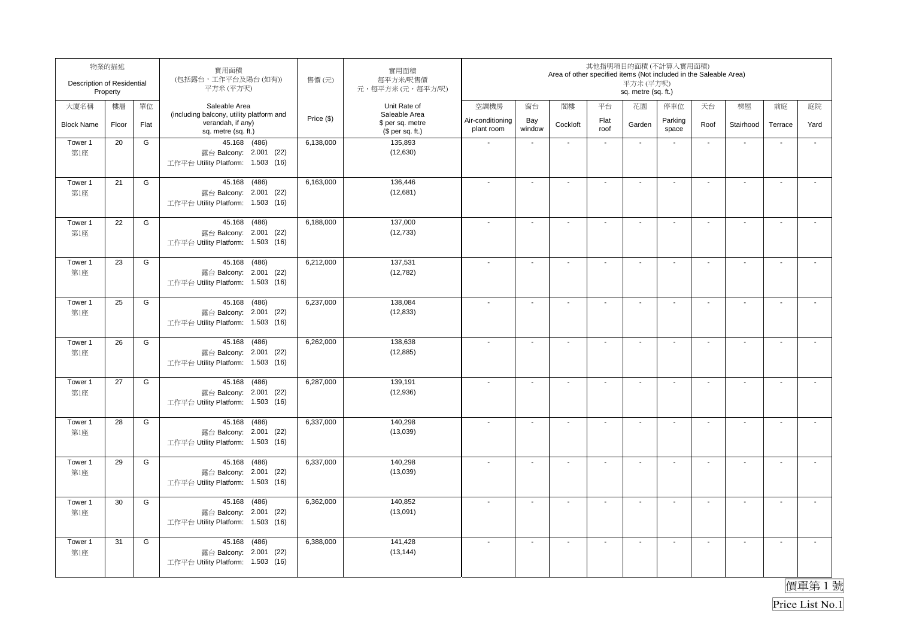| Description of Residential | 物業的描述<br>Property |      | 實用面積<br>(包括露台,工作平台及陽台(如有))<br>平方米(平方呎)                                         | 售價(元)      | 實用面積<br>每平方米/呎售價<br>元,每平方米(元,每平方/呎)  | 其他指明項目的面積(不計算入實用面積)<br>Area of other specified items (Not included in the Saleable Area)<br>平方米 (平方呎)<br>sq. metre (sq. ft.) |                          |                |                          |                          |                          |                          |                          |                      |                          |
|----------------------------|-------------------|------|--------------------------------------------------------------------------------|------------|--------------------------------------|------------------------------------------------------------------------------------------------------------------------------|--------------------------|----------------|--------------------------|--------------------------|--------------------------|--------------------------|--------------------------|----------------------|--------------------------|
| 大廈名稱                       | 樓層                | 單位   | Saleable Area<br>(including balcony, utility platform and                      |            | Unit Rate of<br>Saleable Area        | 空調機房                                                                                                                         | 窗台                       | 閣樓             | 平台                       | 花園                       | 停車位                      | 天台                       | 梯屋                       | 前庭                   | 庭院                       |
| <b>Block Name</b>          | Floor             | Flat | verandah, if any)<br>sq. metre (sq. ft.)                                       | Price (\$) | \$ per sq. metre<br>$$$ per sq. ft.) | Air-conditioning<br>plant room                                                                                               | Bay<br>window            | Cockloft       | Flat<br>roof             | Garden                   | Parking<br>space         | Roof                     | Stairhood                | Terrace              | Yard                     |
| Tower 1<br>第1座             | 20                | G    | 45.168 (486)<br>露台 Balcony: 2.001 (22)<br>工作平台 Utility Platform: 1.503 (16)    | 6,138,000  | 135,893<br>(12, 630)                 |                                                                                                                              | $\blacksquare$           |                | $\sim$                   | $\blacksquare$           |                          | $\sim$                   | $\overline{\phantom{a}}$ |                      |                          |
| Tower 1<br>第1座             | 21                | G    | 45.168<br>(486)<br>露台 Balcony: 2.001 (22)<br>工作平台 Utility Platform: 1.503 (16) | 6,163,000  | 136,446<br>(12,681)                  |                                                                                                                              | $\blacksquare$           |                |                          | $\blacksquare$           |                          | $\blacksquare$           | $\blacksquare$           |                      |                          |
| Tower 1<br>第1座             | 22                | G    | 45.168 (486)<br>露台 Balcony: 2.001 (22)<br>工作平台 Utility Platform: 1.503 (16)    | 6,188,000  | 137,000<br>(12, 733)                 |                                                                                                                              | $\blacksquare$           |                | $\overline{\phantom{a}}$ | $\blacksquare$           |                          |                          | $\blacksquare$           |                      | $\overline{\phantom{a}}$ |
| Tower 1<br>第1座             | 23                | G    | 45.168 (486)<br>露台 Balcony: 2.001 (22)<br>工作平台 Utility Platform: 1.503 (16)    | 6,212,000  | 137,531<br>(12, 782)                 |                                                                                                                              | $\blacksquare$           | $\blacksquare$ | $\sim$                   | $\blacksquare$           |                          | $\sim$                   | $\blacksquare$           | $\blacksquare$       | $\sim$                   |
| Tower 1<br>第1座             | 25                | G    | 45.168 (486)<br>露台 Balcony: 2.001 (22)<br>工作平台 Utility Platform: 1.503 (16)    | 6,237,000  | 138,084<br>(12, 833)                 |                                                                                                                              | $\overline{\phantom{a}}$ | $\sim$         | $\blacksquare$           | $\mathbf{r}$             | $\overline{\phantom{a}}$ | $\sim$                   | $\sim$                   | $\ddot{\phantom{a}}$ | $\sim$                   |
| Tower 1<br>第1座             | 26                | G    | 45.168 (486)<br>露台 Balcony: 2.001 (22)<br>工作平台 Utility Platform: 1.503 (16)    | 6,262,000  | 138,638<br>(12, 885)                 |                                                                                                                              | $\sim$                   | $\blacksquare$ | $\blacksquare$           | $\overline{\phantom{a}}$ |                          | $\sim$                   | $\sim$                   | $\sim$               | $\sim$                   |
| Tower 1<br>第1座             | 27                | G    | 45.168 (486)<br>露台 Balcony: 2.001 (22)<br>工作平台 Utility Platform: 1.503 (16)    | 6,287,000  | 139,191<br>(12, 936)                 |                                                                                                                              | $\sim$                   | $\blacksquare$ | $\sim$                   | $\sim$                   | $\overline{\phantom{a}}$ | $\sim$                   | $\sim$                   | $\sim$               | $\sim$                   |
| Tower 1<br>第1座             | 28                | G    | 45.168 (486)<br>露台 Balcony: 2.001 (22)<br>工作平台 Utility Platform: 1.503 (16)    | 6,337,000  | 140,298<br>(13,039)                  |                                                                                                                              | $\blacksquare$           | $\sim$         | $\sim$                   | $\sim$                   | $\overline{\phantom{a}}$ | $\overline{\phantom{a}}$ | $\blacksquare$           | $\blacksquare$       | $\sim$                   |
| Tower 1<br>第1座             | 29                | G    | 45.168 (486)<br>露台 Balcony: 2.001 (22)<br>工作平台 Utility Platform: 1.503 (16)    | 6,337,000  | 140,298<br>(13,039)                  |                                                                                                                              | ÷,                       | $\overline{a}$ |                          | $\sim$                   |                          | $\overline{\phantom{a}}$ | $\sim$                   | $\sim$               | $\sim$                   |
| Tower 1<br>第1座             | 30                | G    | 45.168 (486)<br>露台 Balcony: 2.001 (22)<br>工作平台 Utility Platform: 1.503 (16)    | 6,362,000  | 140,852<br>(13,091)                  |                                                                                                                              | $\blacksquare$           |                | ÷,                       | $\blacksquare$           |                          |                          | $\blacksquare$           | ÷,                   | $\mathbf{r}$             |
| Tower 1<br>第1座             | 31                | G    | 45.168 (486)<br>露台 Balcony: 2.001 (22)<br>工作平台 Utility Platform: 1.503 (16)    | 6,388,000  | 141,428<br>(13, 144)                 |                                                                                                                              | $\overline{\phantom{a}}$ | $\overline{a}$ | $\overline{\phantom{a}}$ | $\blacksquare$           |                          |                          | $\overline{\phantom{a}}$ | $\blacksquare$       | $\blacksquare$           |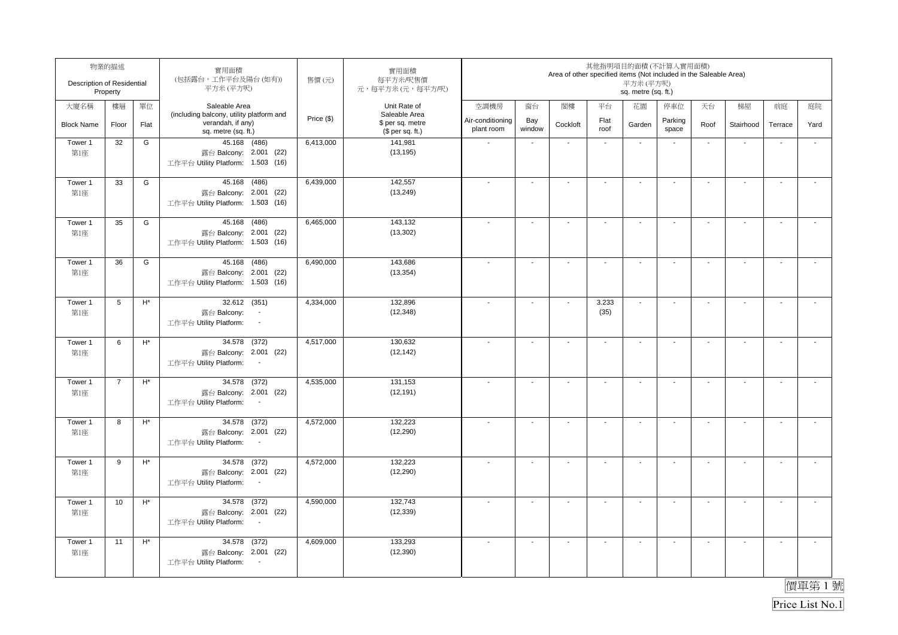| Description of Residential | 物業的描述<br>Property |                | 實用面積<br>(包括露台,工作平台及陽台(如有))<br>平方米 (平方呎)                                                     | 售價(元)      | 實用面積<br>每平方米/呎售價<br>元,每平方米(元,每平方/呎)                   |                                |                          | Area of other specified items (Not included in the Saleable Area) |                          | 其他指明項目的面積(不計算入實用面積)<br>平方米 (平方呎)<br>sq. metre (sq. ft.) |                          |                          |                          |                          |                          |
|----------------------------|-------------------|----------------|---------------------------------------------------------------------------------------------|------------|-------------------------------------------------------|--------------------------------|--------------------------|-------------------------------------------------------------------|--------------------------|---------------------------------------------------------|--------------------------|--------------------------|--------------------------|--------------------------|--------------------------|
| 大廈名稱                       | 樓層                | 單位             | Saleable Area                                                                               |            | Unit Rate of                                          | 空調機房                           | 窗台                       | 閣樓                                                                | 平台                       | 花園                                                      | 停車位                      | 天台                       | 梯屋                       | 前庭                       | 庭院                       |
| <b>Block Name</b>          | Floor             | Flat           | (including balcony, utility platform and<br>verandah, if any)<br>sq. metre (sq. ft.)        | Price (\$) | Saleable Area<br>\$ per sq. metre<br>$$$ per sq. ft.) | Air-conditioning<br>plant room | Bay<br>window            | Cockloft                                                          | Flat<br>roof             | Garden                                                  | Parking<br>space         | Roof                     | Stairhood                | Terrace                  | Yard                     |
| Tower 1<br>第1座             | 32                | G              | 45.168 (486)<br>露台 Balcony: 2.001 (22)<br>工作平台 Utility Platform: 1.503 (16)                 | 6,413,000  | 141,981<br>(13, 195)                                  |                                | $\blacksquare$           | $\blacksquare$                                                    | $\blacksquare$           | $\blacksquare$                                          |                          | $\blacksquare$           | ÷,                       |                          | ÷,                       |
| Tower 1<br>第1座             | 33                | G              | 45.168 (486)<br>露台 Balcony: 2.001 (22)<br>工作平台 Utility Platform: 1.503 (16)                 | 6,439,000  | 142,557<br>(13, 249)                                  |                                | $\blacksquare$           | $\blacksquare$                                                    | $\overline{\phantom{a}}$ | $\blacksquare$                                          | $\overline{\phantom{a}}$ | $\blacksquare$           | $\mathbf{r}$             | $\overline{\phantom{a}}$ | $\overline{a}$           |
| Tower 1<br>第1座             | 35                | G              | 45.168<br>(486)<br>露台 Balcony: 2.001 (22)<br>工作平台 Utility Platform: 1.503 (16)              | 6,465,000  | 143,132<br>(13, 302)                                  |                                | $\blacksquare$           | $\overline{\phantom{a}}$                                          | $\blacksquare$           | $\blacksquare$                                          |                          | $\blacksquare$           | $\blacksquare$           |                          | $\blacksquare$           |
| Tower 1<br>第1座             | 36                | G              | 45.168 (486)<br>露台 Balcony: 2.001 (22)<br>工作平台 Utility Platform: 1.503 (16)                 | 6,490,000  | 143,686<br>(13, 354)                                  |                                | $\overline{\phantom{a}}$ | $\blacksquare$                                                    | $\overline{\phantom{a}}$ | $\overline{\phantom{a}}$                                | $\blacksquare$           | $\overline{\phantom{a}}$ | $\blacksquare$           | $\sim$                   | $\overline{\phantom{a}}$ |
| Tower 1<br>第1座             | 5                 | $\mathsf{H}^*$ | 32.612 (351)<br>露台 Balcony:<br>$\overline{\phantom{a}}$<br>工作平台 Utility Platform:<br>$\sim$ | 4,334,000  | 132,896<br>(12, 348)                                  |                                | $\blacksquare$           | $\blacksquare$                                                    | 3.233<br>(35)            | $\mathbf{r}$                                            | $\blacksquare$           | $\blacksquare$           | $\mathbf{r}$             | $\overline{\phantom{a}}$ | $\mathbf{r}$             |
| Tower 1<br>第1座             | 6                 | $\mathsf{H}^*$ | 34.578 (372)<br>露台 Balcony: 2.001 (22)<br>工作平台 Utility Platform:<br>$\sim$                  | 4,517,000  | 130,632<br>(12, 142)                                  |                                | $\overline{\phantom{a}}$ | $\overline{\phantom{a}}$                                          | $\mathbf{r}$             | $\sim$                                                  | $\sim$                   | $\sim$                   | $\mathbf{r}$             | $\sim$                   | $\mathbf{r}$             |
| Tower 1<br>第1座             | $\overline{7}$    | $\mathsf{H}^*$ | 34.578 (372)<br>露台 Balcony: 2.001 (22)<br>工作平台 Utility Platform:<br>$\sim$                  | 4,535,000  | 131,153<br>(12, 191)                                  |                                | $\ddot{\phantom{a}}$     | $\blacksquare$                                                    | $\mathbf{r}$             | $\sim$                                                  | $\sim$                   | $\sim$                   | $\sim$                   | $\sim$                   | $\mathbf{r}$             |
| Tower 1<br>第1座             | 8                 | $H^*$          | 34.578 (372)<br>露台 Balcony: 2.001 (22)<br>工作平台 Utility Platform:<br>$\sim$                  | 4,572,000  | 132,223<br>(12, 290)                                  |                                | $\overline{\phantom{a}}$ | $\overline{\phantom{a}}$                                          | $\blacksquare$           | $\overline{\phantom{a}}$                                | $\overline{\phantom{a}}$ | $\overline{\phantom{a}}$ | $\overline{\phantom{a}}$ | $\blacksquare$           | $\tilde{\phantom{a}}$    |
| Tower 1<br>第1座             | 9                 | $H^*$          | 34.578 (372)<br>露台 Balcony: 2.001 (22)<br>工作平台 Utility Platform:<br>$\sim$                  | 4,572,000  | 132,223<br>(12, 290)                                  |                                | $\blacksquare$           | $\blacksquare$                                                    | $\blacksquare$           | $\blacksquare$                                          | $\blacksquare$           | $\blacksquare$           | $\mathbf{r}$             | $\overline{\phantom{a}}$ | $\tilde{\phantom{a}}$    |
| Tower 1<br>第1座             | 10                | $H^*$          | (372)<br>34.578<br>露台 Balcony: 2.001 (22)<br>工作平台 Utility Platform:<br>$\blacksquare$       | 4,590,000  | 132.743<br>(12, 339)                                  |                                | L.                       | $\sim$                                                            | $\mathbf{r}$             | $\sim$                                                  | $\mathbf{r}$             | $\sim$                   | $\sim$                   | L.                       | $\tilde{\phantom{a}}$    |
| Tower 1<br>第1座             | 11                | $H^*$          | 34.578 (372)<br>露台 Balcony: 2.001 (22)<br>工作平台 Utility Platform:<br>$\sim$                  | 4,609,000  | 133,293<br>(12, 390)                                  |                                | $\overline{a}$           | $\overline{\phantom{a}}$                                          | $\overline{\phantom{a}}$ | $\blacksquare$                                          | $\overline{\phantom{a}}$ | $\blacksquare$           | $\blacksquare$           | $\blacksquare$           | $\sim$                   |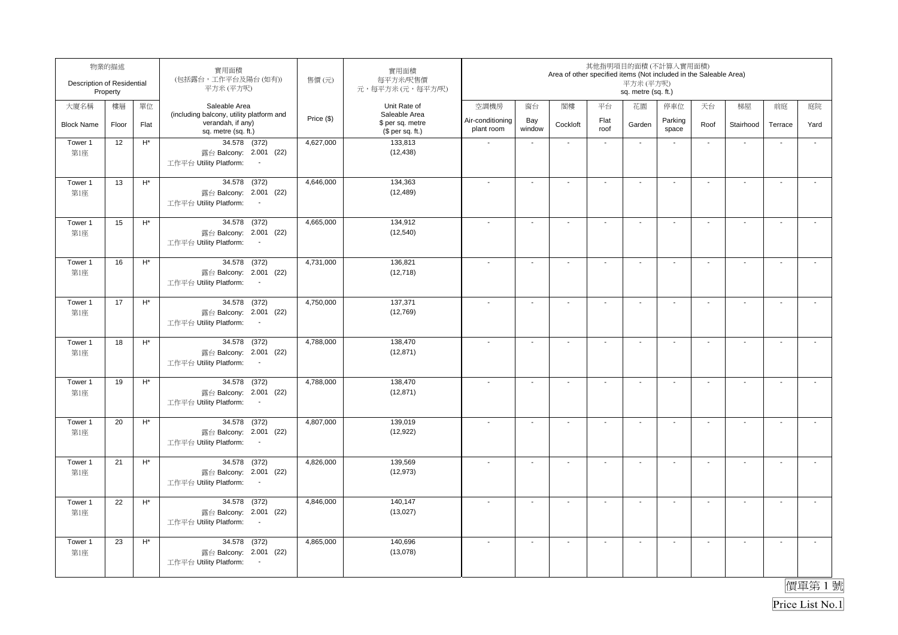| Description of Residential | 物業的描述<br>Property |                    | 實用面積<br>(包括露台,工作平台及陽台(如有))<br>平方米(平方呎)                                                          | 售價(元)      | 實用面積<br>每平方米/呎售價<br>元,每平方米(元,每平方/呎)                   |                                |                          | Area of other specified items (Not included in the Saleable Area) |                          | 其他指明項目的面積(不計算入實用面積)<br>平方米 (平方呎)<br>sq. metre (sq. ft.) |                          |                          |                          |                          |                          |
|----------------------------|-------------------|--------------------|-------------------------------------------------------------------------------------------------|------------|-------------------------------------------------------|--------------------------------|--------------------------|-------------------------------------------------------------------|--------------------------|---------------------------------------------------------|--------------------------|--------------------------|--------------------------|--------------------------|--------------------------|
| 大廈名稱                       | 樓層                | 單位                 | Saleable Area                                                                                   |            | Unit Rate of                                          | 空調機房                           | 窗台                       | 閣樓                                                                | 平台                       | 花園                                                      | 停車位                      | 天台                       | 梯屋                       | 前庭                       | 庭院                       |
| <b>Block Name</b>          | Floor             | Flat               | (including balcony, utility platform and<br>verandah, if any)<br>sq. metre (sq. ft.)            | Price (\$) | Saleable Area<br>\$ per sq. metre<br>$$$ per sq. ft.) | Air-conditioning<br>plant room | Bay<br>window            | Cockloft                                                          | Flat<br>roof             | Garden                                                  | Parking<br>space         | Roof                     | Stairhood                | Terrace                  | Yard                     |
| Tower 1<br>第1座             | 12                | $\mathsf{H}^\star$ | 34.578 (372)<br>露台 Balcony: 2.001 (22)<br>工作平台 Utility Platform:<br>$\overline{\phantom{a}}$    | 4,627,000  | 133,813<br>(12, 438)                                  |                                | $\blacksquare$           | $\blacksquare$                                                    | $\blacksquare$           | $\blacksquare$                                          | $\overline{\phantom{a}}$ | $\blacksquare$           | ÷,                       | $\overline{\phantom{a}}$ | $\tilde{\phantom{a}}$    |
| Tower 1<br>第1座             | 13                | $\mathsf{H}^\star$ | 34.578 (372)<br>露台 Balcony: 2.001 (22)<br>工作平台 Utility Platform:<br>$\sim$                      | 4,646,000  | 134,363<br>(12, 489)                                  |                                | $\blacksquare$           | $\blacksquare$                                                    | $\blacksquare$           | $\blacksquare$                                          | $\overline{\phantom{a}}$ | $\blacksquare$           | $\mathbf{r}$             | $\overline{\phantom{a}}$ | $\overline{a}$           |
| Tower 1<br>第1座             | 15                | $\mathsf{H}^*$     | (372)<br>34.578<br>露台 Balcony: 2.001 (22)<br>工作平台 Utility Platform:                             | 4,665,000  | 134,912<br>(12, 540)                                  |                                | $\blacksquare$           | $\overline{\phantom{a}}$                                          | $\blacksquare$           | $\blacksquare$                                          | $\overline{\phantom{a}}$ | $\blacksquare$           | $\sim$                   | $\overline{\phantom{a}}$ | $\tilde{\phantom{a}}$    |
| Tower 1<br>第1座             | 16                | $\mathsf{H}^*$     | 34.578 (372)<br>露台 Balcony: 2.001 (22)<br>工作平台 Utility Platform:<br>$\sim$                      | 4,731,000  | 136,821<br>(12, 718)                                  |                                | $\blacksquare$           | $\blacksquare$                                                    | $\overline{\phantom{a}}$ | $\overline{\phantom{a}}$                                | $\blacksquare$           | $\overline{\phantom{a}}$ | $\blacksquare$           | $\sim$                   | $\overline{\phantom{a}}$ |
| Tower 1<br>第1座             | 17                | $\mathsf{H}^*$     | 34.578 (372)<br>露台 Balcony: 2.001 (22)<br>工作平台 Utility Platform:<br>$\sim$                      | 4,750,000  | 137,371<br>(12,769)                                   |                                | $\blacksquare$           | $\blacksquare$                                                    | $\blacksquare$           | $\blacksquare$                                          | $\blacksquare$           | $\blacksquare$           | $\mathbf{r}$             | $\overline{\phantom{a}}$ | $\mathbf{r}$             |
| Tower 1<br>第1座             | 18                | $\mathsf{H}^*$     | 34.578 (372)<br>露台 Balcony: 2.001 (22)<br>工作平台 Utility Platform:<br>$\sim$                      | 4,788,000  | 138,470<br>(12, 871)                                  |                                | $\overline{\phantom{a}}$ | $\blacksquare$                                                    | $\mathbf{r}$             | $\sim$                                                  | $\sim$                   | $\sim$                   | $\mathbf{r}$             | $\mathbf{r}$             | $\mathcal{L}$            |
| Tower 1<br>第1座             | 19                | $\mathsf{H}^*$     | 34.578 (372)<br>露台 Balcony: 2.001 (22)<br>工作平台 Utility Platform:<br>$\sim$                      | 4,788,000  | 138,470<br>(12, 871)                                  | $\overline{\phantom{a}}$       | $\sim$                   | $\blacksquare$                                                    | $\mathbf{r}$             | $\sim$                                                  | $\sim$                   | $\sim$                   | $\sim$                   | $\sim$                   | $\mathbf{r}$             |
| Tower 1<br>第1座             | 20                | $H^*$              | 34.578 (372)<br>露台 Balcony: 2.001 (22)<br>工作平台 Utility Platform:<br>$\sim$                      | 4,807,000  | 139,019<br>(12, 922)                                  |                                | $\overline{\phantom{a}}$ | $\overline{\phantom{a}}$                                          | $\blacksquare$           | $\overline{\phantom{a}}$                                | $\overline{\phantom{a}}$ | $\overline{\phantom{a}}$ | $\overline{\phantom{a}}$ | $\blacksquare$           | $\tilde{\phantom{a}}$    |
| Tower 1<br>第1座             | 21                | $H^*$              | 34.578 (372)<br>露台 Balcony: 2.001 (22)<br>工作平台 Utility Platform:<br>$\sim$                      | 4,826,000  | 139,569<br>(12, 973)                                  |                                | $\blacksquare$           | $\blacksquare$                                                    | $\blacksquare$           | $\sim$                                                  | $\overline{\phantom{a}}$ | $\blacksquare$           | $\mathbf{r}$             | $\overline{\phantom{a}}$ | $\tilde{\phantom{a}}$    |
| Tower 1<br>第1座             | 22                | $H^*$              | (372)<br>34.578<br>露台 Balcony: 2.001 (22)<br>工作平台 Utility Platform:<br>$\overline{\phantom{a}}$ | 4,846,000  | 140,147<br>(13,027)                                   |                                | ä,                       | $\sim$                                                            | $\mathbf{r}$             | $\sim$                                                  | $\overline{\phantom{a}}$ | $\sim$                   | $\sim$                   | L.                       | $\tilde{\phantom{a}}$    |
| Tower 1<br>第1座             | 23                | $H^*$              | 34.578 (372)<br>露台 Balcony: 2.001 (22)<br>工作平台 Utility Platform:<br>$\sim$                      | 4,865,000  | 140,696<br>(13,078)                                   |                                | $\blacksquare$           | $\overline{\phantom{a}}$                                          | $\overline{\phantom{a}}$ | $\blacksquare$                                          | $\overline{\phantom{a}}$ | $\blacksquare$           | $\blacksquare$           | $\blacksquare$           | $\overline{\phantom{a}}$ |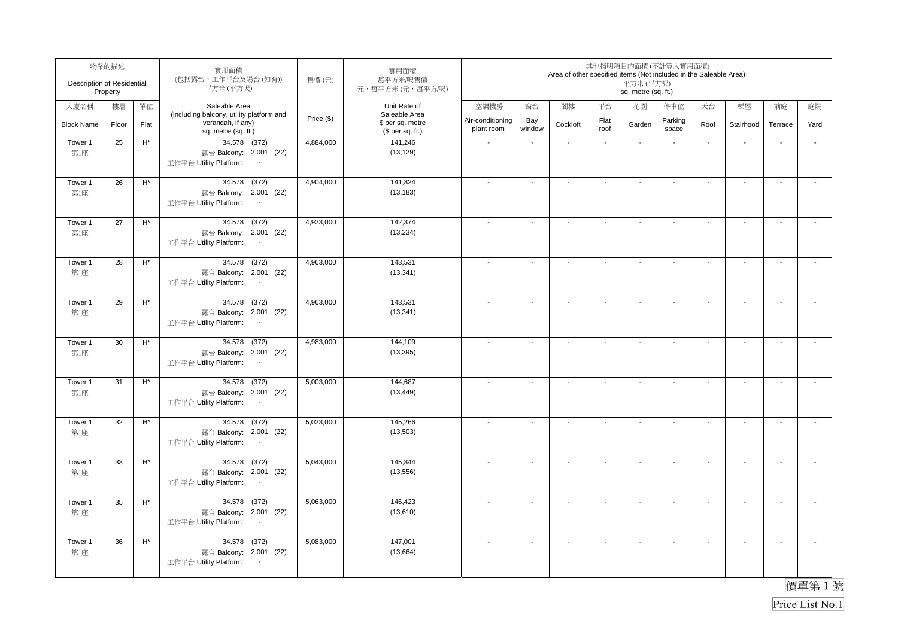| Description of Residential | 物業的描述<br>Property |                    | 實用面積<br>(包括露台,工作平台及陽台(如有))<br>平方米(平方呎)                                                          | 售價(元)      | 實用面積<br>每平方米/呎售價<br>元,每平方米(元,每平方/呎)                   |                                |                          | Area of other specified items (Not included in the Saleable Area) |                          | 其他指明項目的面積(不計算入實用面積)<br>平方米 (平方呎)<br>sq. metre (sq. ft.) |                          |                          |                          |                          |                          |
|----------------------------|-------------------|--------------------|-------------------------------------------------------------------------------------------------|------------|-------------------------------------------------------|--------------------------------|--------------------------|-------------------------------------------------------------------|--------------------------|---------------------------------------------------------|--------------------------|--------------------------|--------------------------|--------------------------|--------------------------|
| 大廈名稱                       | 樓層                | 單位                 | Saleable Area                                                                                   |            | Unit Rate of                                          | 空調機房                           | 窗台                       | 閣樓                                                                | 平台                       | 花園                                                      | 停車位                      | 天台                       | 梯屋                       | 前庭                       | 庭院                       |
| <b>Block Name</b>          | Floor             | Flat               | (including balcony, utility platform and<br>verandah, if any)<br>sq. metre (sq. ft.)            | Price (\$) | Saleable Area<br>\$ per sq. metre<br>$$$ per sq. ft.) | Air-conditioning<br>plant room | Bay<br>window            | Cockloft                                                          | Flat<br>roof             | Garden                                                  | Parking<br>space         | Roof                     | Stairhood                | Terrace                  | Yard                     |
| Tower 1<br>第1座             | 25                | $\mathsf{H}^\star$ | 34.578 (372)<br>露台 Balcony: 2.001 (22)<br>工作平台 Utility Platform:<br>$\sim$                      | 4,884,000  | 141,246<br>(13, 129)                                  |                                | $\blacksquare$           | $\blacksquare$                                                    | $\blacksquare$           | $\blacksquare$                                          | $\overline{\phantom{a}}$ | $\blacksquare$           | ÷,                       | $\overline{\phantom{a}}$ | $\tilde{\phantom{a}}$    |
| Tower 1<br>第1座             | 26                | $\mathsf{H}^\star$ | 34.578 (372)<br>露台 Balcony: 2.001 (22)<br>工作平台 Utility Platform:<br>$\sim$                      | 4,904,000  | 141,824<br>(13, 183)                                  |                                | $\blacksquare$           | $\blacksquare$                                                    | $\overline{\phantom{a}}$ | $\blacksquare$                                          | $\overline{\phantom{a}}$ | $\blacksquare$           | $\mathbf{r}$             | $\overline{\phantom{a}}$ | $\overline{a}$           |
| Tower 1<br>第1座             | 27                | $\mathsf{H}^*$     | (372)<br>34.578<br>露台 Balcony: 2.001 (22)<br>工作平台 Utility Platform:                             | 4,923,000  | 142.374<br>(13, 234)                                  |                                | $\blacksquare$           | $\overline{\phantom{a}}$                                          | $\blacksquare$           | $\blacksquare$                                          | $\overline{\phantom{a}}$ | $\blacksquare$           | $\sim$                   | $\overline{\phantom{a}}$ | $\tilde{\phantom{a}}$    |
| Tower 1<br>第1座             | 28                | $\mathsf{H}^*$     | 34.578 (372)<br>露台 Balcony: 2.001 (22)<br>工作平台 Utility Platform:<br>$\sim$                      | 4,963,000  | 143,531<br>(13, 341)                                  |                                | $\blacksquare$           | $\blacksquare$                                                    | $\overline{\phantom{a}}$ | $\overline{\phantom{a}}$                                | $\blacksquare$           | $\overline{\phantom{a}}$ | $\blacksquare$           | $\sim$                   | $\overline{\phantom{a}}$ |
| Tower 1<br>第1座             | 29                | $\mathsf{H}^*$     | 34.578 (372)<br>露台 Balcony: 2.001 (22)<br>工作平台 Utility Platform:<br>$\sim$                      | 4,963,000  | 143,531<br>(13, 341)                                  |                                | $\blacksquare$           | $\blacksquare$                                                    | $\blacksquare$           | $\blacksquare$                                          | $\blacksquare$           | $\blacksquare$           | $\mathbf{r}$             | $\overline{\phantom{a}}$ | $\mathbf{r}$             |
| Tower 1<br>第1座             | 30                | $\mathsf{H}^*$     | 34.578 (372)<br>露台 Balcony: 2.001 (22)<br>工作平台 Utility Platform:<br>$\sim$                      | 4,983,000  | 144,109<br>(13, 395)                                  |                                | $\overline{\phantom{a}}$ | $\blacksquare$                                                    | $\mathbf{r}$             | $\sim$                                                  | $\sim$                   | $\sim$                   | $\mathbf{r}$             | $\mathbf{r}$             | $\mathcal{L}$            |
| Tower 1<br>第1座             | 31                | $\mathsf{H}^*$     | 34.578 (372)<br>露台 Balcony: 2.001 (22)<br>工作平台 Utility Platform:<br>$\sim$                      | 5,003,000  | 144,687<br>(13, 449)                                  | $\overline{\phantom{a}}$       | $\ddot{\phantom{a}}$     | $\blacksquare$                                                    | $\mathbf{r}$             | $\sim$                                                  | $\sim$                   | $\sim$                   | $\mathbf{r}$             | $\sim$                   | $\mathbf{r}$             |
| Tower 1<br>第1座             | 32                | $H^*$              | 34.578 (372)<br>露台 Balcony: 2.001 (22)<br>工作平台 Utility Platform:<br>$\sim$                      | 5,023,000  | 145,266<br>(13,503)                                   |                                | $\overline{\phantom{a}}$ | $\overline{\phantom{a}}$                                          | $\blacksquare$           | $\overline{\phantom{a}}$                                | $\overline{\phantom{a}}$ | $\overline{\phantom{a}}$ | $\overline{\phantom{a}}$ | $\blacksquare$           | $\tilde{\phantom{a}}$    |
| Tower 1<br>第1座             | 33                | $H^*$              | 34.578 (372)<br>露台 Balcony: 2.001 (22)<br>工作平台 Utility Platform:<br>$\sim$                      | 5,043,000  | 145,844<br>(13, 556)                                  |                                | $\blacksquare$           | $\blacksquare$                                                    | $\blacksquare$           | $\sim$                                                  | $\overline{\phantom{a}}$ | $\blacksquare$           | $\mathbf{r}$             | $\overline{\phantom{a}}$ | $\tilde{\phantom{a}}$    |
| Tower 1<br>第1座             | 35                | $H^*$              | (372)<br>34.578<br>露台 Balcony: 2.001 (22)<br>工作平台 Utility Platform:<br>$\overline{\phantom{a}}$ | 5,063,000  | 146.423<br>(13,610)                                   |                                | ä,                       | $\sim$                                                            | $\mathbf{r}$             | $\sim$                                                  | $\overline{\phantom{a}}$ | $\sim$                   | $\sim$                   | L.                       | $\tilde{\phantom{a}}$    |
| Tower 1<br>第1座             | 36                | $H^*$              | 34.578 (372)<br>露台 Balcony: 2.001 (22)<br>工作平台 Utility Platform:<br>$\sim$                      | 5,083,000  | 147,001<br>(13,664)                                   |                                | $\blacksquare$           | $\overline{\phantom{a}}$                                          | $\overline{\phantom{a}}$ | $\blacksquare$                                          | $\overline{\phantom{a}}$ | $\blacksquare$           | $\blacksquare$           | $\blacksquare$           | $\overline{\phantom{a}}$ |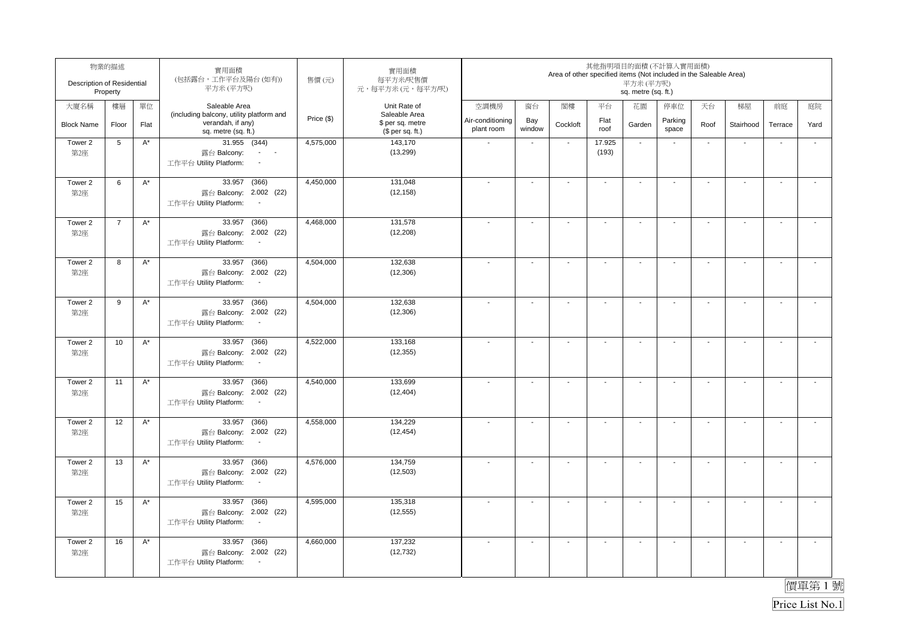| Description of Residential | 物業的描述<br>Property |                      | 實用面積<br>(包括露台,工作平台及陽台(如有))<br>平方米(平方呎)                                                          | 售價(元)      | 實用面積<br>每平方米/呎售價<br>元,每平方米(元,每平方/呎)                   |                                |                          | Area of other specified items (Not included in the Saleable Area) |                          | 平方米 (平方呎)<br>sq. metre (sq. ft.) | 其他指明項目的面積(不計算入實用面積)      |                          |                          |                          |                          |
|----------------------------|-------------------|----------------------|-------------------------------------------------------------------------------------------------|------------|-------------------------------------------------------|--------------------------------|--------------------------|-------------------------------------------------------------------|--------------------------|----------------------------------|--------------------------|--------------------------|--------------------------|--------------------------|--------------------------|
| 大廈名稱                       | 樓層                | 單位                   | Saleable Area                                                                                   |            | Unit Rate of                                          | 空調機房                           | 窗台                       | 閣樓                                                                | 平台                       | 花園                               | 停車位                      | 天台                       | 梯屋                       | 前庭                       | 庭院                       |
| <b>Block Name</b>          | Floor             | Flat                 | (including balcony, utility platform and<br>verandah, if any)<br>sq. metre (sq. ft.)            | Price (\$) | Saleable Area<br>\$ per sq. metre<br>$$$ per sq. ft.) | Air-conditioning<br>plant room | Bay<br>window            | Cockloft                                                          | Flat<br>roof             | Garden                           | Parking<br>space         | Roof                     | Stairhood                | Terrace                  | Yard                     |
| Tower 2<br>第2座             | 5                 | $A^*$                | $31.955$ (344)<br>露台 Balcony:<br>$\sigma_{\rm{max}}=0.5$<br>工作平台 Utility Platform:              | 4,575,000  | 143,170<br>(13, 299)                                  |                                | $\blacksquare$           | $\sim$                                                            | 17.925<br>(193)          | $\sim$                           | $\overline{\phantom{a}}$ | $\blacksquare$           | ÷,                       | $\overline{\phantom{a}}$ | ÷,                       |
| Tower 2<br>第2座             | 6                 | $A^*$                | 33.957<br>(366)<br>露台 Balcony: 2.002 (22)<br>工作平台 Utility Platform:<br>$\sim$                   | 4,450,000  | 131,048<br>(12, 158)                                  |                                | $\blacksquare$           | $\overline{a}$                                                    | $\overline{\phantom{a}}$ | $\blacksquare$                   | $\overline{\phantom{a}}$ | $\blacksquare$           | $\sim$                   | $\overline{\phantom{a}}$ | $\overline{a}$           |
| Tower 2<br>第2座             | $\overline{7}$    | $A^*$                | 33.957<br>(366)<br>露台 Balcony: 2.002 (22)<br>工作平台 Utility Platform:                             | 4,468,000  | 131,578<br>(12, 208)                                  |                                | $\blacksquare$           | $\overline{\phantom{a}}$                                          | $\blacksquare$           | $\blacksquare$                   | $\overline{\phantom{a}}$ | $\blacksquare$           | $\blacksquare$           | $\overline{\phantom{a}}$ | $\tilde{\phantom{a}}$    |
| Tower 2<br>第2座             | 8                 | $\mathsf{A}^\star$   | 33.957<br>(366)<br>露台 Balcony: 2.002 (22)<br>工作平台 Utility Platform:<br>$\sim$                   | 4,504,000  | 132,638<br>(12, 306)                                  |                                | $\blacksquare$           | $\blacksquare$                                                    | $\overline{\phantom{a}}$ | $\overline{\phantom{a}}$         | $\blacksquare$           | $\overline{\phantom{a}}$ | $\blacksquare$           | $\sim$                   | $\overline{\phantom{a}}$ |
| Tower 2<br>第2座             | 9                 | $A^*$                | 33.957 (366)<br>露台 Balcony: 2.002 (22)<br>工作平台 Utility Platform:<br>$\sim$                      | 4,504,000  | 132,638<br>(12, 306)                                  |                                | $\blacksquare$           | $\blacksquare$                                                    | $\blacksquare$           | $\blacksquare$                   | $\blacksquare$           | $\blacksquare$           | $\mathbf{r}$             | $\overline{\phantom{a}}$ | $\mathbf{r}$             |
| Tower 2<br>第2座             | 10                | $\mathsf{A}^\star$   | 33.957<br>(366)<br>露台 Balcony: 2.002 (22)<br>工作平台 Utility Platform:<br>$\sim$                   | 4,522,000  | 133,168<br>(12, 355)                                  |                                | $\overline{\phantom{a}}$ | $\blacksquare$                                                    | $\mathbf{r}$             | $\sim$                           | $\sim$                   | $\sim$                   | $\mathbf{r}$             | $\sim$                   | $\mathbf{r}$             |
| Tower 2<br>第2座             | 11                | $\mathsf{A}^\star$   | 33.957 (366)<br>露台 Balcony: 2.002 (22)<br>工作平台 Utility Platform:<br>$\sim$                      | 4,540,000  | 133,699<br>(12, 404)                                  | $\overline{\phantom{a}}$       | $\sim$                   | $\blacksquare$                                                    | $\mathbf{r}$             | $\sim$                           | $\sim$                   | $\sim$                   | $\sim$                   | $\sim$                   | $\mathbf{r}$             |
| Tower 2<br>第2座             | 12                | $A^*$                | 33.957 (366)<br>露台 Balcony: 2.002 (22)<br>工作平台 Utility Platform:<br>$\sim$                      | 4,558,000  | 134,229<br>(12, 454)                                  |                                | $\overline{\phantom{a}}$ | $\overline{\phantom{a}}$                                          | $\blacksquare$           | $\overline{\phantom{a}}$         | $\overline{\phantom{a}}$ | $\overline{\phantom{a}}$ | $\overline{\phantom{a}}$ | $\blacksquare$           | $\tilde{\phantom{a}}$    |
| Tower 2<br>第2座             | 13                | $A^*$                | 33.957<br>(366)<br>露台 Balcony: 2.002 (22)<br>工作平台 Utility Platform:<br>$\sim$                   | 4,576,000  | 134,759<br>(12, 503)                                  |                                | $\overline{a}$           | $\blacksquare$                                                    | $\blacksquare$           | $\blacksquare$                   | $\overline{\phantom{a}}$ | $\blacksquare$           | $\mathbf{r}$             | $\overline{\phantom{a}}$ | $\tilde{\phantom{a}}$    |
| Tower 2<br>第2座             | 15                | $\mathsf{A}^{\star}$ | (366)<br>33.957<br>露台 Balcony: 2.002 (22)<br>工作平台 Utility Platform:<br>$\overline{\phantom{a}}$ | 4,595,000  | 135,318<br>(12, 555)                                  |                                | L.                       | $\sim$                                                            | $\mathbf{r}$             | $\sim$                           | $\blacksquare$           | $\sim$                   | $\sim$                   | L.                       | $\tilde{\phantom{a}}$    |
| Tower 2<br>第2座             | 16                | $A^*$                | (366)<br>33.957<br>露台 Balcony: 2.002 (22)<br>工作平台 Utility Platform:<br>$\sim$                   | 4,660,000  | 137,232<br>(12, 732)                                  |                                | $\blacksquare$           | $\overline{\phantom{a}}$                                          | $\overline{\phantom{a}}$ | $\blacksquare$                   | $\overline{\phantom{a}}$ | $\blacksquare$           | $\blacksquare$           | $\blacksquare$           | $\overline{\phantom{a}}$ |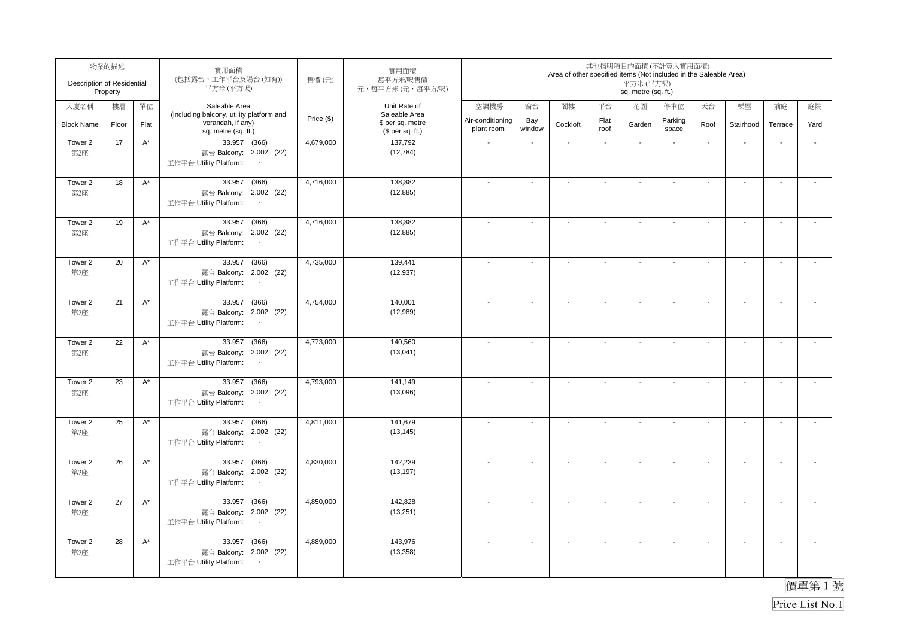| Description of Residential | 物業的描述<br>Property |                      | 實用面積<br>(包括露台,工作平台及陽台(如有))<br>平方米(平方呎)                                                          | 售價(元)      | 實用面積<br>每平方米/呎售價<br>元,每平方米(元,每平方/呎)                   |                                |                          | Area of other specified items (Not included in the Saleable Area) |                          | 其他指明項目的面積(不計算入實用面積)<br>平方米 (平方呎)<br>sq. metre (sq. ft.) |                          |                          |                          |                          |                          |
|----------------------------|-------------------|----------------------|-------------------------------------------------------------------------------------------------|------------|-------------------------------------------------------|--------------------------------|--------------------------|-------------------------------------------------------------------|--------------------------|---------------------------------------------------------|--------------------------|--------------------------|--------------------------|--------------------------|--------------------------|
| 大廈名稱                       | 樓層                | 單位                   | Saleable Area                                                                                   |            | Unit Rate of                                          | 空調機房                           | 窗台                       | 閣樓                                                                | 平台                       | 花園                                                      | 停車位                      | 天台                       | 梯屋                       | 前庭                       | 庭院                       |
| <b>Block Name</b>          | Floor             | Flat                 | (including balcony, utility platform and<br>verandah, if any)<br>sq. metre (sq. ft.)            | Price (\$) | Saleable Area<br>\$ per sq. metre<br>$$$ per sq. ft.) | Air-conditioning<br>plant room | Bay<br>window            | Cockloft                                                          | Flat<br>roof             | Garden                                                  | Parking<br>space         | Roof                     | Stairhood                | Terrace                  | Yard                     |
| Tower 2<br>第2座             | 17                | $A^*$                | 33.957 (366)<br>露台 Balcony: 2.002 (22)<br>工作平台 Utility Platform:<br>$\sim$                      | 4,679,000  | 137,792<br>(12, 784)                                  |                                | $\blacksquare$           | $\blacksquare$                                                    | $\blacksquare$           | $\blacksquare$                                          | $\overline{\phantom{a}}$ | $\blacksquare$           | ÷,                       | $\overline{\phantom{a}}$ | ÷,                       |
| Tower 2<br>第2座             | 18                | $A^*$                | 33.957<br>(366)<br>露台 Balcony: 2.002 (22)<br>工作平台 Utility Platform:<br>$\blacksquare$           | 4,716,000  | 138,882<br>(12, 885)                                  |                                | $\blacksquare$           | $\blacksquare$                                                    | $\overline{\phantom{a}}$ | $\blacksquare$                                          | $\overline{\phantom{a}}$ | $\blacksquare$           | $\sim$                   | $\overline{\phantom{a}}$ | $\overline{a}$           |
| Tower 2<br>第2座             | 19                | $A^*$                | 33.957<br>(366)<br>露台 Balcony: 2.002 (22)<br>工作平台 Utility Platform:                             | 4,716,000  | 138.882<br>(12, 885)                                  |                                | $\blacksquare$           | $\overline{\phantom{a}}$                                          | $\blacksquare$           | $\blacksquare$                                          | $\overline{\phantom{a}}$ | $\blacksquare$           | $\sim$                   | $\overline{\phantom{a}}$ | $\tilde{\phantom{a}}$    |
| Tower 2<br>第2座             | 20                | $\mathsf{A}^\star$   | 33.957<br>(366)<br>露台 Balcony: 2.002 (22)<br>工作平台 Utility Platform:<br>$\sim$                   | 4,735,000  | 139,441<br>(12, 937)                                  |                                | $\blacksquare$           | $\blacksquare$                                                    | $\overline{\phantom{a}}$ | $\overline{\phantom{a}}$                                | $\blacksquare$           | $\overline{\phantom{a}}$ | $\blacksquare$           | $\sim$                   | $\overline{\phantom{a}}$ |
| Tower 2<br>第2座             | 21                | $A^*$                | 33.957 (366)<br>露台 Balcony: 2.002 (22)<br>工作平台 Utility Platform:<br>$\sim$                      | 4,754,000  | 140,001<br>(12,989)                                   |                                | $\blacksquare$           | $\blacksquare$                                                    | $\blacksquare$           | $\blacksquare$                                          | $\blacksquare$           | $\blacksquare$           | $\sim$                   | $\overline{\phantom{a}}$ | $\mathbf{r}$             |
| Tower 2<br>第2座             | 22                | $\mathsf{A}^\star$   | (366)<br>33.957<br>露台 Balcony: 2.002 (22)<br>工作平台 Utility Platform:<br>$\sim$                   | 4,773,000  | 140,560<br>(13,041)                                   |                                | $\overline{\phantom{a}}$ | $\blacksquare$                                                    | $\mathbf{r}$             | $\sim$                                                  | $\sim$                   | $\sim$                   | $\mathbf{r}$             | $\sim$                   | $\mathbf{r}$             |
| Tower 2<br>第2座             | 23                | $\mathsf{A}^\star$   | 33.957 (366)<br>露台 Balcony: 2.002 (22)<br>工作平台 Utility Platform:<br>$\sim$                      | 4,793,000  | 141,149<br>(13,096)                                   |                                | $\sim$                   | $\blacksquare$                                                    | $\mathbf{r}$             | $\sim$                                                  | $\sim$                   | $\sim$                   | $\sim$                   | $\blacksquare$           | $\mathbf{r}$             |
| Tower 2<br>第2座             | 25                | $A^*$                | 33.957 (366)<br>露台 Balcony: 2.002 (22)<br>工作平台 Utility Platform:<br>$\sim$                      | 4,811,000  | 141,679<br>(13, 145)                                  |                                | $\overline{\phantom{a}}$ | $\overline{\phantom{a}}$                                          | $\blacksquare$           | $\overline{\phantom{a}}$                                | $\overline{\phantom{a}}$ | $\overline{\phantom{a}}$ | $\overline{\phantom{a}}$ | $\blacksquare$           | $\tilde{\phantom{a}}$    |
| Tower 2<br>第2座             | 26                | $A^*$                | 33.957 (366)<br>露台 Balcony: 2.002 (22)<br>工作平台 Utility Platform:<br>$\sim$                      | 4,830,000  | 142,239<br>(13, 197)                                  |                                | $\blacksquare$           | $\blacksquare$                                                    | $\blacksquare$           | $\blacksquare$                                          | $\overline{\phantom{a}}$ | $\blacksquare$           | $\mathbf{r}$             | $\overline{\phantom{a}}$ | $\tilde{\phantom{a}}$    |
| Tower 2<br>第2座             | 27                | $\mathsf{A}^{\star}$ | (366)<br>33.957<br>露台 Balcony: 2.002 (22)<br>工作平台 Utility Platform:<br>$\overline{\phantom{a}}$ | 4,850,000  | 142,828<br>(13,251)                                   |                                | L.                       | $\sim$                                                            | $\mathbf{r}$             | $\sim$                                                  | $\blacksquare$           | $\sim$                   | $\sim$                   | L.                       | $\tilde{\phantom{a}}$    |
| Tower 2<br>第2座             | 28                | $A^*$                | (366)<br>33.957<br>露台 Balcony: 2.002 (22)<br>工作平台 Utility Platform:<br>$\sim$                   | 4,889,000  | 143,976<br>(13, 358)                                  |                                | $\blacksquare$           | $\overline{\phantom{a}}$                                          | $\overline{\phantom{a}}$ | $\blacksquare$                                          | $\overline{\phantom{a}}$ | $\blacksquare$           | $\blacksquare$           | $\blacksquare$           | $\overline{\phantom{a}}$ |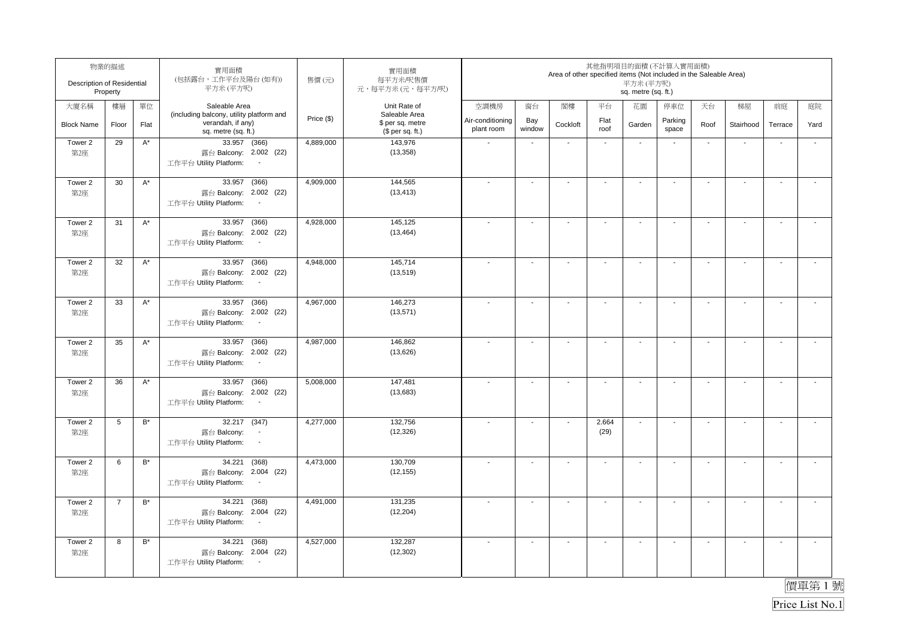| Description of Residential | 物業的描述<br>Property |                      | 實用面積<br>(包括露台,工作平台及陽台(如有))<br>平方米(平方呎)                                                          | 售價(元)      | 實用面積<br>每平方米/呎售價<br>元,每平方米(元,每平方/呎)                   |                                |                          | Area of other specified items (Not included in the Saleable Area) |                          | 其他指明項目的面積(不計算入實用面積)<br>平方米 (平方呎)<br>sq. metre (sq. ft.) |                          |                          |                          |                          |                          |
|----------------------------|-------------------|----------------------|-------------------------------------------------------------------------------------------------|------------|-------------------------------------------------------|--------------------------------|--------------------------|-------------------------------------------------------------------|--------------------------|---------------------------------------------------------|--------------------------|--------------------------|--------------------------|--------------------------|--------------------------|
| 大廈名稱                       | 樓層                | 單位                   | Saleable Area                                                                                   |            | Unit Rate of                                          | 空調機房                           | 窗台                       | 閣樓                                                                | 平台                       | 花園                                                      | 停車位                      | 天台                       | 梯屋                       | 前庭                       | 庭院                       |
| <b>Block Name</b>          | Floor             | Flat                 | (including balcony, utility platform and<br>verandah, if any)<br>sq. metre (sq. ft.)            | Price (\$) | Saleable Area<br>\$ per sq. metre<br>$$$ per sq. ft.) | Air-conditioning<br>plant room | Bay<br>window            | Cockloft                                                          | Flat<br>roof             | Garden                                                  | Parking<br>space         | Roof                     | Stairhood                | Terrace                  | Yard                     |
| Tower 2<br>第2座             | 29                | $A^*$                | 33.957 (366)<br>露台 Balcony: 2.002 (22)<br>工作平台 Utility Platform:<br>$\sim$                      | 4,889,000  | 143,976<br>(13, 358)                                  |                                | $\blacksquare$           | $\blacksquare$                                                    | $\blacksquare$           | $\blacksquare$                                          | $\overline{\phantom{a}}$ | $\blacksquare$           | ÷,                       | $\overline{\phantom{a}}$ | $\tilde{\phantom{a}}$    |
| Tower 2<br>第2座             | 30                | $A^*$                | 33.957<br>(366)<br>露台 Balcony: 2.002 (22)<br>工作平台 Utility Platform:<br>$\sim$                   | 4,909,000  | 144,565<br>(13, 413)                                  |                                | $\blacksquare$           | $\blacksquare$                                                    | $\overline{\phantom{a}}$ | $\blacksquare$                                          | $\overline{\phantom{a}}$ | $\blacksquare$           | $\sim$                   | $\overline{\phantom{a}}$ | $\overline{a}$           |
| Tower 2<br>第2座             | 31                | $A^*$                | 33.957<br>(366)<br>露台 Balcony: 2.002 (22)<br>工作平台 Utility Platform:                             | 4,928,000  | 145,125<br>(13, 464)                                  |                                | $\blacksquare$           | $\overline{\phantom{a}}$                                          | $\blacksquare$           | $\blacksquare$                                          | $\overline{\phantom{a}}$ | $\blacksquare$           | $\sim$                   | $\overline{\phantom{a}}$ | $\tilde{\phantom{a}}$    |
| Tower 2<br>第2座             | 32                | $\mathsf{A}^\star$   | 33.957<br>(366)<br>露台 Balcony: 2.002 (22)<br>工作平台 Utility Platform:<br>$\sim$                   | 4,948,000  | 145,714<br>(13, 519)                                  |                                | $\blacksquare$           | $\blacksquare$                                                    | $\overline{\phantom{a}}$ | $\overline{\phantom{a}}$                                | $\blacksquare$           | $\overline{\phantom{a}}$ | $\blacksquare$           | $\sim$                   | $\overline{\phantom{a}}$ |
| Tower 2<br>第2座             | 33                | $A^*$                | 33.957 (366)<br>露台 Balcony: 2.002 (22)<br>工作平台 Utility Platform:<br>$\sim$                      | 4,967,000  | 146,273<br>(13,571)                                   |                                | $\blacksquare$           | $\blacksquare$                                                    | $\blacksquare$           | $\blacksquare$                                          | $\blacksquare$           | $\blacksquare$           | $\mathbf{r}$             | $\blacksquare$           | $\mathbf{r}$             |
| Tower 2<br>第2座             | 35                | $\mathsf{A}^\star$   | 33.957<br>(366)<br>露台 Balcony: 2.002 (22)<br>工作平台 Utility Platform:<br>$\sim$                   | 4,987,000  | 146,862<br>(13,626)                                   |                                | $\overline{\phantom{a}}$ | $\blacksquare$                                                    | $\mathbf{r}$             | $\sim$                                                  | $\sim$                   | $\sim$                   | $\mathbf{r}$             | $\sim$                   | $\mathbf{r}$             |
| Tower 2<br>第2座             | 36                | $\mathsf{A}^\star$   | 33.957 (366)<br>露台 Balcony: 2.002 (22)<br>工作平台 Utility Platform:<br>$\sim$                      | 5,008,000  | 147,481<br>(13,683)                                   | $\overline{\phantom{a}}$       | $\sim$                   | $\blacksquare$                                                    | $\mathbf{r}$             | $\sim$                                                  | $\sim$                   | $\sim$                   | $\sim$                   | $\blacksquare$           | $\mathbf{r}$             |
| Tower 2<br>第2座             | 5                 | $\mathsf{B}^{\star}$ | 32.217 (347)<br>露台 Balcony:<br>工作平台 Utility Platform:<br>$\blacksquare$                         | 4,277,000  | 132,756<br>(12, 326)                                  |                                | $\overline{\phantom{a}}$ | $\overline{\phantom{a}}$                                          | 2.664<br>(29)            | $\ddot{\phantom{a}}$                                    | $\blacksquare$           | $\overline{\phantom{a}}$ | $\overline{\phantom{a}}$ | $\blacksquare$           | $\tilde{\phantom{a}}$    |
| Tower 2<br>第2座             | 6                 | $B^*$                | 34.221<br>(368)<br>露台 Balcony: 2.004 (22)<br>工作平台 Utility Platform:<br>$\sim$                   | 4,473,000  | 130,709<br>(12, 155)                                  |                                | $\overline{a}$           | $\blacksquare$                                                    | $\blacksquare$           | $\blacksquare$                                          | $\overline{\phantom{a}}$ | $\blacksquare$           | $\mathbf{r}$             | $\overline{\phantom{a}}$ | $\tilde{\phantom{a}}$    |
| Tower 2<br>第2座             | $\overline{7}$    | $B^*$                | (368)<br>34.221<br>露台 Balcony: 2.004 (22)<br>工作平台 Utility Platform:<br>$\overline{\phantom{a}}$ | 4,491,000  | 131.235<br>(12, 204)                                  |                                | ä,                       | $\sim$                                                            | $\mathbf{r}$             | $\sim$                                                  | $\overline{\phantom{a}}$ | $\sim$                   | $\sim$                   | L.                       | $\tilde{\phantom{a}}$    |
| Tower 2<br>第2座             | 8                 | $\mathsf{B}^{\star}$ | (368)<br>34.221<br>露台 Balcony: 2.004 (22)<br>工作平台 Utility Platform:<br>$\sim$                   | 4,527,000  | 132,287<br>(12, 302)                                  |                                | $\blacksquare$           | $\overline{\phantom{a}}$                                          | $\overline{\phantom{a}}$ | $\blacksquare$                                          | $\overline{\phantom{a}}$ | $\blacksquare$           | $\blacksquare$           | $\blacksquare$           | $\overline{\phantom{a}}$ |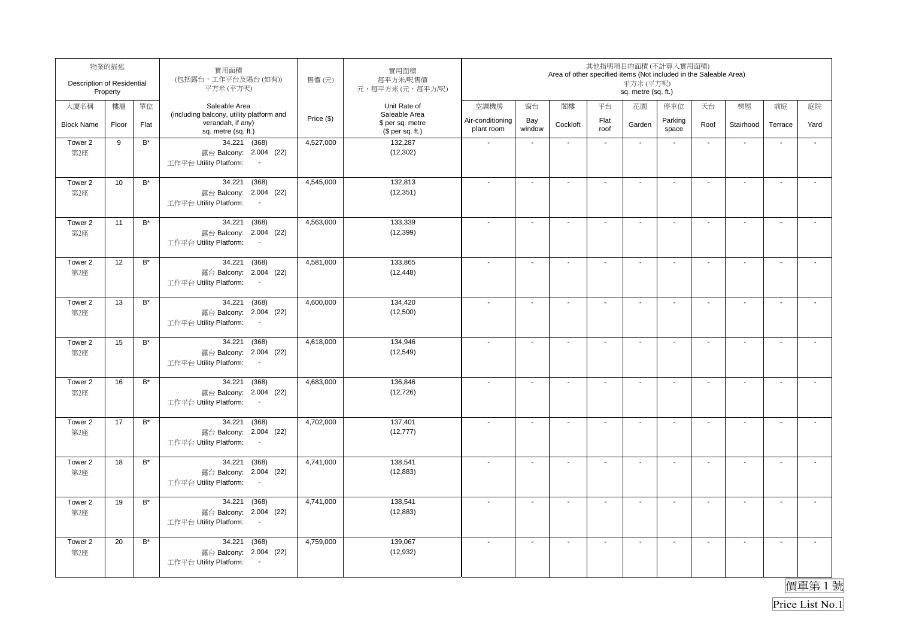| Description of Residential | 物業的描述<br>Property |                      | 實用面積<br>(包括露台,工作平台及陽台(如有))<br>平方米(平方呎)                                                          | 售價(元)      | 實用面積<br>每平方米/呎售價<br>元,每平方米(元,每平方/呎)                   |                                |                          | Area of other specified items (Not included in the Saleable Area) |                          | 其他指明項目的面積(不計算入實用面積)<br>平方米 (平方呎)<br>sq. metre (sq. ft.) |                          |                          |                          |                          |                          |
|----------------------------|-------------------|----------------------|-------------------------------------------------------------------------------------------------|------------|-------------------------------------------------------|--------------------------------|--------------------------|-------------------------------------------------------------------|--------------------------|---------------------------------------------------------|--------------------------|--------------------------|--------------------------|--------------------------|--------------------------|
| 大廈名稱                       | 樓層                | 單位                   | Saleable Area                                                                                   |            | Unit Rate of                                          | 空調機房                           | 窗台                       | 閣樓                                                                | 平台                       | 花園                                                      | 停車位                      | 天台                       | 梯屋                       | 前庭                       | 庭院                       |
| <b>Block Name</b>          | Floor             | Flat                 | (including balcony, utility platform and<br>verandah, if any)<br>sq. metre (sq. ft.)            | Price (\$) | Saleable Area<br>\$ per sq. metre<br>$$$ per sq. ft.) | Air-conditioning<br>plant room | Bay<br>window            | Cockloft                                                          | Flat<br>roof             | Garden                                                  | Parking<br>space         | Roof                     | Stairhood                | Terrace                  | Yard                     |
| Tower 2<br>第2座             | 9                 | $\mathsf{B}^{\star}$ | 34.221 (368)<br>露台 Balcony: 2.004 (22)<br>工作平台 Utility Platform:<br>$\blacksquare$              | 4,527,000  | 132,287<br>(12, 302)                                  |                                | $\blacksquare$           | $\blacksquare$                                                    | $\blacksquare$           | $\blacksquare$                                          | $\overline{\phantom{a}}$ | $\blacksquare$           | ÷,                       | $\overline{\phantom{a}}$ | $\tilde{\phantom{a}}$    |
| Tower 2<br>第2座             | 10                | $B^*$                | 34.221<br>(368)<br>露台 Balcony: 2.004 (22)<br>工作平台 Utility Platform:<br>$\blacksquare$           | 4,545,000  | 132,813<br>(12, 351)                                  |                                | $\blacksquare$           | $\blacksquare$                                                    | $\overline{\phantom{a}}$ | $\blacksquare$                                          | $\overline{\phantom{a}}$ | $\blacksquare$           | $\mathbf{r}$             | $\overline{\phantom{a}}$ | $\overline{a}$           |
| Tower 2<br>第2座             | 11                | $B^*$                | (368)<br>34.221<br>露台 Balcony: 2.004 (22)<br>工作平台 Utility Platform:                             | 4,563,000  | 133.339<br>(12, 399)                                  |                                | $\blacksquare$           | $\overline{\phantom{a}}$                                          | $\blacksquare$           | $\blacksquare$                                          | $\overline{\phantom{a}}$ | $\blacksquare$           | $\blacksquare$           | $\overline{\phantom{a}}$ | $\tilde{\phantom{a}}$    |
| Tower 2<br>第2座             | 12                | $\mathsf{B}^\star$   | 34.221<br>(368)<br>露台 Balcony: 2.004 (22)<br>工作平台 Utility Platform:<br>$\sim$                   | 4,581,000  | 133,865<br>(12, 448)                                  |                                | $\blacksquare$           | $\blacksquare$                                                    | $\overline{\phantom{a}}$ | $\overline{\phantom{a}}$                                | $\blacksquare$           | $\overline{\phantom{a}}$ | $\blacksquare$           | $\sim$                   | $\blacksquare$           |
| Tower 2<br>第2座             | 13                | $B^*$                | 34.221<br>(368)<br>露台 Balcony: 2.004 (22)<br>工作平台 Utility Platform:<br>$\sim$                   | 4,600,000  | 134,420<br>(12,500)                                   |                                | $\blacksquare$           | $\blacksquare$                                                    | $\blacksquare$           | $\blacksquare$                                          | $\blacksquare$           | $\blacksquare$           | $\mathbf{r}$             | $\overline{\phantom{a}}$ | $\mathbf{r}$             |
| Tower 2<br>第2座             | 15                | $\mathsf{B}^\star$   | 34.221<br>(368)<br>露台 Balcony: 2.004 (22)<br>工作平台 Utility Platform:<br>$\sim$                   | 4,618,000  | 134,946<br>(12, 549)                                  |                                | $\overline{\phantom{a}}$ | $\blacksquare$                                                    | $\mathbf{r}$             | $\sim$                                                  | $\sim$                   | $\sim$                   | $\mathbf{r}$             | $\sim$                   | $\mathbf{r}$             |
| Tower 2<br>第2座             | 16                | $B^*$                | 34.221<br>(368)<br>露台 Balcony: 2.004 (22)<br>工作平台 Utility Platform:<br>$\sim$                   | 4,683,000  | 136,846<br>(12, 726)                                  | $\overline{\phantom{a}}$       | $\sim$                   | $\blacksquare$                                                    | $\mathbf{r}$             | $\sim$                                                  | $\sim$                   | $\sim$                   | $\sim$                   | $\blacksquare$           | $\mathbf{r}$             |
| Tower 2<br>第2座             | 17                | $\mathsf{B}^\star$   | 34.221<br>(368)<br>露台 Balcony: 2.004 (22)<br>工作平台 Utility Platform:<br>$\sim$                   | 4,702,000  | 137,401<br>(12, 777)                                  |                                | $\overline{\phantom{a}}$ | $\overline{\phantom{a}}$                                          | $\blacksquare$           | $\overline{\phantom{a}}$                                | $\overline{\phantom{a}}$ | $\overline{\phantom{a}}$ | $\overline{\phantom{a}}$ | $\blacksquare$           | $\tilde{\phantom{a}}$    |
| Tower 2<br>第2座             | 18                | $B^*$                | 34.221<br>(368)<br>露台 Balcony: 2.004 (22)<br>工作平台 Utility Platform:<br>$\sim$                   | 4,741,000  | 138,541<br>(12, 883)                                  |                                | $\blacksquare$           | $\blacksquare$                                                    | $\blacksquare$           | $\blacksquare$                                          | $\overline{\phantom{a}}$ | $\blacksquare$           | $\mathbf{r}$             | $\overline{\phantom{a}}$ | $\tilde{\phantom{a}}$    |
| Tower 2<br>第2座             | 19                | $B^*$                | (368)<br>34.221<br>露台 Balcony: 2.004 (22)<br>工作平台 Utility Platform:<br>$\overline{\phantom{a}}$ | 4,741,000  | 138.541<br>(12, 883)                                  |                                | ä,                       | $\sim$                                                            | $\mathbf{r}$             | $\sim$                                                  | $\overline{\phantom{a}}$ | $\sim$                   | $\sim$                   | L.                       | $\tilde{\phantom{a}}$    |
| Tower 2<br>第2座             | 20                | $\mathsf{B}^{\star}$ | (368)<br>34.221<br>露台 Balcony: 2.004 (22)<br>工作平台 Utility Platform:<br>$\sim$                   | 4,759,000  | 139,067<br>(12, 932)                                  |                                | $\blacksquare$           | $\blacksquare$                                                    | $\overline{\phantom{a}}$ | $\blacksquare$                                          | $\overline{\phantom{a}}$ | $\blacksquare$           | $\blacksquare$           | $\blacksquare$           | $\overline{\phantom{a}}$ |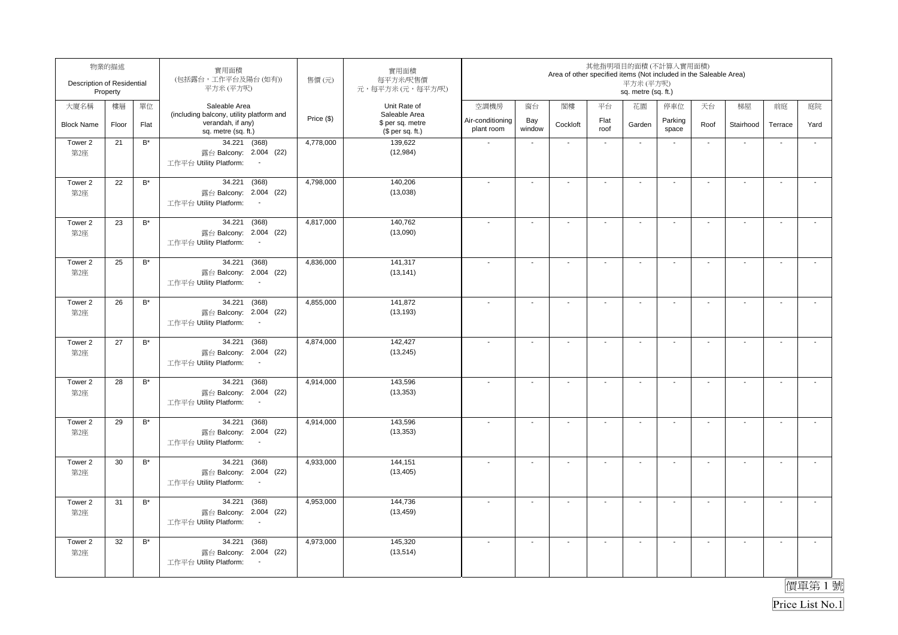| Description of Residential | 物業的描述<br>Property |                      | 實用面積<br>(包括露台,工作平台及陽台(如有))<br>平方米(平方呎)                                                          | 售價(元)      | 實用面積<br>每平方米/呎售價<br>元,每平方米(元,每平方/呎)                   |                                |                          | Area of other specified items (Not included in the Saleable Area) |                          | 其他指明項目的面積(不計算入實用面積)<br>平方米 (平方呎)<br>sq. metre (sq. ft.) |                          |                          |                          |                          |                          |
|----------------------------|-------------------|----------------------|-------------------------------------------------------------------------------------------------|------------|-------------------------------------------------------|--------------------------------|--------------------------|-------------------------------------------------------------------|--------------------------|---------------------------------------------------------|--------------------------|--------------------------|--------------------------|--------------------------|--------------------------|
| 大廈名稱                       | 樓層                | 單位                   | Saleable Area                                                                                   |            | Unit Rate of                                          | 空調機房                           | 窗台                       | 閣樓                                                                | 平台                       | 花園                                                      | 停車位                      | 天台                       | 梯屋                       | 前庭                       | 庭院                       |
| <b>Block Name</b>          | Floor             | Flat                 | (including balcony, utility platform and<br>verandah, if any)<br>sq. metre (sq. ft.)            | Price (\$) | Saleable Area<br>\$ per sq. metre<br>$$$ per sq. ft.) | Air-conditioning<br>plant room | Bay<br>window            | Cockloft                                                          | Flat<br>roof             | Garden                                                  | Parking<br>space         | Roof                     | Stairhood                | Terrace                  | Yard                     |
| Tower 2<br>第2座             | 21                | $\mathsf{B}^{\star}$ | 34.221 (368)<br>露台 Balcony: 2.004 (22)<br>工作平台 Utility Platform:<br>$\blacksquare$              | 4,778,000  | 139,622<br>(12, 984)                                  |                                | $\blacksquare$           | $\blacksquare$                                                    | $\blacksquare$           | $\blacksquare$                                          | $\overline{\phantom{a}}$ | $\blacksquare$           | ÷,                       | $\overline{\phantom{a}}$ | $\tilde{\phantom{a}}$    |
| Tower 2<br>第2座             | 22                | $B^*$                | 34.221<br>(368)<br>露台 Balcony: 2.004 (22)<br>工作平台 Utility Platform:<br>$\blacksquare$           | 4,798,000  | 140,206<br>(13,038)                                   |                                | $\blacksquare$           | $\blacksquare$                                                    | $\overline{\phantom{a}}$ | $\blacksquare$                                          | $\overline{\phantom{a}}$ | $\blacksquare$           | $\mathbf{r}$             | $\overline{\phantom{a}}$ | $\overline{a}$           |
| Tower 2<br>第2座             | 23                | $B^*$                | (368)<br>34.221<br>露台 Balcony: 2.004 (22)<br>工作平台 Utility Platform:                             | 4,817,000  | 140.762<br>(13,090)                                   |                                | $\blacksquare$           | $\overline{\phantom{a}}$                                          | $\blacksquare$           | $\blacksquare$                                          | $\overline{\phantom{a}}$ | $\blacksquare$           | $\sim$                   | $\overline{\phantom{a}}$ | $\tilde{\phantom{a}}$    |
| Tower 2<br>第2座             | 25                | $\mathsf{B}^{\star}$ | 34.221<br>(368)<br>露台 Balcony: 2.004 (22)<br>工作平台 Utility Platform:<br>$\sim$                   | 4,836,000  | 141,317<br>(13, 141)                                  |                                | $\blacksquare$           | $\blacksquare$                                                    | $\overline{\phantom{a}}$ | $\overline{\phantom{a}}$                                | $\blacksquare$           | $\overline{\phantom{a}}$ | $\blacksquare$           | $\sim$                   | $\blacksquare$           |
| Tower 2<br>第2座             | 26                | $B^*$                | 34.221<br>(368)<br>露台 Balcony: 2.004 (22)<br>工作平台 Utility Platform:<br>$\sim$                   | 4,855,000  | 141,872<br>(13, 193)                                  |                                | $\blacksquare$           | $\blacksquare$                                                    | $\blacksquare$           | $\blacksquare$                                          | $\blacksquare$           | $\blacksquare$           | $\mathbf{r}$             | $\blacksquare$           | $\mathbf{r}$             |
| Tower 2<br>第2座             | 27                | $\mathsf{B}^\star$   | 34.221<br>(368)<br>露台 Balcony: 2.004 (22)<br>工作平台 Utility Platform:<br>$\sim$                   | 4,874,000  | 142,427<br>(13, 245)                                  |                                | $\overline{\phantom{a}}$ | $\blacksquare$                                                    | $\mathbf{r}$             | $\sim$                                                  | $\sim$                   | $\sim$                   | $\mathbf{r}$             | $\sim$                   | $\mathbf{r}$             |
| Tower 2<br>第2座             | 28                | $B^*$                | 34.221<br>(368)<br>露台 Balcony: 2.004 (22)<br>工作平台 Utility Platform:<br>$\sim$                   | 4,914,000  | 143,596<br>(13, 353)                                  | $\overline{\phantom{a}}$       | $\sim$                   | $\blacksquare$                                                    | $\mathbf{r}$             | $\sim$                                                  | $\sim$                   | $\sim$                   | $\sim$                   | $\blacksquare$           | $\mathbf{r}$             |
| Tower 2<br>第2座             | 29                | $\mathsf{B}^\star$   | 34.221<br>(368)<br>露台 Balcony: 2.004 (22)<br>工作平台 Utility Platform:<br>$\sim$                   | 4,914,000  | 143,596<br>(13, 353)                                  |                                | $\overline{\phantom{a}}$ | $\overline{\phantom{a}}$                                          | $\blacksquare$           | $\overline{\phantom{a}}$                                | $\overline{\phantom{a}}$ | $\overline{\phantom{a}}$ | $\overline{\phantom{a}}$ | $\blacksquare$           | $\tilde{\phantom{a}}$    |
| Tower 2<br>第2座             | 30                | $B^*$                | 34.221<br>(368)<br>露台 Balcony: 2.004 (22)<br>工作平台 Utility Platform:<br>$\sim$                   | 4,933,000  | 144,151<br>(13, 405)                                  |                                | $\blacksquare$           | $\blacksquare$                                                    | $\blacksquare$           | $\blacksquare$                                          | $\overline{\phantom{a}}$ | $\blacksquare$           | $\mathbf{r}$             | $\overline{\phantom{a}}$ | $\tilde{\phantom{a}}$    |
| Tower 2<br>第2座             | 31                | $B^*$                | (368)<br>34.221<br>露台 Balcony: 2.004 (22)<br>工作平台 Utility Platform:<br>$\overline{\phantom{a}}$ | 4,953,000  | 144.736<br>(13, 459)                                  |                                | ä,                       | $\sim$                                                            | $\mathbf{r}$             | $\sim$                                                  | $\overline{\phantom{a}}$ | $\sim$                   | $\sim$                   | L.                       | $\tilde{\phantom{a}}$    |
| Tower 2<br>第2座             | 32                | $\mathsf{B}^{\star}$ | (368)<br>34.221<br>露台 Balcony: 2.004 (22)<br>工作平台 Utility Platform:<br>$\sim$                   | 4,973,000  | 145,320<br>(13, 514)                                  |                                | $\blacksquare$           | $\blacksquare$                                                    | $\overline{\phantom{a}}$ | $\blacksquare$                                          | $\overline{\phantom{a}}$ | $\blacksquare$           | $\blacksquare$           | $\blacksquare$           | $\overline{\phantom{a}}$ |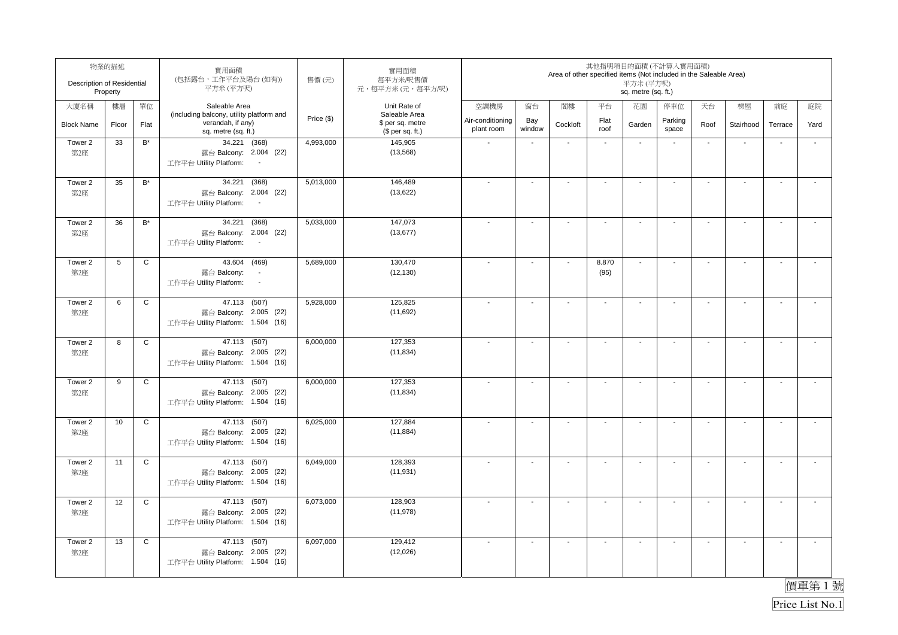| Description of Residential | 物業的描述<br>Property |                      | 實用面積<br>(包括露台,工作平台及陽台(如有))<br>平方米(平方呎)                                                       | 售價(元)      | 實用面積<br>每平方米/呎售價<br>元,每平方米(元,每平方/呎)  |                                |                          | Area of other specified items (Not included in the Saleable Area) |                          | 其他指明項目的面積(不計算入實用面積)<br>平方米 (平方呎)<br>sq. metre (sq. ft.) |                          |                          |                          |                          |                          |
|----------------------------|-------------------|----------------------|----------------------------------------------------------------------------------------------|------------|--------------------------------------|--------------------------------|--------------------------|-------------------------------------------------------------------|--------------------------|---------------------------------------------------------|--------------------------|--------------------------|--------------------------|--------------------------|--------------------------|
| 大廈名稱                       | 樓層                | 單位                   | Saleable Area<br>(including balcony, utility platform and                                    |            | Unit Rate of<br>Saleable Area        | 空調機房                           | 窗台                       | 閣樓                                                                | 平台                       | 花園                                                      | 停車位                      | 天台                       | 梯屋                       | 前庭                       | 庭院                       |
| <b>Block Name</b>          | Floor             | Flat                 | verandah, if any)<br>sq. metre (sq. ft.)                                                     | Price (\$) | \$ per sq. metre<br>$$$ per sq. ft.) | Air-conditioning<br>plant room | Bay<br>window            | Cockloft                                                          | Flat<br>roof             | Garden                                                  | Parking<br>space         | Roof                     | Stairhood                | Terrace                  | Yard                     |
| Tower 2<br>第2座             | 33                | $\mathsf{B}^*$       | 34.221 (368)<br>露台 Balcony: 2.004 (22)<br>工作平台 Utility Platform:<br>$\overline{\phantom{a}}$ | 4,993,000  | 145,905<br>(13, 568)                 |                                | $\blacksquare$           |                                                                   | $\blacksquare$           | $\overline{\phantom{a}}$                                |                          | $\overline{\phantom{a}}$ |                          |                          | $\overline{\phantom{a}}$ |
| Tower 2<br>第2座             | 35                | $B^*$                | (368)<br>34.221<br>露台 Balcony: 2.004 (22)<br>工作平台 Utility Platform:<br>$\sim$                | 5,013,000  | 146,489<br>(13, 622)                 |                                | $\blacksquare$           | $\ddot{\phantom{a}}$                                              | $\overline{a}$           | $\blacksquare$                                          |                          | $\blacksquare$           | $\mathbf{r}$             |                          |                          |
| Tower 2<br>第2座             | 36                | $\mathsf{B}^{\star}$ | 34.221<br>(368)<br>露台 Balcony: 2.004 (22)<br>工作平台 Utility Platform:                          | 5,033,000  | 147,073<br>(13, 677)                 |                                | $\overline{\phantom{a}}$ |                                                                   | $\overline{\phantom{a}}$ | $\blacksquare$                                          |                          |                          | $\mathbf{r}$             | $\blacksquare$           | $\tilde{\phantom{a}}$    |
| Tower 2<br>第2座             | 5                 | $\mathsf C$          | 43.604 (469)<br>露台 Balcony:<br>$\sim$<br>工作平台 Utility Platform:<br>$\sim$                    | 5,689,000  | 130,470<br>(12, 130)                 |                                | $\blacksquare$           | $\blacksquare$                                                    | 8.870<br>(95)            | $\mathbf{r}$                                            |                          | $\blacksquare$           | $\mathbf{r}$             | $\blacksquare$           | $\mathbf{r}$             |
| Tower 2<br>第2座             | 6                 | $\mathsf C$          | 47.113 (507)<br>露台 Balcony: 2.005 (22)<br>工作平台 Utility Platform: 1.504 (16)                  | 5,928,000  | 125,825<br>(11,692)                  |                                | $\blacksquare$           | $\blacksquare$                                                    | $\sim$                   | $\overline{\phantom{a}}$                                | $\overline{\phantom{a}}$ | $\overline{\phantom{a}}$ | $\mathbf{r}$             | $\blacksquare$           | $\overline{\phantom{a}}$ |
| Tower 2<br>第2座             | 8                 | $\mathsf C$          | 47.113 (507)<br>露台 Balcony: 2.005 (22)<br>工作平台 Utility Platform: 1.504 (16)                  | 6,000,000  | 127,353<br>(11, 834)                 |                                | $\mathbf{r}$             | $\sim$                                                            | $\overline{a}$           | $\sim$                                                  | $\sim$                   | $\mathbf{r}$             | $\sim$                   | $\overline{\phantom{a}}$ | $\sim$                   |
| Tower 2<br>第2座             | 9                 | $\mathsf C$          | 47.113 (507)<br>露台 Balcony: 2.005 (22)<br>工作平台 Utility Platform: 1.504 (16)                  | 6,000,000  | 127,353<br>(11, 834)                 |                                | $\sim$                   | $\sim$                                                            | $\sim$                   | $\mathcal{L}_{\mathcal{A}}$                             | $\sim$                   | $\sim$                   | $\sim$                   | $\sim$                   | $\mathbf{r}$             |
| Tower 2<br>第2座             | 10                | $\mathsf C$          | 47.113 (507)<br>露台 Balcony: 2.005 (22)<br>工作平台 Utility Platform: 1.504 (16)                  | 6,025,000  | 127,884<br>(11, 884)                 |                                | $\sim$                   | $\sim$                                                            | $\sim$                   | $\blacksquare$                                          | $\sim$                   | $\blacksquare$           | $\sim$                   | $\overline{\phantom{a}}$ | $\tilde{\phantom{a}}$    |
| Tower 2<br>第2座             | 11                | $\mathtt{C}$         | 47.113 (507)<br>露台 Balcony: 2.005 (22)<br>工作平台 Utility Platform: 1.504 (16)                  | 6,049,000  | 128,393<br>(11, 931)                 |                                | ÷,                       | ÷,                                                                | ÷,                       | $\sim$                                                  |                          | $\sim$                   | $\ddot{\phantom{a}}$     | $\sim$                   | $\overline{\phantom{a}}$ |
| Tower 2<br>第2座             | 12                | $\mathsf C$          | 47.113 (507)<br>露台 Balcony: 2.005 (22)<br>工作平台 Utility Platform: 1.504 (16)                  | 6,073,000  | 128,903<br>(11, 978)                 |                                | $\blacksquare$           |                                                                   | ÷,                       | $\blacksquare$                                          |                          | $\blacksquare$           | $\overline{\phantom{a}}$ | $\overline{\phantom{a}}$ | $\mathbf{r}$             |
| Tower 2<br>第2座             | 13                | $\mathbf C$          | 47.113 (507)<br>露台 Balcony: 2.005 (22)<br>工作平台 Utility Platform: 1.504 (16)                  | 6,097,000  | 129,412<br>(12,026)                  |                                | $\blacksquare$           | $\overline{\phantom{a}}$                                          | $\blacksquare$           | $\blacksquare$                                          |                          | $\blacksquare$           | $\overline{\phantom{a}}$ | $\blacksquare$           | $\overline{\phantom{a}}$ |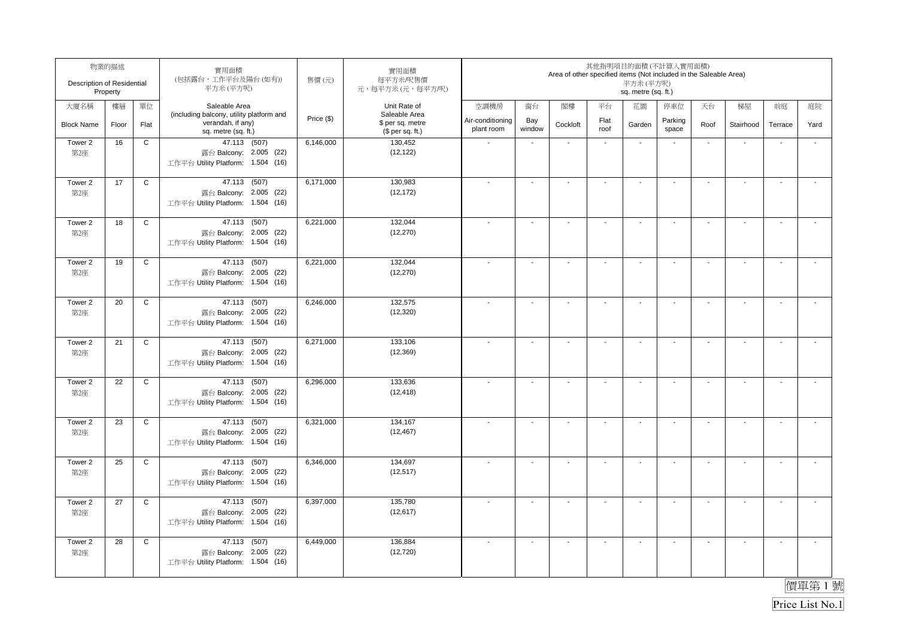| Description of Residential | 物業的描述<br>Property |              | 實用面積<br>(包括露台,工作平台及陽台(如有))<br>平方米(平方呎)                      | 售價(元)      | 實用面積<br>每平方米/呎售價<br>元,每平方米(元,每平方/呎)  |                                |                          | Area of other specified items (Not included in the Saleable Area) |                | 其他指明項目的面積(不計算入實用面積)<br>平方米 (平方呎)<br>sq. metre (sq. ft.) |                  |                          |                          |                          |                          |
|----------------------------|-------------------|--------------|-------------------------------------------------------------|------------|--------------------------------------|--------------------------------|--------------------------|-------------------------------------------------------------------|----------------|---------------------------------------------------------|------------------|--------------------------|--------------------------|--------------------------|--------------------------|
| 大廈名稱                       | 樓層                | 單位           | Saleable Area<br>(including balcony, utility platform and   |            | Unit Rate of<br>Saleable Area        | 空調機房                           | 窗台                       | 閣樓                                                                | 平台             | 花園                                                      | 停車位              | 天台                       | 梯屋                       | 前庭                       | 庭院                       |
| <b>Block Name</b>          | Floor             | Flat         | verandah, if any)<br>sq. metre (sq. ft.)                    | Price (\$) | \$ per sq. metre<br>$$$ per sq. ft.) | Air-conditioning<br>plant room | Bay<br>window            | Cockloft                                                          | Flat<br>roof   | Garden                                                  | Parking<br>space | Roof                     | Stairhood                | Terrace                  | Yard                     |
| Tower 2                    | 16                | $\mathbf C$  | 47.113 (507)                                                | 6,146,000  | 130,452                              |                                |                          |                                                                   | $\blacksquare$ | $\overline{\phantom{a}}$                                |                  | $\overline{\phantom{a}}$ |                          |                          |                          |
| 第2座                        |                   |              | 露台 Balcony: 2.005 (22)<br>工作平台 Utility Platform: 1.504 (16) |            | (12, 122)                            |                                |                          |                                                                   |                |                                                         |                  |                          |                          |                          |                          |
| Tower 2                    | 17                | $\mathsf C$  | 47.113 (507)                                                | 6,171,000  | 130,983<br>(12, 172)                 |                                | $\blacksquare$           |                                                                   |                | $\blacksquare$                                          |                  | $\blacksquare$           | $\mathbf{r}$             |                          |                          |
| 第2座                        |                   |              | 露台 Balcony: 2.005 (22)<br>工作平台 Utility Platform: 1.504 (16) |            |                                      |                                |                          |                                                                   |                |                                                         |                  |                          |                          |                          |                          |
| Tower 2                    | 18                | $\mathtt{C}$ | 47.113 (507)                                                | 6,221,000  | 132,044                              |                                | $\overline{\phantom{a}}$ |                                                                   |                | $\blacksquare$                                          |                  |                          | $\mathbf{r}$             | $\blacksquare$           | $\tilde{\phantom{a}}$    |
| 第2座                        |                   |              | 露台 Balcony: 2.005 (22)<br>工作平台 Utility Platform: 1.504 (16) |            | (12, 270)                            |                                |                          |                                                                   |                |                                                         |                  |                          |                          |                          |                          |
| Tower 2                    | 19                | $\mathsf C$  | 47.113 (507)                                                | 6,221,000  | 132,044                              |                                | $\blacksquare$           | $\blacksquare$                                                    | $\blacksquare$ | $\blacksquare$                                          |                  | $\blacksquare$           | $\mathbf{r}$             | $\sim$                   | $\mathbf{r}$             |
| 第2座                        |                   |              | 露台 Balcony: 2.005 (22)<br>工作平台 Utility Platform: 1.504 (16) |            | (12, 270)                            |                                |                          |                                                                   |                |                                                         |                  |                          |                          |                          |                          |
| Tower 2                    | 20                | $\mathsf C$  | 47.113 (507)                                                | 6,246,000  | 132,575                              |                                | $\blacksquare$           | $\blacksquare$                                                    | $\sim$         | $\overline{\phantom{a}}$                                | $\blacksquare$   | $\overline{\phantom{a}}$ | $\mathbf{r}$             | $\blacksquare$           | $\overline{\phantom{a}}$ |
| 第2座                        |                   |              | 露台 Balcony: 2.005 (22)<br>工作平台 Utility Platform: 1.504 (16) |            | (12, 320)                            |                                |                          |                                                                   |                |                                                         |                  |                          |                          |                          |                          |
| Tower 2                    | 21                | $\mathsf C$  | 47.113 (507)                                                | 6,271,000  | 133,106                              |                                | $\mathbf{r}$             | $\sim$                                                            | $\overline{a}$ | $\sim$                                                  | $\sim$           | $\overline{\phantom{a}}$ | $\sim$                   | $\overline{\phantom{a}}$ | $\sim$                   |
| 第2座                        |                   |              | 露台 Balcony: 2.005 (22)<br>工作平台 Utility Platform: 1.504 (16) |            | (12, 369)                            |                                |                          |                                                                   |                |                                                         |                  |                          |                          |                          |                          |
| Tower 2                    | 22                | $\mathtt{C}$ | 47.113 (507)                                                | 6,296,000  | 133,636                              |                                | $\overline{a}$           | $\sim$                                                            | $\sim$         | $\mathcal{L}_{\mathcal{A}}$                             | $\sim$           | $\sim$                   | $\sim$                   | $\sim$                   | $\mathbf{r}$             |
| 第2座                        |                   |              | 露台 Balcony: 2.005 (22)<br>工作平台 Utility Platform: 1.504 (16) |            | (12, 418)                            |                                |                          |                                                                   |                |                                                         |                  |                          |                          |                          |                          |
| Tower 2                    | 23                | $\mathsf C$  | 47.113 (507)                                                | 6,321,000  | 134,167                              |                                | $\sim$                   | $\sim$                                                            | $\sim$         | $\blacksquare$                                          | $\sim$           | $\blacksquare$           | $\sim$                   | $\overline{\phantom{a}}$ | $\tilde{\phantom{a}}$    |
| 第2座                        |                   |              | 露台 Balcony: 2.005 (22)<br>工作平台 Utility Platform: 1.504 (16) |            | (12, 467)                            |                                |                          |                                                                   |                |                                                         |                  |                          |                          |                          |                          |
| Tower 2                    | 25                | $\mathtt{C}$ | 47.113 (507)                                                | 6,346,000  | 134,697                              |                                | ÷,                       | ÷,                                                                | ÷,             | $\sim$                                                  |                  | $\sim$                   | $\ddot{\phantom{a}}$     | $\sim$                   | $\overline{\phantom{a}}$ |
| 第2座                        |                   |              | 露台 Balcony: 2.005 (22)<br>工作平台 Utility Platform: 1.504 (16) |            | (12, 517)                            |                                |                          |                                                                   |                |                                                         |                  |                          |                          |                          |                          |
| Tower 2                    | 27                | $\mathsf C$  | 47.113 (507)                                                | 6,397,000  | 135,780                              |                                | $\blacksquare$           |                                                                   |                | $\blacksquare$                                          |                  | $\blacksquare$           | $\overline{\phantom{a}}$ | $\overline{\phantom{a}}$ | $\mathbf{r}$             |
| 第2座                        |                   |              | 露台 Balcony: 2.005 (22)<br>工作平台 Utility Platform: 1.504 (16) |            | (12, 617)                            |                                |                          |                                                                   |                |                                                         |                  |                          |                          |                          |                          |
| Tower 2<br>第2座             | 28                | $\mathsf C$  | 47.113 (507)<br>露台 Balcony: 2.005 (22)                      | 6,449,000  | 136,884<br>(12, 720)                 |                                | $\blacksquare$           | $\overline{\phantom{a}}$                                          | $\blacksquare$ | $\blacksquare$                                          |                  | $\blacksquare$           | $\blacksquare$           | $\blacksquare$           | $\overline{\phantom{a}}$ |
|                            |                   |              | 工作平台 Utility Platform: 1.504 (16)                           |            |                                      |                                |                          |                                                                   |                |                                                         |                  |                          |                          |                          |                          |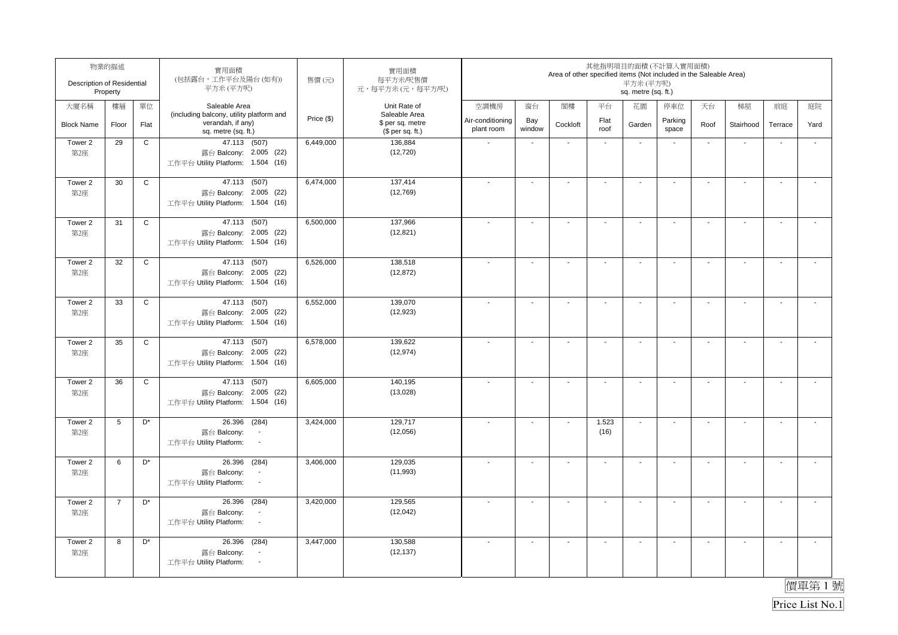| Description of Residential | 物業的描述<br>Property |                      | 實用面積<br>(包括露台,工作平台及陽台(如有))<br>平方米(平方呎)                                                      | 售價(元)      | 實用面積<br>每平方米/呎售價<br>元,每平方米(元,每平方/呎)                   |                                |                          | Area of other specified items (Not included in the Saleable Area) |                             | 平方米(平方呎)<br>sq. metre (sq. ft.) | 其他指明項目的面積(不計算入實用面積)      |                          |                          |                          |                       |
|----------------------------|-------------------|----------------------|---------------------------------------------------------------------------------------------|------------|-------------------------------------------------------|--------------------------------|--------------------------|-------------------------------------------------------------------|-----------------------------|---------------------------------|--------------------------|--------------------------|--------------------------|--------------------------|-----------------------|
| 大廈名稱                       | 樓層                | 單位                   | Saleable Area                                                                               |            | Unit Rate of                                          | 空調機房                           | 窗台                       | 閣樓                                                                | 平台                          | 花園                              | 停車位                      | 天台                       | 梯屋                       | 前庭                       | 庭院                    |
| <b>Block Name</b>          | Floor             | Flat                 | (including balcony, utility platform and<br>verandah, if any)<br>sq. metre (sq. ft.)        | Price (\$) | Saleable Area<br>\$ per sq. metre<br>$$$ per sq. ft.) | Air-conditioning<br>plant room | Bay<br>window            | Cockloft                                                          | Flat<br>roof                | Garden                          | Parking<br>space         | Roof                     | Stairhood                | Terrace                  | Yard                  |
| Tower 2<br>第2座             | 29                | C                    | 47.113 (507)<br>露台 Balcony: 2.005 (22)<br>工作平台 Utility Platform: 1.504 (16)                 | 6,449,000  | 136,884<br>(12, 720)                                  |                                | $\mathbf{r}$             | $\sim$                                                            | $\mathcal{L}_{\mathcal{A}}$ | $\sim$                          | $\overline{\phantom{a}}$ | $\sim$                   | $\overline{\phantom{a}}$ | L.                       | $\mathbf{r}$          |
| Tower 2<br>第2座             | 30                | $\mathsf{C}$         | 47.113 (507)<br>露台 Balcony: 2.005 (22)<br>工作平台 Utility Platform: 1.504 (16)                 | 6,474,000  | 137,414<br>(12, 769)                                  |                                | ä,                       | $\overline{\phantom{a}}$                                          | $\mathbf{r}$                | $\blacksquare$                  | $\sim$                   | $\blacksquare$           | $\mathbf{r}$             | L.                       | J.                    |
| Tower 2<br>第2座             | 31                | $\mathsf{C}$         | 47.113 (507)<br>露台 Balcony: 2.005 (22)<br>工作平台 Utility Platform: 1.504 (16)                 | 6,500,000  | 137,966<br>(12, 821)                                  |                                | $\sim$                   | $\sim$                                                            | $\mathbf{r}$                | $\sim$                          | $\blacksquare$           | $\sim$                   | $\sim$                   | $\sim$                   | $\blacksquare$        |
| Tower 2<br>第2座             | 32                | $\mathsf{C}$         | 47.113 (507)<br>露台 Balcony: 2.005 (22)<br>工作平台 Utility Platform: 1.504 (16)                 | 6,526,000  | 138,518<br>(12, 872)                                  |                                | $\overline{a}$           | $\overline{a}$                                                    | $\overline{\phantom{a}}$    | $\blacksquare$                  | $\overline{\phantom{a}}$ | $\blacksquare$           | $\blacksquare$           | $\overline{\phantom{a}}$ | $\sim$                |
| Tower 2<br>第2座             | 33                | $\mathsf{C}$         | 47.113 (507)<br>露台 Balcony: 2.005 (22)<br>工作平台 Utility Platform: 1.504 (16)                 | 6,552,000  | 139,070<br>(12, 923)                                  |                                | $\overline{a}$           | $\overline{\phantom{a}}$                                          | $\overline{\phantom{a}}$    | $\overline{\phantom{a}}$        |                          | $\overline{\phantom{a}}$ | $\blacksquare$           |                          | $\blacksquare$        |
| Tower 2<br>第2座             | 35                | $\mathsf{C}$         | 47.113 (507)<br>露台 Balcony: 2.005 (22)<br>工作平台 Utility Platform: 1.504 (16)                 | 6,578,000  | 139,622<br>(12, 974)                                  |                                | $\overline{\phantom{a}}$ | $\blacksquare$                                                    | $\sim$                      | $\sim$                          | $\blacksquare$           | $\overline{\phantom{a}}$ | $\sim$                   | $\mathbf{r}$             | $\sim$                |
| Tower 2<br>第2座             | 36                | $\mathsf{C}$         | 47.113 (507)<br>露台 Balcony: 2.005 (22)<br>工作平台 Utility Platform: 1.504 (16)                 | 6,605,000  | 140,195<br>(13,028)                                   |                                | $\blacksquare$           | $\blacksquare$                                                    | $\blacksquare$              | $\blacksquare$                  | $\blacksquare$           | $\blacksquare$           | $\sim$                   | $\blacksquare$           | $\sim$                |
| Tower 2<br>第2座             | 5                 | D <sup>*</sup>       | (284)<br>26.396<br>露台 Balcony:<br>$\sim$<br>工作平台 Utility Platform:<br>$\sim$                | 3,424,000  | 129,717<br>(12,056)                                   |                                | $\blacksquare$           | $\sim$                                                            | 1.523<br>(16)               | $\sim$                          | $\sim$                   | $\blacksquare$           | $\overline{\phantom{a}}$ | $\mathbf{r}$             | $\mathbf{r}$          |
| Tower 2<br>第2座             | 6                 | $\mathsf{D}^{\star}$ | 26.396 (284)<br>露台 Balcony:<br>$\overline{\phantom{a}}$<br>工作平台 Utility Platform:<br>$\sim$ | 3,406,000  | 129,035<br>(11,993)                                   |                                | $\overline{a}$           | $\sim$                                                            | $\sim$                      | $\overline{\phantom{a}}$        | $\overline{a}$           | $\overline{\phantom{a}}$ | $\sim$                   | $\overline{a}$           | $\sim$                |
| Tower 2<br>第2座             | $\overline{7}$    | D*                   | 26.396<br>(284)<br>露台 Balcony:<br>$\blacksquare$<br>工作平台 Utility Platform:<br>$\sim$        | 3,420,000  | 129,565<br>(12,042)                                   |                                | $\blacksquare$           | $\blacksquare$                                                    | $\sim$                      | $\overline{\phantom{a}}$        | $\blacksquare$           | $\overline{\phantom{a}}$ | $\sim$                   | $\sim$                   | $\tilde{\phantom{a}}$ |
| Tower 2<br>第2座             | 8                 | D <sup>*</sup>       | 26.396 (284)<br>露台 Balcony:<br>$\overline{\phantom{a}}$<br>工作平台 Utility Platform:<br>$\sim$ | 3,447,000  | 130,588<br>(12, 137)                                  |                                | $\overline{\phantom{a}}$ | $\blacksquare$                                                    | $\sim$                      | $\sim$                          | $\blacksquare$           | $\sim$                   | $\sim$                   | $\mathbf{r}$             | $\sim$                |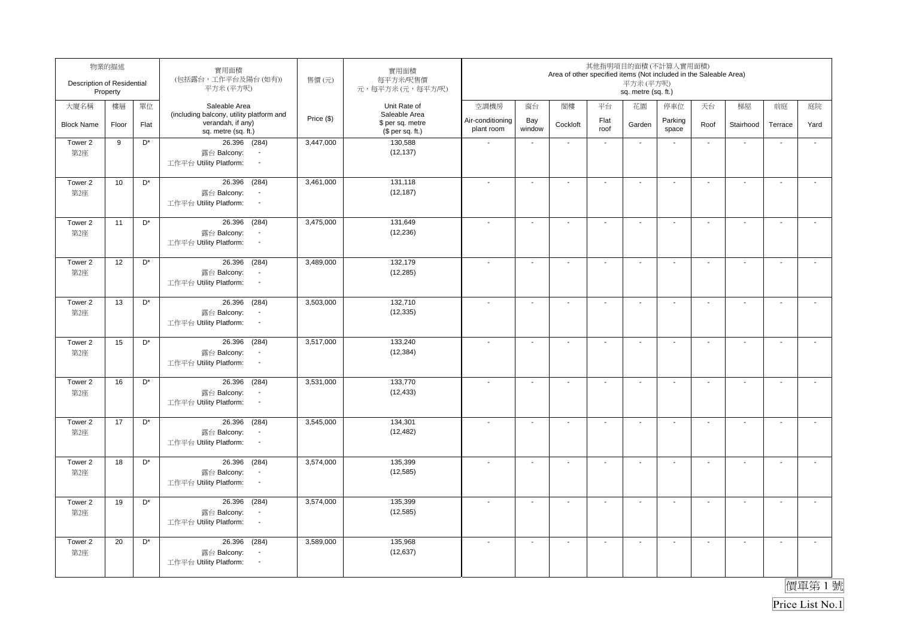| Description of Residential | 物業的描述<br>Property |                    | 實用面積<br>(包括露台,工作平台及陽台(如有))<br>平方米(平方呎)                                                                 | 售價(元)      | 實用面積<br>每平方米/呎售價<br>元,每平方米(元,每平方/呎)                   |                                |                          | Area of other specified items (Not included in the Saleable Area) |                          | 其他指明項目的面積(不計算入實用面積)<br>平方米(平方呎)<br>sq. metre (sq. ft.) |                          |                          |                          |                          |                       |
|----------------------------|-------------------|--------------------|--------------------------------------------------------------------------------------------------------|------------|-------------------------------------------------------|--------------------------------|--------------------------|-------------------------------------------------------------------|--------------------------|--------------------------------------------------------|--------------------------|--------------------------|--------------------------|--------------------------|-----------------------|
| 大廈名稱                       | 樓層                | 單位                 | Saleable Area                                                                                          |            | Unit Rate of                                          | 空調機房                           | 窗台                       | 閣樓                                                                | 平台                       | 花園                                                     | 停車位                      | 天台                       | 梯屋                       | 前庭                       | 庭院                    |
| <b>Block Name</b>          | Floor             | Flat               | (including balcony, utility platform and<br>verandah, if any)<br>sq. metre (sq. ft.)                   | Price (\$) | Saleable Area<br>\$ per sq. metre<br>(\$ per sq. ft.) | Air-conditioning<br>plant room | Bay<br>window            | Cockloft                                                          | Flat<br>roof             | Garden                                                 | Parking<br>space         | Roof                     | Stairhood                | Terrace                  | Yard                  |
| Tower 2<br>第2座             | 9                 | D*                 | 26.396 (284)<br>露台 Balcony:<br>$\blacksquare$<br>工作平台 Utility Platform:<br>$\blacksquare$              | 3,447,000  | 130,588<br>(12, 137)                                  | $\sim$                         | $\mathbf{r}$             | $\sim$                                                            | $\sim$                   | $\sim$                                                 | $\blacksquare$           | $\sim$                   | $\overline{\phantom{a}}$ | $\ddot{\phantom{a}}$     | $\mathbf{r}$          |
| Tower 2<br>第2座             | 10                | D <sup>*</sup>     | (284)<br>26.396<br>露台 Balcony:<br>$\blacksquare$<br>工作平台 Utility Platform:<br>$\sim$                   | 3,461,000  | 131,118<br>(12, 187)                                  | $\overline{\phantom{a}}$       | $\overline{a}$           | $\blacksquare$                                                    | $\mathbf{r}$             | $\blacksquare$                                         | $\overline{\phantom{a}}$ | $\blacksquare$           | $\mathbf{r}$             | L.                       | $\tilde{\phantom{a}}$ |
| Tower 2<br>第2座             | 11                | D*                 | 26.396<br>(284)<br>露台 Balcony:<br>$\overline{\phantom{a}}$<br>工作平台 Utility Platform:<br>$\sim$         | 3,475,000  | 131,649<br>(12, 236)                                  |                                | $\sim$                   | $\sim$                                                            | $\sim$                   | $\sim$                                                 | $\sim$                   | $\blacksquare$           | $\mathbf{r}$             | $\sim$                   | $\mathcal{L}$         |
| Tower 2<br>第2座             | 12                | D <sup>*</sup>     | 26.396 (284)<br>露台 Balcony:<br>$\overline{\phantom{a}}$<br>工作平台 Utility Platform:<br>$\blacksquare$    | 3,489,000  | 132,179<br>(12, 285)                                  |                                | $\overline{a}$           | $\blacksquare$                                                    | $\blacksquare$           | $\blacksquare$                                         | $\overline{\phantom{a}}$ | $\blacksquare$           | $\blacksquare$           | $\overline{\phantom{a}}$ | $\blacksquare$        |
| Tower 2<br>第2座             | 13                | D <sup>*</sup>     | 26.396 (284)<br>露台 Balcony:<br>$\blacksquare$<br>工作平台 Utility Platform:<br>$\sim$                      | 3,503,000  | 132,710<br>(12, 335)                                  |                                | $\blacksquare$           | $\overline{\phantom{a}}$                                          | $\overline{\phantom{a}}$ | $\overline{\phantom{a}}$                               | $\overline{\phantom{a}}$ | $\overline{\phantom{a}}$ | $\blacksquare$           | $\overline{\phantom{a}}$ | $\sim$                |
| Tower 2<br>第2座             | 15                | D <sup>*</sup>     | (284)<br>26.396<br>露台 Balcony:<br>$\overline{\phantom{a}}$<br>工作平台 Utility Platform:<br>$\sim$         | 3,517,000  | 133,240<br>(12, 384)                                  |                                | $\overline{\phantom{a}}$ | $\overline{\phantom{a}}$                                          | $\mathbf{r}$             | $\blacksquare$                                         | $\blacksquare$           | $\overline{\phantom{a}}$ | $\sim$                   | $\mathbf{r}$             | $\sim$                |
| Tower 2<br>第2座             | 16                | D <sup>*</sup>     | 26.396<br>(284)<br>露台 Balcony:<br>$\overline{\phantom{a}}$<br>工作平台 Utility Platform:<br>$\blacksquare$ | 3,531,000  | 133,770<br>(12, 433)                                  |                                | $\blacksquare$           | $\blacksquare$                                                    | $\blacksquare$           | $\blacksquare$                                         | $\blacksquare$           | $\blacksquare$           | $\sim$                   | $\blacksquare$           | $\mathbf{r}$          |
| Tower 2<br>第2座             | 17                | D <sup>*</sup>     | (284)<br>26.396<br>露台 Balcony:<br>$\sim$<br>工作平台 Utility Platform:<br>$\sim$                           | 3,545,000  | 134,301<br>(12, 482)                                  |                                | $\blacksquare$           | $\blacksquare$                                                    | $\blacksquare$           | $\blacksquare$                                         | $\overline{\phantom{a}}$ | $\blacksquare$           | $\sim$                   | $\mathbf{r}$             | $\mathbf{r}$          |
| Tower 2<br>第2座             | 18                | $\mathsf{D}^\star$ | 26.396 (284)<br>露台 Balcony:<br>$\overline{\phantom{a}}$<br>工作平台 Utility Platform:<br>$\sim$            | 3,574,000  | 135,399<br>(12, 585)                                  |                                | $\sim$                   | $\blacksquare$                                                    | $\sim$                   | $\overline{\phantom{a}}$                               | $\blacksquare$           | $\overline{\phantom{a}}$ | $\sim$                   | $\blacksquare$           | $\mathbf{r}$          |
| Tower 2<br>第2座             | 19                | D*                 | 26.396<br>(284)<br>露台 Balcony:<br>$\overline{\phantom{a}}$<br>工作平台 Utility Platform:<br>$\sim$         | 3,574,000  | 135,399<br>(12, 585)                                  |                                | $\overline{\phantom{a}}$ | $\overline{\phantom{a}}$                                          | $\blacksquare$           | $\overline{\phantom{a}}$                               | $\blacksquare$           | $\overline{\phantom{a}}$ | $\sim$                   | $\mathbf{r}$             | $\mathbf{r}$          |
| Tower 2<br>第2座             | 20                | $D^*$              | 26.396<br>(284)<br>露台 Balcony:<br>$\blacksquare$<br>工作平台 Utility Platform:<br>$\sim$                   | 3,589,000  | 135,968<br>(12, 637)                                  |                                | $\sim$                   | $\overline{\phantom{a}}$                                          | $\mathbf{r}$             | $\sim$                                                 | $\sim$                   | $\sim$                   | $\sim$                   | $\sim$                   | $\mathbf{L}$          |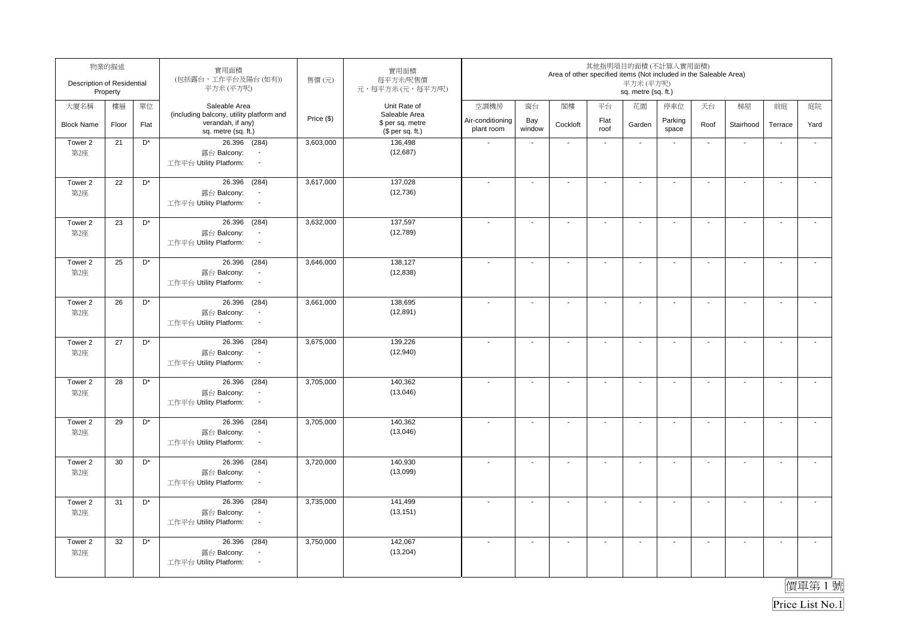| Description of Residential | 物業的描述<br>Property |                      | 實用面積<br>(包括露台,工作平台及陽台(如有))<br>平方米(平方呎)                                                                 | 售價(元)      | 實用面積<br>每平方米/呎售價<br>元,每平方米(元,每平方/呎)                   |                                |                          | Area of other specified items (Not included in the Saleable Area) |                          | 其他指明項目的面積(不計算入實用面積)<br>平方米(平方呎)<br>sq. metre (sq. ft.) |                          |                          |                          |                          |                       |
|----------------------------|-------------------|----------------------|--------------------------------------------------------------------------------------------------------|------------|-------------------------------------------------------|--------------------------------|--------------------------|-------------------------------------------------------------------|--------------------------|--------------------------------------------------------|--------------------------|--------------------------|--------------------------|--------------------------|-----------------------|
| 大廈名稱                       | 樓層                | 單位                   | Saleable Area                                                                                          |            | Unit Rate of                                          | 空調機房                           | 窗台                       | 閣樓                                                                | 平台                       | 花園                                                     | 停車位                      | 天台                       | 梯屋                       | 前庭                       | 庭院                    |
| <b>Block Name</b>          | Floor             | Flat                 | (including balcony, utility platform and<br>verandah, if any)<br>sq. metre (sq. ft.)                   | Price (\$) | Saleable Area<br>\$ per sq. metre<br>(\$ per sq. ft.) | Air-conditioning<br>plant room | Bay<br>window            | Cockloft                                                          | Flat<br>roof             | Garden                                                 | Parking<br>space         | Roof                     | Stairhood                | Terrace                  | Yard                  |
| Tower 2<br>第2座             | 21                | D*                   | 26.396 (284)<br>露台 Balcony:<br>$\blacksquare$<br>工作平台 Utility Platform:<br>$\blacksquare$              | 3,603,000  | 136,498<br>(12,687)                                   | $\sim$                         | $\mathbf{r}$             | $\sim$                                                            | $\sim$                   | $\sim$                                                 | $\blacksquare$           | $\sim$                   | $\overline{\phantom{a}}$ | ÷,                       | $\mathbf{r}$          |
| Tower 2<br>第2座             | 22                | D <sup>*</sup>       | (284)<br>26.396<br>露台 Balcony:<br>$\blacksquare$<br>工作平台 Utility Platform:<br>$\sim$                   | 3,617,000  | 137,028<br>(12, 736)                                  | $\overline{\phantom{a}}$       | $\overline{a}$           | $\blacksquare$                                                    | $\mathbf{r}$             | $\blacksquare$                                         | $\overline{\phantom{a}}$ | $\blacksquare$           | $\mathbf{r}$             | L.                       | $\tilde{\phantom{a}}$ |
| Tower 2<br>第2座             | 23                | $\mathsf{D}^{\star}$ | 26.396<br>(284)<br>露台 Balcony:<br>$\overline{\phantom{a}}$<br>工作平台 Utility Platform:<br>$\blacksquare$ | 3,632,000  | 137,597<br>(12,789)                                   |                                | $\sim$                   | $\blacksquare$                                                    | $\sim$                   | $\sim$                                                 | $\sim$                   | $\blacksquare$           | $\mathbf{r}$             | $\sim$                   | $\mathcal{L}$         |
| Tower 2<br>第2座             | 25                | $\mathsf{D}^{\star}$ | 26.396 (284)<br>露台 Balcony:<br>$\overline{\phantom{a}}$<br>工作平台 Utility Platform:<br>$\blacksquare$    | 3,646,000  | 138,127<br>(12, 838)                                  |                                | $\overline{a}$           | $\blacksquare$                                                    | $\blacksquare$           | $\blacksquare$                                         | $\overline{\phantom{a}}$ | $\blacksquare$           | $\blacksquare$           | $\overline{\phantom{a}}$ | $\blacksquare$        |
| Tower 2<br>第2座             | 26                | D <sup>*</sup>       | 26.396 (284)<br>露台 Balcony:<br>$\blacksquare$<br>工作平台 Utility Platform:<br>$\sim$                      | 3,661,000  | 138,695<br>(12, 891)                                  |                                | $\blacksquare$           | $\overline{\phantom{a}}$                                          | $\overline{\phantom{a}}$ | $\overline{\phantom{a}}$                               | $\overline{\phantom{a}}$ | $\overline{\phantom{a}}$ | $\blacksquare$           | $\overline{\phantom{a}}$ | $\sim$                |
| Tower 2<br>第2座             | 27                | D <sup>*</sup>       | (284)<br>26.396<br>露台 Balcony:<br>$\overline{\phantom{a}}$<br>工作平台 Utility Platform:<br>$\sim$         | 3,675,000  | 139,226<br>(12,940)                                   |                                | $\overline{\phantom{a}}$ | $\overline{\phantom{a}}$                                          | $\mathbf{r}$             | $\blacksquare$                                         | $\blacksquare$           | $\overline{\phantom{a}}$ | $\sim$                   | $\mathbf{r}$             | $\sim$                |
| Tower 2<br>第2座             | 28                | D <sup>*</sup>       | 26.396<br>(284)<br>露台 Balcony:<br>$\overline{\phantom{a}}$<br>工作平台 Utility Platform:<br>$\blacksquare$ | 3,705,000  | 140,362<br>(13,046)                                   |                                | $\blacksquare$           | $\blacksquare$                                                    | $\blacksquare$           | $\blacksquare$                                         | $\blacksquare$           | $\blacksquare$           | $\sim$                   | $\blacksquare$           | $\mathbf{r}$          |
| Tower 2<br>第2座             | 29                | D <sup>*</sup>       | (284)<br>26.396<br>露台 Balcony:<br>$\sim$<br>工作平台 Utility Platform:<br>$\sim$                           | 3,705,000  | 140,362<br>(13,046)                                   |                                | $\blacksquare$           | $\blacksquare$                                                    | $\blacksquare$           | $\blacksquare$                                         | $\overline{\phantom{a}}$ | $\blacksquare$           | $\sim$                   | $\mathbf{r}$             | $\mathbf{r}$          |
| Tower 2<br>第2座             | 30                | $\mathsf{D}^\star$   | 26.396 (284)<br>露台 Balcony:<br>$\overline{\phantom{a}}$<br>工作平台 Utility Platform:<br>$\sim$            | 3,720,000  | 140,930<br>(13,099)                                   |                                | $\sim$                   | $\blacksquare$                                                    | $\sim$                   | $\overline{\phantom{a}}$                               | $\blacksquare$           | $\overline{\phantom{a}}$ | $\sim$                   | $\blacksquare$           | $\mathbf{r}$          |
| Tower 2<br>第2座             | 31                | D*                   | 26.396<br>(284)<br>露台 Balcony:<br>$\overline{\phantom{a}}$<br>工作平台 Utility Platform:<br>$\sim$         | 3,735,000  | 141,499<br>(13, 151)                                  |                                | $\overline{\phantom{a}}$ | $\overline{\phantom{a}}$                                          | $\blacksquare$           | $\overline{\phantom{a}}$                               | $\blacksquare$           | $\overline{\phantom{a}}$ | $\sim$                   | $\mathbf{r}$             | $\mathbf{r}$          |
| Tower 2<br>第2座             | 32                | D <sup>*</sup>       | 26.396<br>(284)<br>露台 Balcony:<br>$\blacksquare$<br>工作平台 Utility Platform:<br>$\sim$                   | 3,750,000  | 142,067<br>(13, 204)                                  |                                | $\sim$                   | $\overline{\phantom{a}}$                                          | $\mathbf{r}$             | $\sim$                                                 | $\sim$                   | $\sim$                   | $\sim$                   | $\sim$                   | $\mathbf{L}$          |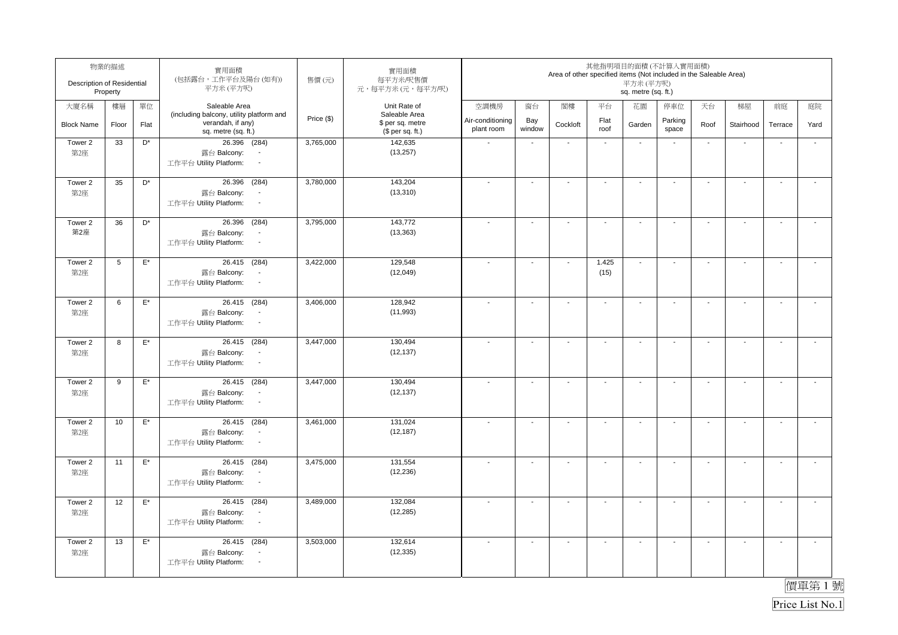| Description of Residential | 物業的描述<br>Property |                    | 實用面積<br>(包括露台,工作平台及陽台(如有))<br>平方米(平方呎)                                                              | 售價(元)      | 實用面積<br>每平方米/呎售價<br>元,每平方米(元,每平方/呎)  |                                |                          | Area of other specified items (Not included in the Saleable Area) |                | 其他指明項目的面積(不計算入實用面積)<br>平方米(平方呎)<br>sq. metre (sq. ft.) |                          |                          |                          |                          |                       |
|----------------------------|-------------------|--------------------|-----------------------------------------------------------------------------------------------------|------------|--------------------------------------|--------------------------------|--------------------------|-------------------------------------------------------------------|----------------|--------------------------------------------------------|--------------------------|--------------------------|--------------------------|--------------------------|-----------------------|
| 大廈名稱                       | 樓層                | 單位                 | Saleable Area                                                                                       |            | Unit Rate of<br>Saleable Area        | 空調機房                           | 窗台                       | 閣樓                                                                | 平台             | 花園                                                     | 停車位                      | 天台                       | 梯屋                       | 前庭                       | 庭院                    |
| <b>Block Name</b>          | Floor             | Flat               | (including balcony, utility platform and<br>verandah, if any)<br>sq. metre (sq. ft.)                | Price (\$) | \$ per sq. metre<br>(\$ per sq. ft.) | Air-conditioning<br>plant room | Bay<br>window            | Cockloft                                                          | Flat<br>roof   | Garden                                                 | Parking<br>space         | Roof                     | Stairhood                | Terrace                  | Yard                  |
| Tower 2<br>第2座             | 33                | D*                 | 26.396 (284)<br>露台 Balcony:<br>$\blacksquare$<br>工作平台 Utility Platform:<br>$\blacksquare$           | 3,765,000  | 142,635<br>(13, 257)                 | $\sim$                         | $\mathbf{r}$             | $\sim$                                                            | $\sim$         | $\sim$                                                 | $\blacksquare$           | $\sim$                   | $\overline{\phantom{a}}$ | $\ddot{\phantom{a}}$     | $\mathbf{r}$          |
| Tower 2<br>第2座             | 35                | D <sup>*</sup>     | (284)<br>26.396<br>露台 Balcony:<br>$\blacksquare$<br>工作平台 Utility Platform:<br>$\sim$                | 3,780,000  | 143,204<br>(13, 310)                 | $\overline{\phantom{a}}$       | $\overline{a}$           | $\blacksquare$                                                    | $\mathbf{r}$   | $\blacksquare$                                         | $\overline{\phantom{a}}$ | $\blacksquare$           | $\mathbf{r}$             | L.                       | $\tilde{\phantom{a}}$ |
| Tower 2<br>第2座             | 36                | D*                 | 26.396<br>(284)<br>露台 Balcony:<br>$\overline{\phantom{a}}$<br>工作平台 Utility Platform:<br>$\sim$      | 3,795,000  | 143,772<br>(13, 363)                 |                                | $\sim$                   | $\sim$                                                            | $\mathbf{r}$   | $\sim$                                                 | $\sim$                   | $\blacksquare$           | $\sim$                   | $\sim$                   | $\mathcal{L}$         |
| Tower 2<br>第2座             | 5                 | $\mathsf{E}^\star$ | 26.415 (284)<br>露台 Balcony:<br>$\overline{\phantom{a}}$<br>工作平台 Utility Platform:<br>$\blacksquare$ | 3,422,000  | 129,548<br>(12,049)                  |                                | $\blacksquare$           | $\blacksquare$                                                    | 1.425<br>(15)  | $\sim$                                                 | $\overline{\phantom{a}}$ | $\blacksquare$           | $\blacksquare$           | $\overline{\phantom{a}}$ | $\mathbf{r}$          |
| Tower 2<br>第2座             | 6                 | $\mathsf{E}^\star$ | 26.415 (284)<br>露台 Balcony:<br>$\overline{\phantom{a}}$<br>工作平台 Utility Platform:<br>$\sim$         | 3,406,000  | 128,942<br>(11,993)                  |                                | $\blacksquare$           | $\overline{\phantom{a}}$                                          | $\blacksquare$ | $\blacksquare$                                         | $\overline{\phantom{a}}$ | $\overline{\phantom{a}}$ | $\blacksquare$           | $\overline{\phantom{a}}$ | $\sim$                |
| Tower 2<br>第2座             | 8                 | $\mathsf{E}^\star$ | 26.415 (284)<br>露台 Balcony:<br>$\overline{\phantom{a}}$<br>工作平台 Utility Platform:<br>$\sim$         | 3,447,000  | 130,494<br>(12, 137)                 |                                | $\overline{\phantom{a}}$ | $\overline{\phantom{a}}$                                          | $\mathbf{r}$   | $\blacksquare$                                         | $\blacksquare$           | $\overline{\phantom{a}}$ | $\sim$                   | $\mathbf{r}$             | $\sim$                |
| Tower 2<br>第2座             | 9                 | $\mathsf{E}^\star$ | 26.415 (284)<br>露台 Balcony:<br>工作平台 Utility Platform:<br>$\blacksquare$                             | 3,447,000  | 130,494<br>(12, 137)                 |                                | $\blacksquare$           | $\blacksquare$                                                    | $\blacksquare$ | $\blacksquare$                                         | $\blacksquare$           | $\blacksquare$           | $\sim$                   | $\blacksquare$           | $\mathbf{r}$          |
| Tower 2<br>第2座             | 10                | $\mathsf{E}^\star$ | 26.415 (284)<br>露台 Balcony:<br>$\sim$<br>工作平台 Utility Platform:<br>$\sim$                           | 3,461,000  | 131,024<br>(12, 187)                 |                                | $\blacksquare$           | $\blacksquare$                                                    | $\blacksquare$ | $\blacksquare$                                         | $\overline{\phantom{a}}$ | $\blacksquare$           | $\mathbf{r}$             | $\mathbf{r}$             | $\mathbf{r}$          |
| Tower 2<br>第2座             | 11                | $\mathsf{E}^\star$ | 26.415 (284)<br>露台 Balcony:<br>$\overline{\phantom{a}}$<br>工作平台 Utility Platform:<br>$\sim$         | 3,475,000  | 131,554<br>(12, 236)                 |                                | $\sim$                   | $\blacksquare$                                                    | $\sim$         | $\overline{\phantom{a}}$                               | $\blacksquare$           | $\overline{\phantom{a}}$ | $\sim$                   | $\blacksquare$           | $\mathbf{r}$          |
| Tower 2<br>第2座             | 12                | $\mathsf{E}^\star$ | 26.415 (284)<br>露台 Balcony:<br>工作平台 Utility Platform:<br>$\sim$                                     | 3,489,000  | 132,084<br>(12, 285)                 |                                | $\overline{\phantom{a}}$ | $\overline{\phantom{a}}$                                          | $\blacksquare$ | $\overline{\phantom{a}}$                               | $\blacksquare$           | $\overline{\phantom{a}}$ | $\sim$                   | $\mathbf{r}$             | $\mathbf{r}$          |
| Tower 2<br>第2座             | 13                | $\mathsf{E}^\star$ | 26.415 (284)<br>露台 Balcony:<br>$\overline{\phantom{a}}$<br>工作平台 Utility Platform:<br>$\sim$         | 3,503,000  | 132,614<br>(12, 335)                 |                                | $\sim$                   | $\overline{\phantom{a}}$                                          | $\mathbf{r}$   | $\sim$                                                 | $\sim$                   | $\sim$                   | $\sim$                   | $\sim$                   | $\mathbf{L}$          |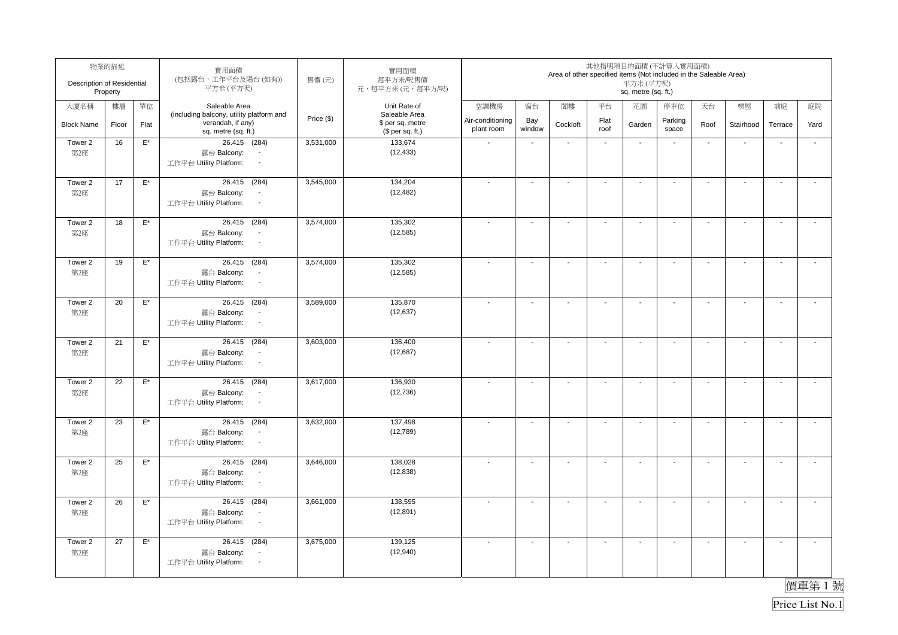| Description of Residential | 物業的描述<br>Property |                    | 實用面積<br>(包括露台,工作平台及陽台(如有))<br>平方米(平方呎)                                                      | 售價(元)      | 實用面積<br>每平方米/呎售價<br>元,每平方米(元,每平方/呎)                   |                                |                          | Area of other specified items (Not included in the Saleable Area) |                          | 其他指明項目的面積(不計算入實用面積)<br>平方米(平方呎)<br>sq. metre (sq. ft.) |                          |                          |                          |                          |                       |
|----------------------------|-------------------|--------------------|---------------------------------------------------------------------------------------------|------------|-------------------------------------------------------|--------------------------------|--------------------------|-------------------------------------------------------------------|--------------------------|--------------------------------------------------------|--------------------------|--------------------------|--------------------------|--------------------------|-----------------------|
| 大廈名稱                       | 樓層                | 單位                 | Saleable Area                                                                               |            | Unit Rate of                                          | 空調機房                           | 窗台                       | 閣樓                                                                | 平台                       | 花園                                                     | 停車位                      | 天台                       | 梯屋                       | 前庭                       | 庭院                    |
| <b>Block Name</b>          | Floor             | Flat               | (including balcony, utility platform and<br>verandah, if any)<br>sq. metre (sq. ft.)        | Price (\$) | Saleable Area<br>\$ per sq. metre<br>(\$ per sq. ft.) | Air-conditioning<br>plant room | Bay<br>window            | Cockloft                                                          | Flat<br>roof             | Garden                                                 | Parking<br>space         | Roof                     | Stairhood                | Terrace                  | Yard                  |
| Tower 2<br>第2座             | 16                | $E^*$              | 26.415 (284)<br>露台 Balcony:<br>工作平台 Utility Platform:<br>$\blacksquare$                     | 3,531,000  | 133,674<br>(12, 433)                                  | $\sim$                         | $\mathbf{r}$             | $\sim$                                                            | $\sim$                   | $\sim$                                                 | $\blacksquare$           | $\sim$                   | $\overline{\phantom{a}}$ | $\ddot{\phantom{a}}$     | $\mathbf{r}$          |
| Tower 2<br>第2座             | 17                | $\mathsf{E}^\star$ | 26.415 (284)<br>露台 Balcony:<br>$\blacksquare$<br>工作平台 Utility Platform:<br>$\sim$           | 3,545,000  | 134,204<br>(12, 482)                                  | $\overline{\phantom{a}}$       | ä,                       | $\blacksquare$                                                    | $\mathbf{r}$             | $\blacksquare$                                         | $\overline{\phantom{a}}$ | $\blacksquare$           | $\mathbf{r}$             | L.                       | $\tilde{\phantom{a}}$ |
| Tower 2<br>第2座             | 18                | $\mathsf{E}^\star$ | 26.415 (284)<br>露台 Balcony:<br>$\overline{\phantom{a}}$<br>工作平台 Utility Platform:<br>$\sim$ | 3,574,000  | 135,302<br>(12, 585)                                  |                                | $\sim$                   | $\sim$                                                            | $\sim$                   | $\sim$                                                 | $\sim$                   | $\blacksquare$           | $\mathbf{r}$             | $\sim$                   | $\mathcal{L}$         |
| Tower 2<br>第2座             | 19                | $\mathsf{E}^\star$ | 26.415 (284)<br>露台 Balcony:<br>$\blacksquare$<br>工作平台 Utility Platform:<br>$\blacksquare$   | 3,574,000  | 135,302<br>(12, 585)                                  |                                | $\blacksquare$           | $\blacksquare$                                                    | $\blacksquare$           | $\blacksquare$                                         | $\overline{\phantom{a}}$ | $\blacksquare$           | $\blacksquare$           | $\overline{\phantom{a}}$ | $\blacksquare$        |
| Tower 2<br>第2座             | 20                | $\mathsf{E}^\star$ | 26.415 (284)<br>露台 Balcony:<br>$\overline{\phantom{a}}$<br>工作平台 Utility Platform:<br>$\sim$ | 3,589,000  | 135,870<br>(12, 637)                                  |                                | $\blacksquare$           | $\overline{\phantom{a}}$                                          | $\overline{\phantom{a}}$ | $\overline{\phantom{a}}$                               | $\overline{\phantom{a}}$ | $\overline{\phantom{a}}$ | $\blacksquare$           | $\overline{\phantom{a}}$ | $\sim$                |
| Tower 2<br>第2座             | 21                | $\mathsf{E}^\star$ | 26.415 (284)<br>露台 Balcony:<br>$\overline{\phantom{a}}$<br>工作平台 Utility Platform:<br>$\sim$ | 3,603,000  | 136,400<br>(12, 687)                                  |                                | $\overline{\phantom{a}}$ | $\overline{\phantom{a}}$                                          | $\mathbf{r}$             | $\blacksquare$                                         | $\blacksquare$           | $\overline{\phantom{a}}$ | $\sim$                   | $\mathbf{r}$             | $\sim$                |
| Tower 2<br>第2座             | 22                | $\mathsf{E}^\star$ | 26.415 (284)<br>露台 Balcony:<br>工作平台 Utility Platform:<br>$\blacksquare$                     | 3,617,000  | 136,930<br>(12, 736)                                  |                                | $\blacksquare$           | $\blacksquare$                                                    | $\blacksquare$           | $\blacksquare$                                         | $\blacksquare$           | $\blacksquare$           | $\sim$                   | $\blacksquare$           | $\mathbf{r}$          |
| Tower 2<br>第2座             | 23                | $\mathsf{E}^\star$ | 26.415 (284)<br>露台 Balcony:<br>$\sim$<br>工作平台 Utility Platform:<br>$\sim$                   | 3,632,000  | 137,498<br>(12,789)                                   |                                | $\blacksquare$           | $\blacksquare$                                                    | $\blacksquare$           | $\blacksquare$                                         | $\overline{\phantom{a}}$ | $\blacksquare$           | $\mathbf{r}$             | $\mathbf{r}$             | $\mathbf{r}$          |
| Tower 2<br>第2座             | 25                | $E^*$              | 26.415 (284)<br>露台 Balcony:<br>$\overline{\phantom{a}}$<br>工作平台 Utility Platform:<br>$\sim$ | 3,646,000  | 138,028<br>(12, 838)                                  |                                | $\sim$                   | $\blacksquare$                                                    | $\sim$                   | $\overline{\phantom{a}}$                               | $\blacksquare$           | $\overline{\phantom{a}}$ | $\sim$                   | $\blacksquare$           | $\mathbf{r}$          |
| Tower 2<br>第2座             | 26                | $\mathsf{E}^\star$ | 26.415 (284)<br>露台 Balcony:<br>工作平台 Utility Platform:<br>$\sim$                             | 3,661,000  | 138,595<br>(12, 891)                                  |                                | $\overline{\phantom{a}}$ | $\overline{\phantom{a}}$                                          | $\blacksquare$           | $\overline{\phantom{a}}$                               | $\blacksquare$           | $\overline{\phantom{a}}$ | $\sim$                   | $\mathbf{r}$             | $\mathbf{r}$          |
| Tower 2<br>第2座             | 27                | $\mathsf{E}^\star$ | 26.415 (284)<br>露台 Balcony:<br>$\overline{\phantom{a}}$<br>工作平台 Utility Platform:<br>$\sim$ | 3,675,000  | 139,125<br>(12,940)                                   |                                | $\sim$                   | $\overline{\phantom{a}}$                                          | $\mathbf{r}$             | $\sim$                                                 | $\sim$                   | $\sim$                   | $\sim$                   | $\sim$                   | $\mathbf{L}$          |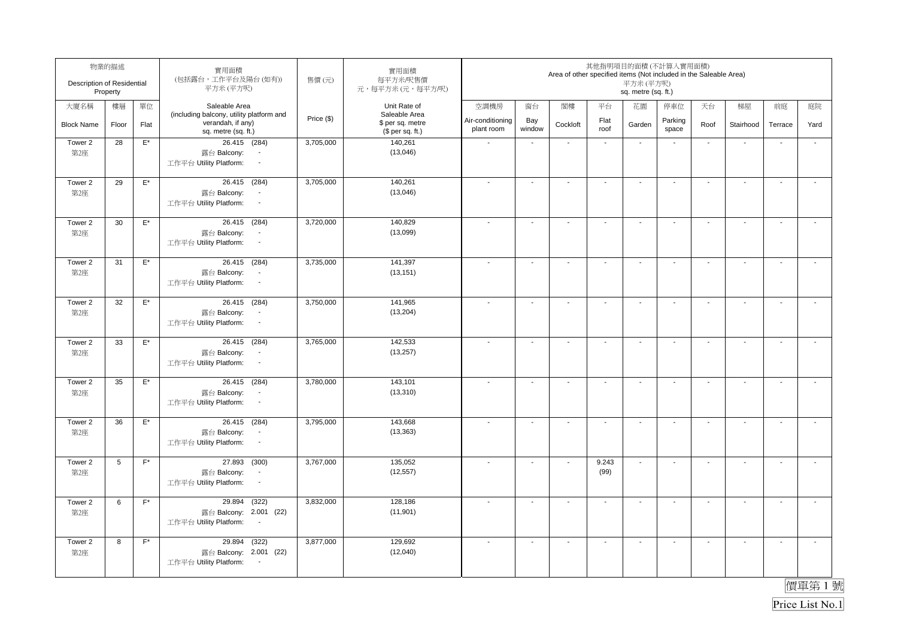| Description of Residential | 物業的描述<br>Property |                    | 實用面積<br>(包括露台,工作平台及陽台(如有))<br>平方米(平方呎)                                                              | 售價(元)      | 實用面積<br>每平方米/呎售價<br>元,每平方米(元,每平方/呎)                   |                                |                          | Area of other specified items (Not included in the Saleable Area) |                          | 其他指明項目的面積(不計算入實用面積)<br>平方米(平方呎)<br>sq. metre (sq. ft.) |                          |                          |                          |                          |                       |
|----------------------------|-------------------|--------------------|-----------------------------------------------------------------------------------------------------|------------|-------------------------------------------------------|--------------------------------|--------------------------|-------------------------------------------------------------------|--------------------------|--------------------------------------------------------|--------------------------|--------------------------|--------------------------|--------------------------|-----------------------|
| 大廈名稱                       | 樓層                | 單位                 | Saleable Area                                                                                       |            | Unit Rate of                                          | 空調機房                           | 窗台                       | 閣樓                                                                | 平台                       | 花園                                                     | 停車位                      | 天台                       | 梯屋                       | 前庭                       | 庭院                    |
| <b>Block Name</b>          | Floor             | Flat               | (including balcony, utility platform and<br>verandah, if any)<br>sq. metre (sq. ft.)                | Price (\$) | Saleable Area<br>\$ per sq. metre<br>$$$ per sq. ft.) | Air-conditioning<br>plant room | Bay<br>window            | Cockloft                                                          | Flat<br>roof             | Garden                                                 | Parking<br>space         | Roof                     | Stairhood                | Terrace                  | Yard                  |
| Tower 2<br>第2座             | 28                | $E^*$              | 26.415 (284)<br>露台 Balcony:<br>工作平台 Utility Platform:<br>$\overline{\phantom{a}}$                   | 3,705,000  | 140,261<br>(13,046)                                   | $\sim$                         | $\mathbf{r}$             | $\sim$                                                            | $\sim$                   | $\sim$                                                 | $\blacksquare$           | $\sim$                   | $\overline{\phantom{a}}$ | $\ddot{\phantom{a}}$     | $\mathbf{r}$          |
| Tower 2<br>第2座             | 29                | $\mathsf{E}^\star$ | 26.415 (284)<br>露台 Balcony:<br>$\blacksquare$<br>工作平台 Utility Platform:<br>$\sim$                   | 3,705,000  | 140,261<br>(13,046)                                   | $\overline{\phantom{a}}$       | $\overline{a}$           | $\blacksquare$                                                    | $\blacksquare$           | $\blacksquare$                                         | $\overline{\phantom{a}}$ | $\blacksquare$           | $\mathbf{r}$             | L.                       | $\tilde{\phantom{a}}$ |
| Tower 2<br>第2座             | 30                | $\mathsf{E}^\star$ | 26.415 (284)<br>露台 Balcony:<br>$\overline{\phantom{a}}$<br>工作平台 Utility Platform:<br>$\blacksquare$ | 3,720,000  | 140,829<br>(13,099)                                   |                                | $\sim$                   | $\sim$                                                            | $\blacksquare$           | $\sim$                                                 | $\sim$                   | $\blacksquare$           | $\sim$                   | $\sim$                   | $\mathcal{L}$         |
| Tower 2<br>第2座             | 31                | $\mathsf{E}^\star$ | 26.415 (284)<br>露台 Balcony:<br>$\overline{\phantom{a}}$<br>工作平台 Utility Platform:<br>$\blacksquare$ | 3,735,000  | 141,397<br>(13, 151)                                  |                                | $\blacksquare$           | $\blacksquare$                                                    | $\blacksquare$           | $\blacksquare$                                         | $\overline{\phantom{a}}$ | $\blacksquare$           | $\blacksquare$           | $\overline{\phantom{a}}$ | $\mathbf{r}$          |
| Tower 2<br>第2座             | 32                | $\mathsf{E}^\star$ | 26.415 (284)<br>露台 Balcony:<br>$\overline{\phantom{a}}$<br>工作平台 Utility Platform:<br>$\sim$         | 3,750,000  | 141,965<br>(13, 204)                                  |                                | $\blacksquare$           | $\overline{\phantom{a}}$                                          | $\overline{\phantom{a}}$ | $\overline{\phantom{a}}$                               | $\overline{\phantom{a}}$ | $\overline{\phantom{a}}$ | $\blacksquare$           | $\overline{\phantom{a}}$ | $\sim$                |
| Tower 2<br>第2座             | 33                | $\mathsf{E}^\star$ | 26.415 (284)<br>露台 Balcony:<br>$\overline{\phantom{a}}$<br>工作平台 Utility Platform:<br>$\sim$         | 3,765,000  | 142,533<br>(13, 257)                                  |                                | $\overline{\phantom{a}}$ | $\overline{\phantom{a}}$                                          | $\sim$                   | $\blacksquare$                                         | $\blacksquare$           | $\overline{\phantom{a}}$ | $\sim$                   | $\mathbf{r}$             | $\sim$                |
| Tower 2<br>第2座             | 35                | $\mathsf{E}^\star$ | 26.415 (284)<br>露台 Balcony:<br>工作平台 Utility Platform:<br>$\blacksquare$                             | 3,780,000  | 143,101<br>(13, 310)                                  |                                | $\blacksquare$           | $\blacksquare$                                                    | $\blacksquare$           | $\blacksquare$                                         | $\blacksquare$           | $\blacksquare$           | $\sim$                   | $\blacksquare$           | $\mathbf{r}$          |
| Tower 2<br>第2座             | 36                | $\mathsf{E}^\star$ | 26.415 (284)<br>露台 Balcony:<br>$\sim$<br>工作平台 Utility Platform:<br>$\sim$                           | 3,795,000  | 143,668<br>(13, 363)                                  |                                | $\blacksquare$           | $\blacksquare$                                                    | $\blacksquare$           | $\blacksquare$                                         | $\overline{\phantom{a}}$ | $\blacksquare$           | $\sim$                   | $\mathbf{r}$             | $\mathbf{r}$          |
| Tower 2<br>第2座             | 5                 | $\mathsf{F}^\star$ | 27.893 (300)<br>露台 Balcony:<br>$\overline{\phantom{a}}$<br>工作平台 Utility Platform:<br>$\sim$         | 3,767,000  | 135,052<br>(12, 557)                                  |                                | $\sim$                   | $\overline{\phantom{a}}$                                          | 9.243<br>(99)            | $\sim$                                                 | $\blacksquare$           | $\overline{\phantom{a}}$ | $\sim$                   | $\blacksquare$           | $\mathbf{r}$          |
| Tower 2<br>第2座             | 6                 | $\mathsf{F}^\star$ | 29.894<br>(322)<br>露台 Balcony: 2.001 (22)<br>工作平台 Utility Platform:<br>$\sim$                       | 3,832,000  | 128,186<br>(11,901)                                   |                                | $\blacksquare$           | $\blacksquare$                                                    | $\blacksquare$           | $\overline{\phantom{a}}$                               | $\blacksquare$           | $\overline{\phantom{a}}$ | $\sim$                   | $\mathbf{r}$             | $\mathbf{r}$          |
| Tower 2<br>第2座             | 8                 | $F^*$              | 29.894 (322)<br>露台 Balcony: 2.001 (22)<br>工作平台 Utility Platform:<br>$\sim$                          | 3,877,000  | 129,692<br>(12,040)                                   |                                | $\sim$                   | $\blacksquare$                                                    | $\mathbf{r}$             | $\sim$                                                 | $\sim$                   | $\sim$                   | $\sim$                   | $\sim$                   | $\mathbf{L}$          |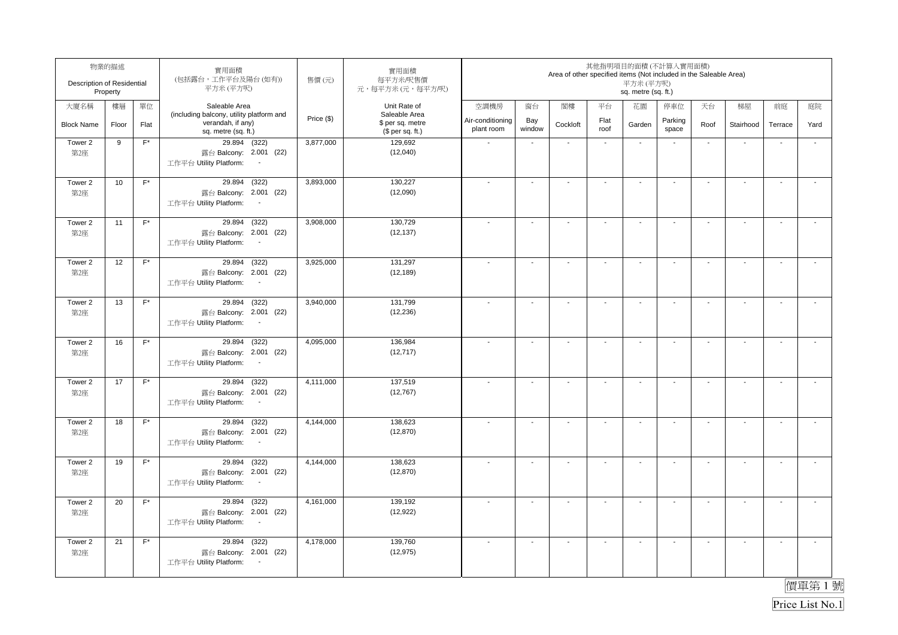| Description of Residential | 物業的描述<br>Property |                    | 實用面積<br>(包括露台,工作平台及陽台(如有))<br>平方米(平方呎)                                                          | 售價(元)      | 實用面積<br>每平方米/呎售價<br>元,每平方米(元,每平方/呎)                   |                                |                          | Area of other specified items (Not included in the Saleable Area) |                          | 其他指明項目的面積(不計算入實用面積)<br>平方米 (平方呎)<br>sq. metre (sq. ft.) |                          |                          |                          |                          |                          |
|----------------------------|-------------------|--------------------|-------------------------------------------------------------------------------------------------|------------|-------------------------------------------------------|--------------------------------|--------------------------|-------------------------------------------------------------------|--------------------------|---------------------------------------------------------|--------------------------|--------------------------|--------------------------|--------------------------|--------------------------|
| 大廈名稱                       | 樓層                | 單位                 | Saleable Area                                                                                   |            | Unit Rate of                                          | 空調機房                           | 窗台                       | 閣樓                                                                | 平台                       | 花園                                                      | 停車位                      | 天台                       | 梯屋                       | 前庭                       | 庭院                       |
| <b>Block Name</b>          | Floor             | Flat               | (including balcony, utility platform and<br>verandah, if any)<br>sq. metre (sq. ft.)            | Price (\$) | Saleable Area<br>\$ per sq. metre<br>$$$ per sq. ft.) | Air-conditioning<br>plant room | Bay<br>window            | Cockloft                                                          | Flat<br>roof             | Garden                                                  | Parking<br>space         | Roof                     | Stairhood                | Terrace                  | Yard                     |
| Tower 2<br>第2座             | 9                 | $F^*$              | 29.894 (322)<br>露台 Balcony: 2.001 (22)<br>工作平台 Utility Platform:<br>$\blacksquare$              | 3,877,000  | 129,692<br>(12,040)                                   |                                | $\blacksquare$           | $\blacksquare$                                                    | $\blacksquare$           | $\blacksquare$                                          |                          | $\blacksquare$           | ÷,                       | $\overline{\phantom{a}}$ | $\tilde{\phantom{a}}$    |
| Tower 2<br>第2座             | 10                | $F^*$              | (322)<br>29.894<br>露台 Balcony: 2.001 (22)<br>工作平台 Utility Platform:<br>$\blacksquare$           | 3,893,000  | 130,227<br>(12,090)                                   |                                | $\blacksquare$           | $\blacksquare$                                                    | $\overline{\phantom{a}}$ | $\blacksquare$                                          | $\overline{\phantom{a}}$ | $\blacksquare$           | $\sim$                   | $\overline{\phantom{a}}$ | $\overline{a}$           |
| Tower 2<br>第2座             | 11                | $F^*$              | (322)<br>29.894<br>露台 Balcony: 2.001 (22)<br>工作平台 Utility Platform:                             | 3,908,000  | 130.729<br>(12, 137)                                  |                                | $\blacksquare$           | $\overline{\phantom{a}}$                                          | $\blacksquare$           | $\blacksquare$                                          | $\overline{\phantom{a}}$ | $\blacksquare$           | $\sim$                   | $\overline{\phantom{a}}$ | $\tilde{\phantom{a}}$    |
| Tower 2<br>第2座             | 12                | $F^*$              | 29.894<br>(322)<br>露台 Balcony: 2.001 (22)<br>工作平台 Utility Platform:<br>$\sim$                   | 3,925,000  | 131,297<br>(12, 189)                                  |                                | $\blacksquare$           | $\blacksquare$                                                    | $\overline{\phantom{a}}$ | $\overline{\phantom{a}}$                                | $\blacksquare$           | $\overline{\phantom{a}}$ | $\blacksquare$           | $\sim$                   | $\overline{\phantom{a}}$ |
| Tower 2<br>第2座             | 13                | $F^*$              | 29.894 (322)<br>露台 Balcony: 2.001 (22)<br>工作平台 Utility Platform:<br>$\sim$                      | 3,940,000  | 131,799<br>(12, 236)                                  |                                | $\blacksquare$           | $\blacksquare$                                                    | $\blacksquare$           | $\blacksquare$                                          | $\overline{\phantom{a}}$ | $\blacksquare$           | $\sim$                   | $\overline{\phantom{a}}$ | $\mathbf{r}$             |
| Tower 2<br>第2座             | 16                | $F^*$              | 29.894 (322)<br>露台 Balcony: 2.001 (22)<br>工作平台 Utility Platform:<br>$\sim$                      | 4,095,000  | 136,984<br>(12, 717)                                  |                                | $\overline{\phantom{a}}$ | $\blacksquare$                                                    | $\mathbf{r}$             | $\sim$                                                  | $\sim$                   | $\sim$                   | $\mathbf{r}$             | $\sim$                   | $\mathcal{L}$            |
| Tower 2<br>第2座             | 17                | $F^*$              | 29.894<br>(322)<br>露台 Balcony: 2.001 (22)<br>工作平台 Utility Platform:<br>$\sim$                   | 4,111,000  | 137,519<br>(12, 767)                                  |                                | $\sim$                   | $\blacksquare$                                                    | $\mathbf{r}$             | $\sim$                                                  | $\sim$                   | $\sim$                   | $\sim$                   | $\blacksquare$           | $\mathbf{r}$             |
| Tower 2<br>第2座             | 18                | $\mathsf{F}^\star$ | 29.894 (322)<br>露台 Balcony: 2.001 (22)<br>工作平台 Utility Platform:<br>$\sim$                      | 4,144,000  | 138,623<br>(12, 870)                                  |                                | $\overline{\phantom{a}}$ | $\overline{\phantom{a}}$                                          | $\blacksquare$           | $\overline{\phantom{a}}$                                | $\overline{\phantom{a}}$ | $\overline{\phantom{a}}$ | $\overline{\phantom{a}}$ | $\blacksquare$           | $\tilde{\phantom{a}}$    |
| Tower 2<br>第2座             | 19                | $F^*$              | 29.894<br>(322)<br>露台 Balcony: 2.001 (22)<br>工作平台 Utility Platform:<br>$\sim$                   | 4,144,000  | 138,623<br>(12, 870)                                  |                                | $\blacksquare$           | $\blacksquare$                                                    | $\blacksquare$           | $\sim$                                                  | $\overline{\phantom{a}}$ | $\blacksquare$           | $\mathbf{r}$             | $\overline{\phantom{a}}$ | $\tilde{\phantom{a}}$    |
| Tower 2<br>第2座             | 20                | $F^*$              | (322)<br>29.894<br>露台 Balcony: 2.001 (22)<br>工作平台 Utility Platform:<br>$\overline{\phantom{a}}$ | 4,161,000  | 139,192<br>(12, 922)                                  |                                | ä,                       | $\sim$                                                            | $\mathbf{r}$             | $\sim$                                                  | $\blacksquare$           | $\sim$                   | $\sim$                   | L.                       | $\tilde{\phantom{a}}$    |
| Tower 2<br>第2座             | 21                | $F^*$              | (322)<br>29.894<br>露台 Balcony: 2.001 (22)<br>工作平台 Utility Platform:<br>$\sim$                   | 4,178,000  | 139,760<br>(12, 975)                                  |                                | $\blacksquare$           | $\overline{\phantom{a}}$                                          | $\overline{\phantom{a}}$ | $\blacksquare$                                          | $\overline{\phantom{a}}$ | $\blacksquare$           | $\blacksquare$           | $\blacksquare$           | $\overline{\phantom{a}}$ |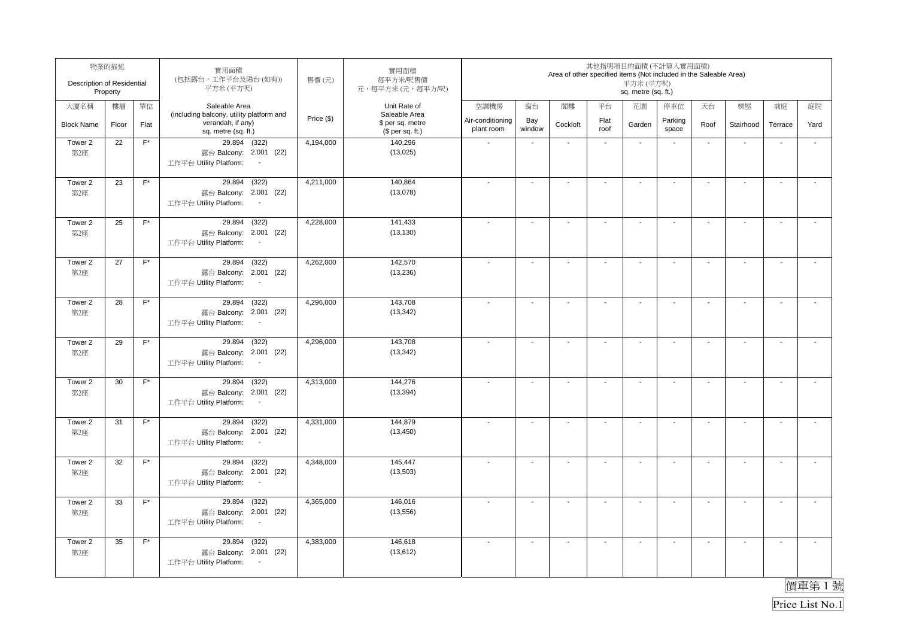| Description of Residential | 物業的描述<br>Property |                    | 實用面積<br>(包括露台,工作平台及陽台(如有))<br>平方米(平方呎)                                                          | 售價(元)      | 實用面積<br>每平方米/呎售價<br>元,每平方米(元,每平方/呎)                   |                                |                          | Area of other specified items (Not included in the Saleable Area) |                          | 其他指明項目的面積(不計算入實用面積)<br>平方米 (平方呎)<br>sq. metre (sq. ft.) |                          |                          |                          |                          |                          |
|----------------------------|-------------------|--------------------|-------------------------------------------------------------------------------------------------|------------|-------------------------------------------------------|--------------------------------|--------------------------|-------------------------------------------------------------------|--------------------------|---------------------------------------------------------|--------------------------|--------------------------|--------------------------|--------------------------|--------------------------|
| 大廈名稱                       | 樓層                | 單位                 | Saleable Area                                                                                   |            | Unit Rate of                                          | 空調機房                           | 窗台                       | 閣樓                                                                | 平台                       | 花園                                                      | 停車位                      | 天台                       | 梯屋                       | 前庭                       | 庭院                       |
| <b>Block Name</b>          | Floor             | Flat               | (including balcony, utility platform and<br>verandah, if any)<br>sq. metre (sq. ft.)            | Price (\$) | Saleable Area<br>\$ per sq. metre<br>$$$ per sq. ft.) | Air-conditioning<br>plant room | Bay<br>window            | Cockloft                                                          | Flat<br>roof             | Garden                                                  | Parking<br>space         | Roof                     | Stairhood                | Terrace                  | Yard                     |
| Tower 2<br>第2座             | 22                | $F^*$              | 29.894 (322)<br>露台 Balcony: 2.001 (22)<br>工作平台 Utility Platform:<br>$\overline{\phantom{a}}$    | 4,194,000  | 140,296<br>(13,025)                                   |                                | $\blacksquare$           | $\blacksquare$                                                    | $\blacksquare$           | $\blacksquare$                                          | $\overline{\phantom{a}}$ | $\blacksquare$           | ÷,                       | $\overline{\phantom{a}}$ | ÷,                       |
| Tower 2<br>第2座             | 23                | $F^*$              | (322)<br>29.894<br>露台 Balcony: 2.001 (22)<br>工作平台 Utility Platform:<br>$\blacksquare$           | 4,211,000  | 140,864<br>(13,078)                                   |                                | $\blacksquare$           | $\blacksquare$                                                    | $\overline{\phantom{a}}$ | $\blacksquare$                                          | $\overline{\phantom{a}}$ | $\blacksquare$           | $\sim$                   | $\overline{\phantom{a}}$ | $\overline{a}$           |
| Tower 2<br>第2座             | 25                | $F^*$              | (322)<br>29.894<br>露台 Balcony: 2.001 (22)<br>工作平台 Utility Platform:                             | 4,228,000  | 141,433<br>(13, 130)                                  |                                | $\blacksquare$           | $\overline{\phantom{a}}$                                          | $\blacksquare$           | $\blacksquare$                                          | $\overline{\phantom{a}}$ | $\blacksquare$           | $\sim$                   | $\overline{\phantom{a}}$ | $\tilde{\phantom{a}}$    |
| Tower 2<br>第2座             | 27                | $F^*$              | 29.894<br>(322)<br>露台 Balcony: 2.001 (22)<br>工作平台 Utility Platform:<br>$\sim$                   | 4,262,000  | 142,570<br>(13, 236)                                  |                                | $\blacksquare$           | $\blacksquare$                                                    | $\overline{\phantom{a}}$ | $\overline{\phantom{a}}$                                | $\blacksquare$           | $\overline{\phantom{a}}$ | $\blacksquare$           | $\sim$                   | $\overline{\phantom{a}}$ |
| Tower 2<br>第2座             | 28                | $F^*$              | 29.894 (322)<br>露台 Balcony: 2.001 (22)<br>工作平台 Utility Platform:<br>$\sim$                      | 4,296,000  | 143,708<br>(13, 342)                                  |                                | $\blacksquare$           | $\blacksquare$                                                    | $\blacksquare$           | $\blacksquare$                                          | $\overline{\phantom{a}}$ | $\blacksquare$           | $\sim$                   | $\overline{\phantom{a}}$ | $\mathbf{r}$             |
| Tower 2<br>第2座             | 29                | $F^*$              | 29.894 (322)<br>露台 Balcony: 2.001 (22)<br>工作平台 Utility Platform:<br>$\sim$                      | 4,296,000  | 143,708<br>(13, 342)                                  |                                | $\overline{\phantom{a}}$ | $\blacksquare$                                                    | $\mathbf{r}$             | $\sim$                                                  | $\sim$                   | $\sim$                   | $\mathbf{r}$             | $\sim$                   | $\mathcal{L}$            |
| Tower 2<br>第2座             | 30                | $F^*$              | 29.894<br>(322)<br>露台 Balcony: 2.001 (22)<br>工作平台 Utility Platform:<br>$\sim$                   | 4,313,000  | 144,276<br>(13, 394)                                  | $\overline{\phantom{a}}$       | $\sim$                   | $\blacksquare$                                                    | $\mathbf{r}$             | $\sim$                                                  | $\sim$                   | $\sim$                   | $\sim$                   | $\blacksquare$           | $\mathbf{r}$             |
| Tower 2<br>第2座             | 31                | $\mathsf{F}^\star$ | 29.894 (322)<br>露台 Balcony: 2.001 (22)<br>工作平台 Utility Platform:<br>$\sim$                      | 4,331,000  | 144,879<br>(13, 450)                                  |                                | $\overline{\phantom{a}}$ | $\overline{\phantom{a}}$                                          | $\blacksquare$           | $\overline{\phantom{a}}$                                | $\overline{\phantom{a}}$ | $\overline{\phantom{a}}$ | $\overline{\phantom{a}}$ | $\blacksquare$           | $\tilde{\phantom{a}}$    |
| Tower 2<br>第2座             | 32                | $F^*$              | 29.894<br>(322)<br>露台 Balcony: 2.001 (22)<br>工作平台 Utility Platform:<br>$\sim$                   | 4,348,000  | 145,447<br>(13,503)                                   |                                | $\blacksquare$           | $\blacksquare$                                                    | $\blacksquare$           | $\blacksquare$                                          | $\overline{\phantom{a}}$ | $\blacksquare$           | $\mathbf{r}$             | $\overline{\phantom{a}}$ | $\tilde{\phantom{a}}$    |
| Tower 2<br>第2座             | 33                | $F^*$              | (322)<br>29.894<br>露台 Balcony: 2.001 (22)<br>工作平台 Utility Platform:<br>$\overline{\phantom{a}}$ | 4,365,000  | 146,016<br>(13, 556)                                  |                                | ä,                       | $\sim$                                                            | $\mathbf{r}$             | $\sim$                                                  | $\blacksquare$           | $\sim$                   | $\sim$                   | L.                       | $\tilde{\phantom{a}}$    |
| Tower 2<br>第2座             | 35                | $F^*$              | (322)<br>29.894<br>露台 Balcony: 2.001 (22)<br>工作平台 Utility Platform:<br>$\sim$                   | 4,383,000  | 146,618<br>(13, 612)                                  |                                | $\blacksquare$           | $\overline{\phantom{a}}$                                          | $\overline{\phantom{a}}$ | $\blacksquare$                                          | $\overline{\phantom{a}}$ | $\blacksquare$           | $\blacksquare$           | $\blacksquare$           | $\overline{\phantom{a}}$ |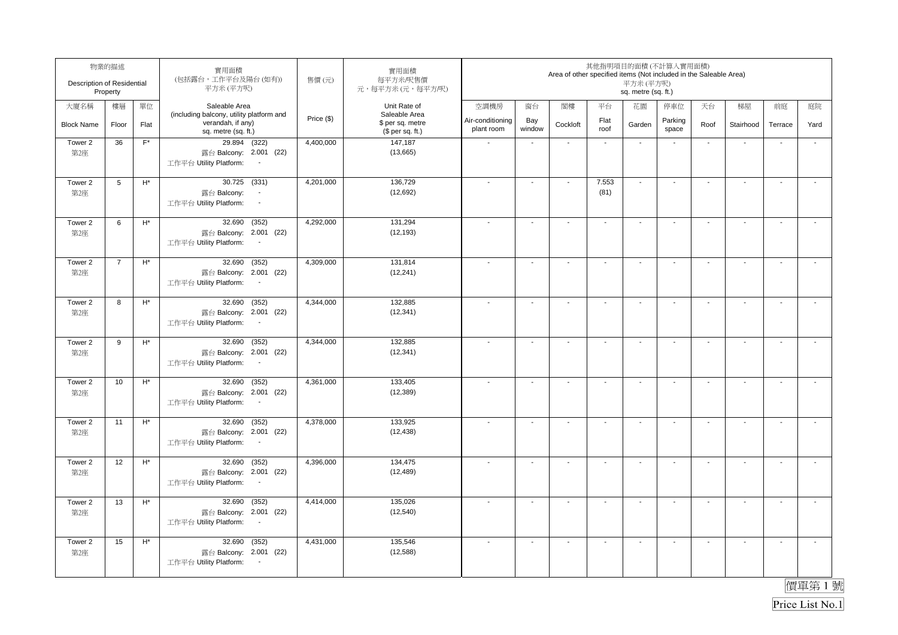| Description of Residential | 物業的描述<br>Property |                    | 實用面積<br>(包括露台,工作平台及陽台(如有))<br>平方米(平方呎)                                                          | 售價(元)      | 實用面積<br>每平方米/呎售價<br>元,每平方米(元,每平方/呎)                   |                                |                          | Area of other specified items (Not included in the Saleable Area) |                          | 其他指明項目的面積(不計算入實用面積)<br>平方米 (平方呎)<br>sq. metre (sq. ft.) |                          |                          |                          |                          |                          |
|----------------------------|-------------------|--------------------|-------------------------------------------------------------------------------------------------|------------|-------------------------------------------------------|--------------------------------|--------------------------|-------------------------------------------------------------------|--------------------------|---------------------------------------------------------|--------------------------|--------------------------|--------------------------|--------------------------|--------------------------|
| 大廈名稱                       | 樓層                | 單位                 | Saleable Area                                                                                   |            | Unit Rate of                                          | 空調機房                           | 窗台                       | 閣樓                                                                | 平台                       | 花園                                                      | 停車位                      | 天台                       | 梯屋                       | 前庭                       | 庭院                       |
| <b>Block Name</b>          | Floor             | Flat               | (including balcony, utility platform and<br>verandah, if any)<br>sq. metre (sq. ft.)            | Price (\$) | Saleable Area<br>\$ per sq. metre<br>$$$ per sq. ft.) | Air-conditioning<br>plant room | Bay<br>window            | Cockloft                                                          | Flat<br>roof             | Garden                                                  | Parking<br>space         | Roof                     | Stairhood                | Terrace                  | Yard                     |
| Tower 2<br>第2座             | 36                | $F^*$              | 29.894 (322)<br>露台 Balcony: 2.001 (22)<br>工作平台 Utility Platform:<br>$\overline{\phantom{a}}$    | 4,400,000  | 147,187<br>(13,665)                                   |                                | $\blacksquare$           | $\blacksquare$                                                    | $\blacksquare$           | $\blacksquare$                                          | $\overline{\phantom{a}}$ | $\blacksquare$           | ÷,                       | $\overline{\phantom{a}}$ | ÷,                       |
| Tower 2<br>第2座             | $5\phantom{.0}$   | $\mathsf{H}^*$     | 30.725 (331)<br>露台 Balcony:<br>$\overline{\phantom{a}}$<br>工作平台 Utility Platform:<br>$\sim$     | 4,201,000  | 136,729<br>(12, 692)                                  |                                | $\blacksquare$           | $\blacksquare$                                                    | 7.553<br>(81)            | $\blacksquare$                                          | $\overline{\phantom{a}}$ | $\blacksquare$           | $\sim$                   | $\overline{\phantom{a}}$ | $\overline{a}$           |
| Tower 2<br>第2座             | 6                 | $\mathsf{H}^*$     | (352)<br>32.690<br>露台 Balcony: 2.001 (22)<br>工作平台 Utility Platform:                             | 4,292,000  | 131.294<br>(12, 193)                                  |                                | $\blacksquare$           | $\overline{a}$                                                    | $\blacksquare$           | $\blacksquare$                                          | $\overline{\phantom{a}}$ | $\blacksquare$           | $\blacksquare$           | $\overline{\phantom{a}}$ | $\tilde{\phantom{a}}$    |
| Tower 2<br>第2座             | $\overline{7}$    | $\mathsf{H}^*$     | 32.690<br>(352)<br>露台 Balcony: 2.001 (22)<br>工作平台 Utility Platform:<br>$\sim$                   | 4,309,000  | 131,814<br>(12, 241)                                  |                                | $\blacksquare$           | $\blacksquare$                                                    | $\overline{\phantom{a}}$ | $\overline{\phantom{a}}$                                | $\blacksquare$           | $\overline{\phantom{a}}$ | $\blacksquare$           | $\sim$                   | $\overline{\phantom{a}}$ |
| Tower 2<br>第2座             | 8                 | $\mathsf{H}^*$     | 32.690<br>(352)<br>露台 Balcony: 2.001 (22)<br>工作平台 Utility Platform:<br>$\sim$                   | 4,344,000  | 132,885<br>(12, 341)                                  |                                | $\blacksquare$           | $\blacksquare$                                                    | $\blacksquare$           | $\blacksquare$                                          | $\blacksquare$           | $\blacksquare$           | $\mathbf{r}$             | $\overline{\phantom{a}}$ | $\mathbf{r}$             |
| Tower 2<br>第2座             | $\boldsymbol{9}$  | $\mathsf{H}^*$     | 32.690<br>(352)<br>露台 Balcony: 2.001 (22)<br>工作平台 Utility Platform:<br>$\sim$                   | 4,344,000  | 132,885<br>(12, 341)                                  |                                | $\overline{\phantom{a}}$ | $\blacksquare$                                                    | $\mathbf{r}$             | $\sim$                                                  | $\sim$                   | $\sim$                   | $\mathbf{r}$             | $\sim$                   | $\mathcal{L}$            |
| Tower 2<br>第2座             | 10                | $\mathsf{H}^*$     | 32.690<br>(352)<br>露台 Balcony: 2.001 (22)<br>工作平台 Utility Platform:<br>$\sim$                   | 4,361,000  | 133,405<br>(12, 389)                                  | $\overline{\phantom{a}}$       | $\sim$                   | $\blacksquare$                                                    | $\mathbf{r}$             | $\sim$                                                  | $\sim$                   | $\sim$                   | $\sim$                   | $\blacksquare$           | $\mathbf{r}$             |
| Tower 2<br>第2座             | 11                | $\mathsf{H}^\star$ | 32.690<br>(352)<br>露台 Balcony: 2.001 (22)<br>工作平台 Utility Platform:<br>$\sim$                   | 4,378,000  | 133,925<br>(12, 438)                                  |                                | $\overline{\phantom{a}}$ | $\overline{\phantom{a}}$                                          | $\blacksquare$           | $\overline{\phantom{a}}$                                | $\overline{\phantom{a}}$ | $\overline{\phantom{a}}$ | $\overline{\phantom{a}}$ | $\blacksquare$           | $\tilde{\phantom{a}}$    |
| Tower 2<br>第2座             | 12                | $\mathsf{H}^*$     | 32.690<br>(352)<br>露台 Balcony: 2.001 (22)<br>工作平台 Utility Platform:<br>$\sim$                   | 4,396,000  | 134,475<br>(12, 489)                                  |                                | $\overline{a}$           | $\blacksquare$                                                    | $\blacksquare$           | $\blacksquare$                                          | $\overline{\phantom{a}}$ | $\blacksquare$           | $\mathbf{r}$             | $\overline{\phantom{a}}$ | $\tilde{\phantom{a}}$    |
| Tower 2<br>第2座             | 13                | $H^*$              | (352)<br>32.690<br>露台 Balcony: 2.001 (22)<br>工作平台 Utility Platform:<br>$\overline{\phantom{a}}$ | 4,414,000  | 135.026<br>(12, 540)                                  |                                | ä,                       | $\sim$                                                            | $\mathbf{r}$             | $\sim$                                                  | $\blacksquare$           | $\sim$                   | $\sim$                   | L.                       | $\tilde{\phantom{a}}$    |
| Tower 2<br>第2座             | 15                | $H^*$              | (352)<br>32.690<br>露台 Balcony: 2.001 (22)<br>工作平台 Utility Platform:<br>$\sim$                   | 4,431,000  | 135,546<br>(12,588)                                   |                                | $\blacksquare$           | $\overline{\phantom{a}}$                                          | $\overline{\phantom{a}}$ | $\blacksquare$                                          | $\overline{\phantom{a}}$ | $\blacksquare$           | $\blacksquare$           | $\blacksquare$           | $\overline{\phantom{a}}$ |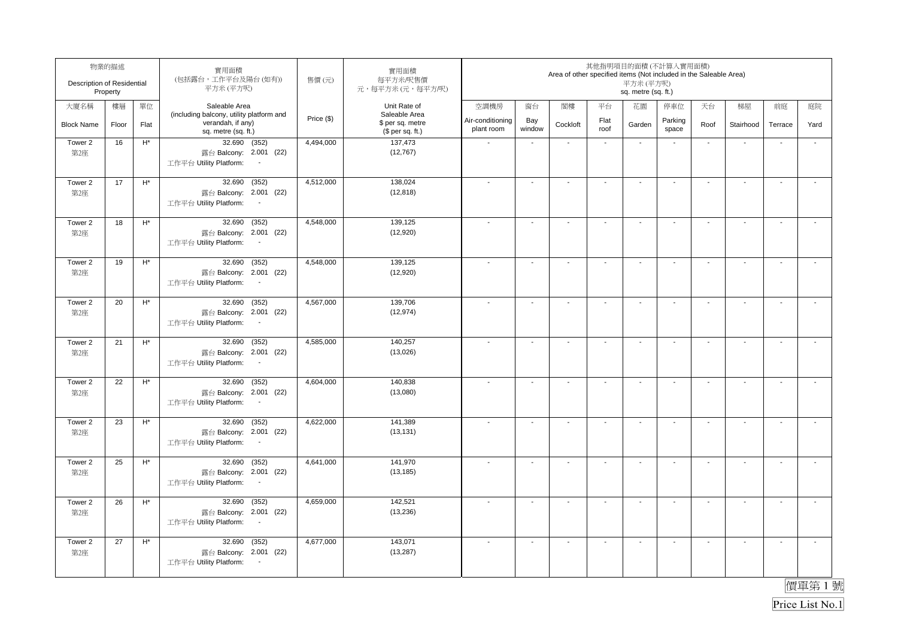| Description of Residential | 物業的描述<br>Property |                    | 實用面積<br>(包括露台,工作平台及陽台(如有))<br>平方米(平方呎)                                                          | 售價(元)      | 實用面積<br>每平方米/呎售價<br>元,每平方米(元,每平方/呎)                   |                                |                          | Area of other specified items (Not included in the Saleable Area) |                          | 其他指明項目的面積(不計算入實用面積)<br>平方米 (平方呎)<br>sq. metre (sq. ft.) |                          |                          |                          |                          |                          |
|----------------------------|-------------------|--------------------|-------------------------------------------------------------------------------------------------|------------|-------------------------------------------------------|--------------------------------|--------------------------|-------------------------------------------------------------------|--------------------------|---------------------------------------------------------|--------------------------|--------------------------|--------------------------|--------------------------|--------------------------|
| 大廈名稱                       | 樓層                | 單位                 | Saleable Area                                                                                   |            | Unit Rate of                                          | 空調機房                           | 窗台                       | 閣樓                                                                | 平台                       | 花園                                                      | 停車位                      | 天台                       | 梯屋                       | 前庭                       | 庭院                       |
| <b>Block Name</b>          | Floor             | Flat               | (including balcony, utility platform and<br>verandah, if any)<br>sq. metre (sq. ft.)            | Price (\$) | Saleable Area<br>\$ per sq. metre<br>$$$ per sq. ft.) | Air-conditioning<br>plant room | Bay<br>window            | Cockloft                                                          | Flat<br>roof             | Garden                                                  | Parking<br>space         | Roof                     | Stairhood                | Terrace                  | Yard                     |
| Tower 2<br>第2座             | 16                | $H^*$              | 32.690 (352)<br>露台 Balcony: 2.001 (22)<br>工作平台 Utility Platform:<br>$\blacksquare$              | 4,494,000  | 137,473<br>(12, 767)                                  |                                | $\blacksquare$           | $\blacksquare$                                                    | $\blacksquare$           | $\blacksquare$                                          | $\overline{\phantom{a}}$ | $\blacksquare$           | ÷,                       | $\overline{\phantom{a}}$ | $\tilde{\phantom{a}}$    |
| Tower 2<br>第2座             | 17                | $\mathsf{H}^*$     | (352)<br>32.690<br>露台 Balcony: 2.001 (22)<br>工作平台 Utility Platform:<br>$\blacksquare$           | 4,512,000  | 138,024<br>(12, 818)                                  |                                | $\blacksquare$           | $\blacksquare$                                                    | $\overline{\phantom{a}}$ | $\blacksquare$                                          | $\overline{\phantom{a}}$ | $\blacksquare$           | $\sim$                   | $\overline{\phantom{a}}$ | $\overline{a}$           |
| Tower 2<br>第2座             | 18                | $\mathsf{H}^\star$ | (352)<br>32.690<br>露台 Balcony: 2.001 (22)<br>工作平台 Utility Platform:                             | 4,548,000  | 139,125<br>(12,920)                                   |                                | $\blacksquare$           | $\overline{\phantom{a}}$                                          | $\blacksquare$           | $\blacksquare$                                          | $\overline{\phantom{a}}$ | $\blacksquare$           | $\blacksquare$           | $\overline{\phantom{a}}$ | $\tilde{\phantom{a}}$    |
| Tower 2<br>第2座             | 19                | $\mathsf{H}^*$     | 32.690<br>(352)<br>露台 Balcony: 2.001 (22)<br>工作平台 Utility Platform:<br>$\sim$                   | 4,548,000  | 139,125<br>(12,920)                                   |                                | $\blacksquare$           | $\blacksquare$                                                    | $\overline{\phantom{a}}$ | $\overline{\phantom{a}}$                                | $\blacksquare$           | $\overline{\phantom{a}}$ | $\blacksquare$           | $\sim$                   | $\overline{\phantom{a}}$ |
| Tower 2<br>第2座             | 20                | $\mathsf{H}^*$     | 32.690<br>(352)<br>露台 Balcony: 2.001 (22)<br>工作平台 Utility Platform:<br>$\sim$                   | 4,567,000  | 139,706<br>(12, 974)                                  |                                | $\blacksquare$           | $\blacksquare$                                                    | $\blacksquare$           | $\blacksquare$                                          | $\blacksquare$           | $\blacksquare$           | $\mathbf{r}$             | $\overline{\phantom{a}}$ | $\mathbf{r}$             |
| Tower 2<br>第2座             | 21                | $\mathsf{H}^*$     | 32.690<br>(352)<br>露台 Balcony: 2.001 (22)<br>工作平台 Utility Platform:<br>$\sim$                   | 4,585,000  | 140,257<br>(13,026)                                   |                                | $\overline{\phantom{a}}$ | $\blacksquare$                                                    | $\mathbf{r}$             | $\sim$                                                  | $\sim$                   | $\sim$                   | $\mathbf{r}$             | $\sim$                   | $\mathbf{r}$             |
| Tower 2<br>第2座             | 22                | $\mathsf{H}^*$     | 32.690<br>(352)<br>露台 Balcony: 2.001 (22)<br>工作平台 Utility Platform:<br>$\sim$                   | 4,604,000  | 140,838<br>(13,080)                                   |                                | $\sim$                   | $\blacksquare$                                                    | $\mathbf{r}$             | $\sim$                                                  | $\sim$                   | $\sim$                   | $\sim$                   | $\blacksquare$           | $\mathbf{r}$             |
| Tower 2<br>第2座             | 23                | $H^*$              | 32.690<br>(352)<br>露台 Balcony: 2.001 (22)<br>工作平台 Utility Platform:<br>$\sim$                   | 4,622,000  | 141,389<br>(13, 131)                                  |                                | $\overline{\phantom{a}}$ | $\overline{\phantom{a}}$                                          | $\blacksquare$           | $\overline{\phantom{a}}$                                | $\overline{\phantom{a}}$ | $\overline{\phantom{a}}$ | $\overline{\phantom{a}}$ | $\blacksquare$           | $\tilde{\phantom{a}}$    |
| Tower 2<br>第2座             | 25                | $\mathsf{H}^*$     | 32.690<br>(352)<br>露台 Balcony: 2.001 (22)<br>工作平台 Utility Platform:<br>$\sim$                   | 4,641,000  | 141,970<br>(13, 185)                                  |                                | $\blacksquare$           | $\blacksquare$                                                    | $\blacksquare$           | $\blacksquare$                                          | $\overline{\phantom{a}}$ | $\blacksquare$           | $\mathbf{r}$             | $\overline{\phantom{a}}$ | $\tilde{\phantom{a}}$    |
| Tower 2<br>第2座             | 26                | $H^*$              | (352)<br>32.690<br>露台 Balcony: 2.001 (22)<br>工作平台 Utility Platform:<br>$\overline{\phantom{a}}$ | 4,659,000  | 142.521<br>(13, 236)                                  |                                | ä,                       | $\sim$                                                            | $\mathbf{r}$             | $\sim$                                                  | $\blacksquare$           | $\sim$                   | $\sim$                   | L.                       | $\tilde{\phantom{a}}$    |
| Tower 2<br>第2座             | 27                | $H^*$              | (352)<br>32.690<br>露台 Balcony: 2.001 (22)<br>工作平台 Utility Platform:<br>$\sim$                   | 4,677,000  | 143,071<br>(13, 287)                                  |                                | $\blacksquare$           | $\overline{\phantom{a}}$                                          | $\overline{\phantom{a}}$ | $\blacksquare$                                          | $\overline{\phantom{a}}$ | $\blacksquare$           | $\blacksquare$           | $\blacksquare$           | $\overline{\phantom{a}}$ |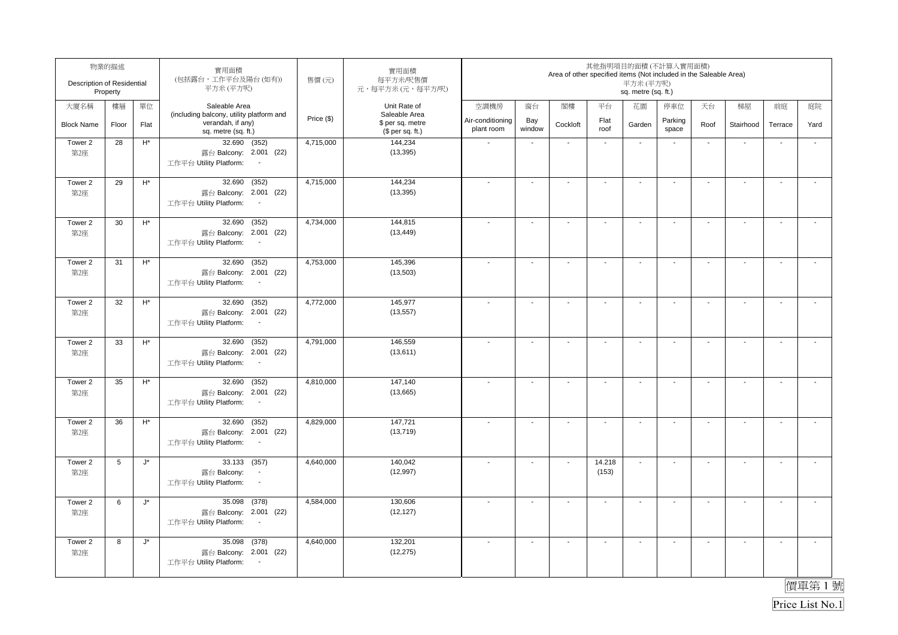| Description of Residential | 物業的描述<br>Property |                      | 實用面積<br>(包括露台,工作平台及陽台(如有))<br>平方米(平方呎)                                                          | 售價(元)      | 實用面積<br>每平方米/呎售價<br>元,每平方米(元,每平方/呎)                   |                                |                          | Area of other specified items (Not included in the Saleable Area) |                          | 平方米 (平方呎)<br>sq. metre (sq. ft.) | 其他指明項目的面積(不計算入實用面積)      |                          |                          |                          |                          |
|----------------------------|-------------------|----------------------|-------------------------------------------------------------------------------------------------|------------|-------------------------------------------------------|--------------------------------|--------------------------|-------------------------------------------------------------------|--------------------------|----------------------------------|--------------------------|--------------------------|--------------------------|--------------------------|--------------------------|
| 大廈名稱                       | 樓層                | 單位                   | Saleable Area                                                                                   |            | Unit Rate of                                          | 空調機房                           | 窗台                       | 閣樓                                                                | 平台                       | 花園                               | 停車位                      | 天台                       | 梯屋                       | 前庭                       | 庭院                       |
| <b>Block Name</b>          | Floor             | Flat                 | (including balcony, utility platform and<br>verandah, if any)<br>sq. metre (sq. ft.)            | Price (\$) | Saleable Area<br>\$ per sq. metre<br>(\$ per sq. ft.) | Air-conditioning<br>plant room | Bay<br>window            | Cockloft                                                          | Flat<br>roof             | Garden                           | Parking<br>space         | Roof                     | Stairhood                | Terrace                  | Yard                     |
| Tower 2<br>第2座             | 28                | $\mathsf{H}^\star$   | 32.690 (352)<br>露台 Balcony: 2.001 (22)<br>工作平台 Utility Platform:<br>$\overline{\phantom{a}}$    | 4,715,000  | 144,234<br>(13, 395)                                  |                                | $\blacksquare$           | $\blacksquare$                                                    | $\blacksquare$           | $\blacksquare$                   | $\overline{\phantom{a}}$ | $\blacksquare$           | ÷,                       | $\overline{\phantom{a}}$ | ÷,                       |
| Tower 2<br>第2座             | 29                | $\mathsf{H}^*$       | (352)<br>32.690<br>露台 Balcony: 2.001 (22)<br>工作平台 Utility Platform:<br>$\blacksquare$           | 4,715,000  | 144,234<br>(13, 395)                                  |                                | $\blacksquare$           | $\blacksquare$                                                    | $\overline{\phantom{a}}$ | $\blacksquare$                   | $\overline{\phantom{a}}$ | $\blacksquare$           | $\mathbf{r}$             | $\overline{\phantom{a}}$ | $\overline{a}$           |
| Tower 2<br>第2座             | 30                | $\mathsf{H}^*$       | (352)<br>32.690<br>露台 Balcony: 2.001 (22)<br>工作平台 Utility Platform:                             | 4,734,000  | 144,815<br>(13, 449)                                  |                                | $\blacksquare$           | $\overline{\phantom{a}}$                                          | $\blacksquare$           | $\blacksquare$                   | $\overline{\phantom{a}}$ | $\blacksquare$           | $\sim$                   | $\overline{\phantom{a}}$ | $\tilde{\phantom{a}}$    |
| Tower 2<br>第2座             | 31                | $\mathsf{H}^*$       | 32.690<br>(352)<br>露台 Balcony: 2.001 (22)<br>工作平台 Utility Platform:<br>$\sim$                   | 4,753,000  | 145,396<br>(13,503)                                   |                                | $\blacksquare$           | $\blacksquare$                                                    | $\overline{\phantom{a}}$ | $\overline{\phantom{a}}$         | $\blacksquare$           | $\overline{\phantom{a}}$ | $\blacksquare$           | $\sim$                   | $\overline{\phantom{a}}$ |
| Tower 2<br>第2座             | 32                | $\mathsf{H}^*$       | 32.690<br>(352)<br>露台 Balcony: 2.001 (22)<br>工作平台 Utility Platform:<br>$\sim$                   | 4,772,000  | 145,977<br>(13, 557)                                  |                                | $\blacksquare$           | $\blacksquare$                                                    | $\blacksquare$           | $\blacksquare$                   | $\blacksquare$           | $\blacksquare$           | $\mathbf{r}$             | $\overline{\phantom{a}}$ | $\mathbf{r}$             |
| Tower 2<br>第2座             | 33                | $\mathsf{H}^*$       | 32.690<br>(352)<br>露台 Balcony: 2.001 (22)<br>工作平台 Utility Platform:<br>$\sim$                   | 4,791,000  | 146,559<br>(13,611)                                   |                                | $\overline{\phantom{a}}$ | $\blacksquare$                                                    | $\mathbf{r}$             | $\sim$                           | $\sim$                   | $\sim$                   | $\mathbf{r}$             | $\sim$                   | $\mathbf{r}$             |
| Tower 2<br>第2座             | 35                | $\mathsf{H}^*$       | 32.690<br>(352)<br>露台 Balcony: 2.001 (22)<br>工作平台 Utility Platform:<br>$\sim$                   | 4,810,000  | 147,140<br>(13,665)                                   | $\overline{\phantom{a}}$       | $\sim$                   | $\blacksquare$                                                    | $\mathbf{r}$             | $\sim$                           | $\sim$                   | $\sim$                   | $\sim$                   | $\blacksquare$           | $\mathbf{r}$             |
| Tower 2<br>第2座             | 36                | $H^*$                | 32.690<br>(352)<br>露台 Balcony: 2.001 (22)<br>工作平台 Utility Platform:<br>$\sim$                   | 4,829,000  | 147,721<br>(13, 719)                                  |                                | $\overline{\phantom{a}}$ | $\blacksquare$                                                    | $\blacksquare$           | $\overline{\phantom{a}}$         | $\overline{\phantom{a}}$ | $\overline{\phantom{a}}$ | $\overline{\phantom{a}}$ | $\blacksquare$           | $\tilde{\phantom{a}}$    |
| Tower 2<br>第2座             | 5                 | $\mathsf{J}^\star$   | 33.133<br>(357)<br>露台 Balcony:<br>$\blacksquare$<br>工作平台 Utility Platform:<br>$\sim$            | 4,640,000  | 140,042<br>(12, 997)                                  |                                | $\blacksquare$           | $\blacksquare$                                                    | 14.218<br>(153)          | $\mathbf{r}$                     | $\blacksquare$           | $\blacksquare$           | $\mathbf{r}$             | $\overline{\phantom{a}}$ | $\tilde{\phantom{a}}$    |
| Tower 2<br>第2座             | 6                 | $\mathsf{J}^\star$   | (378)<br>35.098<br>露台 Balcony: 2.001 (22)<br>工作平台 Utility Platform:<br>$\overline{\phantom{a}}$ | 4,584,000  | 130.606<br>(12, 127)                                  |                                | L.                       | $\sim$                                                            | $\overline{a}$           | $\sim$                           | $\blacksquare$           | $\sim$                   | $\sim$                   | L.                       | $\tilde{\phantom{a}}$    |
| Tower 2<br>第2座             | 8                 | $\mathsf{J}^{\star}$ | (378)<br>35.098<br>露台 Balcony: 2.001 (22)<br>工作平台 Utility Platform:<br>$\sim$                   | 4,640,000  | 132,201<br>(12, 275)                                  |                                | $\blacksquare$           | $\overline{\phantom{a}}$                                          | $\overline{\phantom{a}}$ | $\blacksquare$                   | $\overline{\phantom{a}}$ | $\blacksquare$           | $\blacksquare$           | $\blacksquare$           | $\overline{\phantom{a}}$ |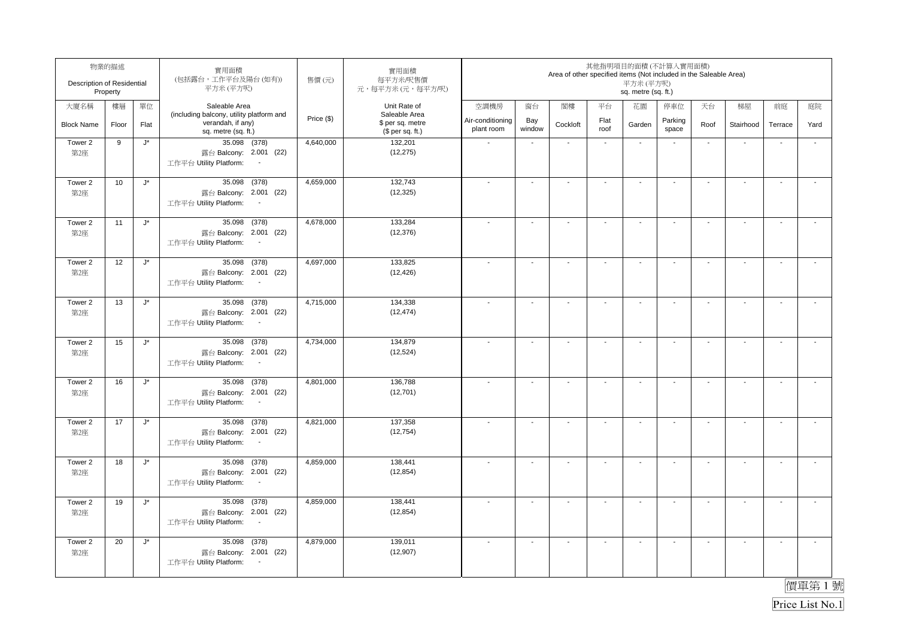| Description of Residential | 物業的描述<br>Property |                      | 實用面積<br>(包括露台,工作平台及陽台(如有))<br>平方米(平方呎)                                                          | 售價(元)      | 實用面積<br>每平方米/呎售價<br>元,每平方米(元,每平方/呎)                   |                                |                          | Area of other specified items (Not included in the Saleable Area) |                          | 其他指明項目的面積(不計算入實用面積)<br>平方米 (平方呎)<br>sq. metre (sq. ft.) |                          |                          |                          |                          |                          |
|----------------------------|-------------------|----------------------|-------------------------------------------------------------------------------------------------|------------|-------------------------------------------------------|--------------------------------|--------------------------|-------------------------------------------------------------------|--------------------------|---------------------------------------------------------|--------------------------|--------------------------|--------------------------|--------------------------|--------------------------|
| 大廈名稱                       | 樓層                | 單位                   | Saleable Area                                                                                   |            | Unit Rate of                                          | 空調機房                           | 窗台                       | 閣樓                                                                | 平台                       | 花園                                                      | 停車位                      | 天台                       | 梯屋                       | 前庭                       | 庭院                       |
| <b>Block Name</b>          | Floor             | Flat                 | (including balcony, utility platform and<br>verandah, if any)<br>sq. metre (sq. ft.)            | Price (\$) | Saleable Area<br>\$ per sq. metre<br>$$$ per sq. ft.) | Air-conditioning<br>plant room | Bay<br>window            | Cockloft                                                          | Flat<br>roof             | Garden                                                  | Parking<br>space         | Roof                     | Stairhood                | Terrace                  | Yard                     |
| Tower 2<br>第2座             | 9                 | $\mathsf{J}^{\star}$ | 35.098 (378)<br>露台 Balcony: 2.001 (22)<br>工作平台 Utility Platform:                                | 4,640,000  | 132,201<br>(12, 275)                                  |                                | $\blacksquare$           | $\blacksquare$                                                    | $\blacksquare$           | $\blacksquare$                                          | $\overline{\phantom{a}}$ | $\blacksquare$           | ÷,                       | $\overline{\phantom{a}}$ | ÷,                       |
| Tower 2<br>第2座             | 10                | $\mathsf{J}^\star$   | (378)<br>35.098<br>露台 Balcony: 2.001 (22)<br>工作平台 Utility Platform:<br>$\blacksquare$           | 4,659,000  | 132,743<br>(12, 325)                                  |                                | $\blacksquare$           | $\blacksquare$                                                    | $\overline{\phantom{a}}$ | $\blacksquare$                                          | $\overline{\phantom{a}}$ | $\blacksquare$           | $\sim$                   | $\overline{\phantom{a}}$ | $\overline{a}$           |
| Tower 2<br>第2座             | 11                | $\mathsf{J}^\star$   | 35.098<br>(378)<br>露台 Balcony: 2.001 (22)<br>工作平台 Utility Platform:                             | 4,678,000  | 133.284<br>(12, 376)                                  |                                | $\blacksquare$           | $\overline{\phantom{a}}$                                          | $\blacksquare$           | $\blacksquare$                                          | $\overline{\phantom{a}}$ | $\blacksquare$           | $\blacksquare$           | $\overline{\phantom{a}}$ | $\tilde{\phantom{a}}$    |
| Tower 2<br>第2座             | 12                | $\mathsf{J}^\star$   | 35.098 (378)<br>露台 Balcony: 2.001 (22)<br>工作平台 Utility Platform:<br>$\sim$                      | 4,697,000  | 133,825<br>(12, 426)                                  |                                | $\blacksquare$           | $\blacksquare$                                                    | $\overline{\phantom{a}}$ | $\overline{\phantom{a}}$                                | $\blacksquare$           | $\overline{\phantom{a}}$ | $\blacksquare$           | $\sim$                   | $\overline{\phantom{a}}$ |
| Tower 2<br>第2座             | 13                | $J^*$                | 35.098 (378)<br>露台 Balcony: 2.001 (22)<br>工作平台 Utility Platform:<br>$\sim$                      | 4,715,000  | 134,338<br>(12, 474)                                  |                                | $\blacksquare$           | $\blacksquare$                                                    | $\blacksquare$           | $\blacksquare$                                          | $\blacksquare$           | $\blacksquare$           | $\mathbf{r}$             | $\overline{\phantom{a}}$ | $\mathbf{r}$             |
| Tower 2<br>第2座             | 15                | $\mathsf{J}^\star$   | 35.098<br>(378)<br>露台 Balcony: 2.001 (22)<br>工作平台 Utility Platform:<br>$\sim$                   | 4,734,000  | 134,879<br>(12, 524)                                  |                                | $\overline{\phantom{a}}$ | $\blacksquare$                                                    | $\mathbf{r}$             | $\sim$                                                  | $\sim$                   | $\sim$                   | $\mathbf{r}$             | $\sim$                   | $\mathbf{r}$             |
| Tower 2<br>第2座             | 16                | $\mathsf{J}^\star$   | 35.098 (378)<br>露台 Balcony: 2.001 (22)<br>工作平台 Utility Platform:<br>$\sim$                      | 4,801,000  | 136,788<br>(12,701)                                   |                                | $\sim$                   | $\blacksquare$                                                    | $\mathbf{r}$             | $\sim$                                                  | $\sim$                   | $\sim$                   | $\sim$                   | $\blacksquare$           | $\mathbf{r}$             |
| Tower 2<br>第2座             | 17                | $\mathsf{J}^{\star}$ | 35.098<br>(378)<br>露台 Balcony: 2.001 (22)<br>工作平台 Utility Platform:<br>$\sim$                   | 4,821,000  | 137,358<br>(12, 754)                                  |                                | $\overline{\phantom{a}}$ | $\overline{\phantom{a}}$                                          | $\blacksquare$           | $\overline{\phantom{a}}$                                | $\overline{\phantom{a}}$ | $\overline{\phantom{a}}$ | $\overline{\phantom{a}}$ | $\blacksquare$           | $\tilde{\phantom{a}}$    |
| Tower 2<br>第2座             | 18                | $\mathsf{J}^\star$   | 35.098<br>(378)<br>露台 Balcony: 2.001 (22)<br>工作平台 Utility Platform:<br>$\sim$                   | 4,859,000  | 138,441<br>(12, 854)                                  |                                | $\blacksquare$           | $\blacksquare$                                                    | $\blacksquare$           | $\blacksquare$                                          | $\overline{\phantom{a}}$ | $\blacksquare$           | $\mathbf{r}$             | $\overline{\phantom{a}}$ | $\tilde{\phantom{a}}$    |
| Tower 2<br>第2座             | 19                | $\mathsf{J}^\star$   | (378)<br>35.098<br>露台 Balcony: 2.001 (22)<br>工作平台 Utility Platform:<br>$\overline{\phantom{a}}$ | 4,859,000  | 138,441<br>(12, 854)                                  |                                | L.                       | $\sim$                                                            | $\mathbf{r}$             | $\sim$                                                  | $\blacksquare$           | $\sim$                   | $\sim$                   | L.                       | $\tilde{\phantom{a}}$    |
| Tower 2<br>第2座             | 20                | $\mathsf{J}^{\star}$ | (378)<br>35.098<br>露台 Balcony: 2.001 (22)<br>工作平台 Utility Platform:<br>$\sim$                   | 4,879,000  | 139,011<br>(12, 907)                                  |                                | $\blacksquare$           | $\overline{\phantom{a}}$                                          | $\overline{\phantom{a}}$ | $\blacksquare$                                          | $\overline{\phantom{a}}$ | $\blacksquare$           | $\blacksquare$           | $\blacksquare$           | $\overline{\phantom{a}}$ |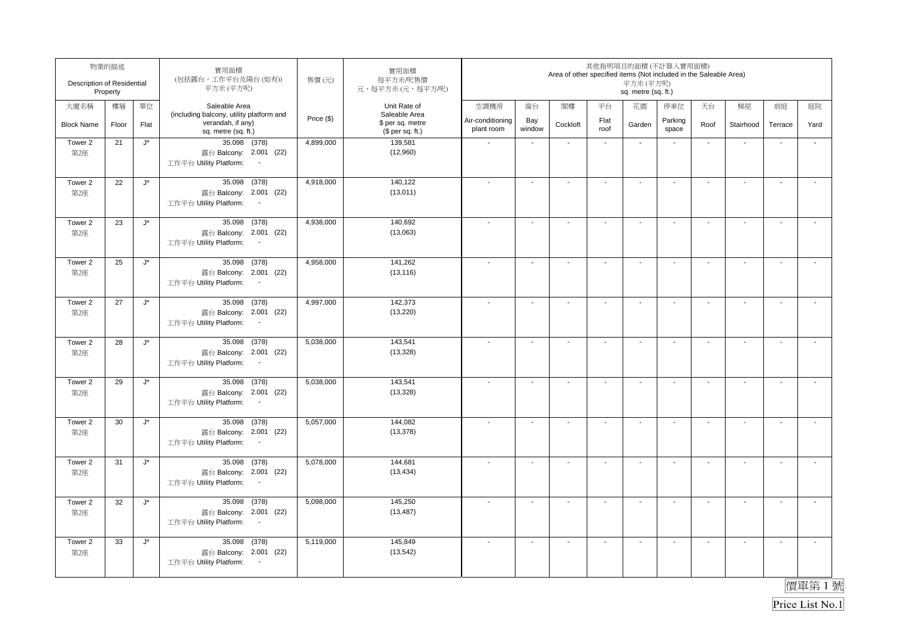| Description of Residential | 物業的描述<br>Property |                      | 實用面積<br>(包括露台,工作平台及陽台(如有))<br>平方米(平方呎)                                                          | 售價(元)      | 實用面積<br>每平方米/呎售價<br>元,每平方米(元,每平方/呎)                   |                                |                          | Area of other specified items (Not included in the Saleable Area) |                          | 其他指明項目的面積(不計算入實用面積)<br>平方米(平方呎)<br>sq. metre (sq. ft.) |                          |                          |                |                          |                          |
|----------------------------|-------------------|----------------------|-------------------------------------------------------------------------------------------------|------------|-------------------------------------------------------|--------------------------------|--------------------------|-------------------------------------------------------------------|--------------------------|--------------------------------------------------------|--------------------------|--------------------------|----------------|--------------------------|--------------------------|
| 大廈名稱                       | 樓層                | 單位                   | Saleable Area                                                                                   |            | Unit Rate of                                          | 空調機房                           | 窗台                       | 閣樓                                                                | 平台                       | 花園                                                     | 停車位                      | 天台                       | 梯屋             | 前庭                       | 庭院                       |
| <b>Block Name</b>          | Floor             | Flat                 | (including balcony, utility platform and<br>verandah, if any)<br>sq. metre (sq. ft.)            | Price (\$) | Saleable Area<br>\$ per sq. metre<br>$$$ per sq. ft.) | Air-conditioning<br>plant room | Bay<br>window            | Cockloft                                                          | Flat<br>roof             | Garden                                                 | Parking<br>space         | Roof                     | Stairhood      | Terrace                  | Yard                     |
| Tower 2<br>第2座             | 21                | $\mathsf{J}^{\star}$ | $35.098$ (378)<br>露台 Balcony: 2.001 (22)<br>工作平台 Utility Platform:                              | 4,899,000  | 139,581<br>(12,960)                                   |                                | $\blacksquare$           | $\overline{\phantom{a}}$                                          | $\blacksquare$           | $\blacksquare$                                         |                          | $\blacksquare$           | $\blacksquare$ |                          | $\blacksquare$           |
| Tower 2<br>第2座             | 22                | $\mathsf{J}^\star$   | (378)<br>35.098<br>露台 Balcony: 2.001 (22)<br>工作平台 Utility Platform:<br>$\sim$                   | 4,918,000  | 140,122<br>(13,011)                                   |                                | $\overline{\phantom{a}}$ | $\overline{a}$                                                    |                          | $\blacksquare$                                         |                          | $\blacksquare$           | $\mathbf{r}$   | $\sim$                   | $\sim$                   |
| Tower 2<br>第2座             | 23                | $\mathsf{J}^\star$   | (378)<br>35.098<br>露台 Balcony: 2.001 (22)<br>工作平台 Utility Platform:<br>$\overline{\phantom{a}}$ | 4,938,000  | 140,692<br>(13,063)                                   |                                | $\blacksquare$           | $\overline{\phantom{a}}$                                          | $\overline{\phantom{a}}$ | $\blacksquare$                                         |                          | $\blacksquare$           | $\sim$         | $\blacksquare$           | $\sim$                   |
| Tower 2<br>第2座             | 25                | $\mathsf{J}^\star$   | 35.098 (378)<br>露台 Balcony: 2.001 (22)<br>工作平台 Utility Platform:<br>$\sim$                      | 4,958,000  | 141,262<br>(13, 116)                                  |                                | $\ddot{\phantom{a}}$     | $\sim$                                                            | $\mathbf{r}$             | $\ddot{\phantom{a}}$                                   | $\mathbf{r}$             | $\sim$                   | $\mathbf{r}$   | $\overline{\phantom{a}}$ | $\mathcal{L}$            |
| Tower 2<br>第2座             | 27                | $J^*$                | 35.098 (378)<br>露台 Balcony: 2.001 (22)<br>工作平台 Utility Platform:<br>$\sim$                      | 4,997,000  | 142,373<br>(13, 220)                                  | $\overline{\phantom{a}}$       | $\overline{\phantom{a}}$ | $\overline{\phantom{a}}$                                          | $\sim$                   | $\overline{\phantom{a}}$                               | $\blacksquare$           | $\overline{\phantom{a}}$ | $\sim$         | $\blacksquare$           | $\sim$                   |
| Tower 2<br>第2座             | 28                | $\mathsf{J}^\star$   | 35.098 (378)<br>露台 Balcony: 2.001 (22)<br>工作平台 Utility Platform:<br>$\sim$                      | 5,038,000  | 143,541<br>(13, 328)                                  |                                | $\sim$                   | $\blacksquare$                                                    | $\mathbf{r}$             | $\sim$                                                 | $\mathbf{r}$             | $\sim$                   | $\sim$         | L.                       | $\overline{\phantom{a}}$ |
| Tower 2<br>第2座             | 29                | $\mathsf{J}^\star$   | 35.098 (378)<br>露台 Balcony: 2.001 (22)<br>工作平台 Utility Platform:<br>$\sim$                      | 5,038,000  | 143,541<br>(13, 328)                                  | $\overline{\phantom{a}}$       | $\ddot{\phantom{a}}$     | $\ddot{\phantom{a}}$                                              | $\overline{a}$           | $\sim$                                                 | $\mathbf{r}$             | $\sim$                   | $\sim$         | $\overline{\phantom{a}}$ | $\mathcal{L}$            |
| Tower 2<br>第2座             | 30                | J*                   | 35.098<br>(378)<br>露台 Balcony: 2.001 (22)<br>工作平台 Utility Platform:<br>$\sim$                   | 5,057,000  | 144,082<br>(13, 378)                                  |                                | $\blacksquare$           | $\blacksquare$                                                    | $\blacksquare$           | $\blacksquare$                                         | $\blacksquare$           | $\blacksquare$           | $\blacksquare$ | $\blacksquare$           | $\overline{\phantom{a}}$ |
| Tower 2<br>第2座             | 31                | $\mathsf{J}^\star$   | 35.098 (378)<br>露台 Balcony: 2.001 (22)<br>工作平台 Utility Platform:<br>$\sim$                      | 5,078,000  | 144,681<br>(13, 434)                                  | $\overline{\phantom{a}}$       | $\sim$                   | $\blacksquare$                                                    | $\blacksquare$           | $\sim$                                                 | $\overline{\phantom{a}}$ | $\blacksquare$           | $\mathbf{r}$   | $\blacksquare$           | $\tilde{\phantom{a}}$    |
| Tower 2<br>第2座             | 32                | $\mathsf{J}^\star$   | (378)<br>35.098<br>露台 Balcony: 2.001 (22)<br>工作平台 Utility Platform:<br>$\overline{\phantom{a}}$ | 5,098,000  | 145,250<br>(13, 487)                                  |                                | $\sim$                   | $\overline{\phantom{a}}$                                          | $\mathbf{r}$             | $\overline{\phantom{a}}$                               | $\sim$                   | $\overline{\phantom{a}}$ | $\sim$         | $\sim$                   | $\overline{\phantom{a}}$ |
| Tower 2<br>第2座             | 33                | $\mathsf{J}^{\star}$ | (378)<br>35.098<br>露台 Balcony: 2.001 (22)<br>工作平台 Utility Platform:<br>$\sim$                   | 5,119,000  | 145,849<br>(13, 542)                                  |                                | $\blacksquare$           | $\overline{\phantom{a}}$                                          | $\overline{\phantom{a}}$ | $\blacksquare$                                         | $\overline{\phantom{a}}$ | $\blacksquare$           | $\blacksquare$ | $\blacksquare$           | $\overline{\phantom{a}}$ |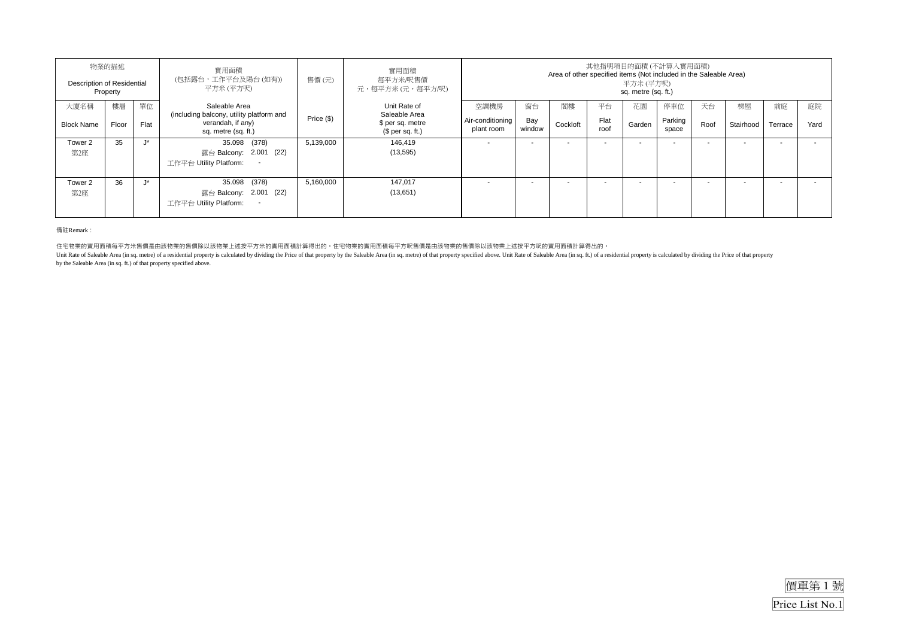|                   | 物業的描述<br>Description of Residential<br>Property |          | 實用面積<br>(包括露台,工作平台及陽台(如有))<br>平方米(平方呎)                    | 售價(元)      | 實用面積<br>每平方米/呎售價<br>元,每平方米(元,每平方/呎)  | 其他指明項目的面積(不計算入實用面積)<br>Area of other specified items (Not included in the Saleable Area)<br>平方米 (平方呎)<br>sq. metre (sq. ft.) |                          |          |              |                          |                  |      |                          |         |      |
|-------------------|-------------------------------------------------|----------|-----------------------------------------------------------|------------|--------------------------------------|------------------------------------------------------------------------------------------------------------------------------|--------------------------|----------|--------------|--------------------------|------------------|------|--------------------------|---------|------|
| 大廈名稱              | 樓層                                              | 單位       | Saleable Area<br>(including balcony, utility platform and |            | Unit Rate of<br>Saleable Area        | 空調機房                                                                                                                         | 窗台                       | 閣樓       | 平台           | 花園                       | 停車位              | 天台   | 梯屋                       | 前庭      | 庭院   |
| <b>Block Name</b> | Floor                                           | Flat     | verandah, if any)<br>sq. metre (sq. ft.)                  | Price (\$) | \$ per sq. metre<br>$$$ per sq. ft.) | Air-conditioning<br>plant room                                                                                               | Bay<br>window            | Cockloft | Flat<br>roof | Garden                   | Parking<br>space | Roof | Stairhood                | Terrace | Yard |
| Tower 2           | 35                                              | $1\star$ | 35.098 (378)                                              | 5,139,000  | 146.419                              |                                                                                                                              | $\sim$                   |          | $\sim$       | . .                      | -                |      | . .                      | ۰.      |      |
| 第2座               |                                                 |          | 露台 Balcony: 2.001 (22)                                    |            | (13, 595)                            |                                                                                                                              |                          |          |              |                          |                  |      |                          |         |      |
|                   |                                                 |          | 工作平台 Utility Platform:<br>$\sim$                          |            |                                      |                                                                                                                              |                          |          |              |                          |                  |      |                          |         |      |
| Tower 2           | 36                                              | $1*$     | 35.098 (378)                                              | 5,160,000  | 147,017                              |                                                                                                                              | $\overline{\phantom{a}}$ |          |              | $\overline{\phantom{a}}$ |                  |      | $\overline{\phantom{a}}$ |         |      |
| 第2座               |                                                 |          | 露台 Balcony: 2.001 (22)                                    |            | (13,651)                             |                                                                                                                              |                          |          |              |                          |                  |      |                          |         |      |
|                   |                                                 |          | 工作平台 Utility Platform:<br>$\overline{\phantom{a}}$        |            |                                      |                                                                                                                              |                          |          |              |                          |                  |      |                          |         |      |

備註Remark:

住宅物業的實用面積每平方米售價是由該物業的售價除以該物業上述按平方米的實用面積計算得出的。住宅物業的實用面積每平方呎售價是由該物業的售價除以該物業上述按平方呎的實用面積計算得出的。

Unit Rate of Saleable Area (in sq. metre) of a residential property is calculated by dividing the Price of that property by the Saleable Area (in sq. metre) of that property specified above. Unit Rate of Saleable Area (in by the Saleable Area (in sq. ft.) of that property specified above.

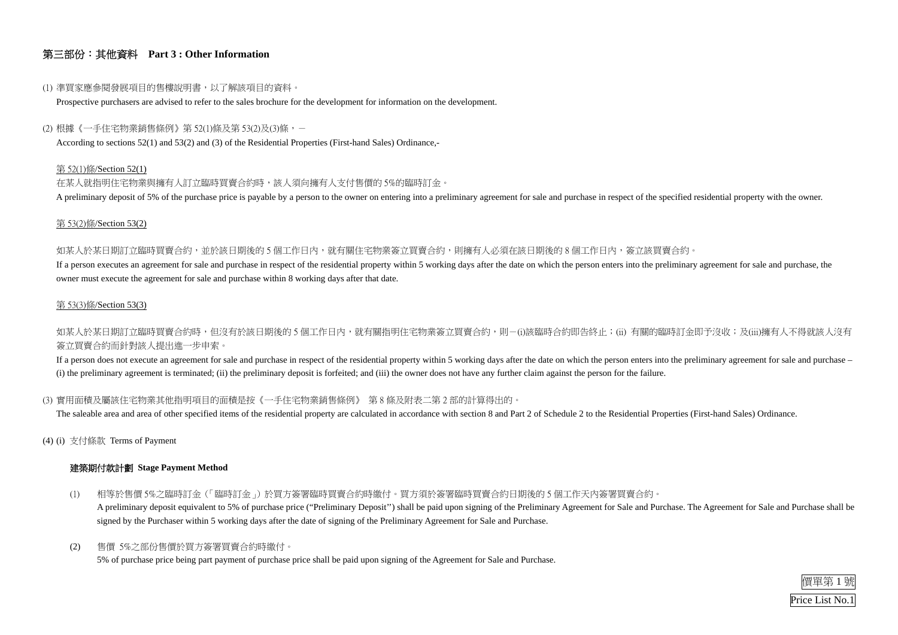

### 第三部份:其他資料 **Part 3 : Other Information**

#### (1) 準買家應參閱發展項目的售樓說明書,以了解該項目的資料。

Prospective purchasers are advised to refer to the sales brochure for the development for information on the development.

#### (2) 根據《一手住宅物業銷售條例》第 52(1)條及第 53(2)及(3)條,-

According to sections 52(1) and 53(2) and (3) of the Residential Properties (First-hand Sales) Ordinance,-

在某人就指明住宅物業與擁有人訂立臨時買賣合約時,該人須向擁有人支付售價的 5%的臨時訂金。 A preliminary deposit of 5% of the purchase price is payable by a person to the owner on entering into a preliminary agreement for sale and purchase in respect of the specified residential property with the owner.

#### 第 52(1)條/Section 52(1)

如某人於某日期訂立臨時買賣合約,並於該日期後的 5 個工作日內,就有關住宅物業簽立買賣合約,則擁有人必須在該日期後的 8 個工作日内,簽立該買賣合約。 If a person executes an agreement for sale and purchase in respect of the residential property within 5 working days after the date on which the person enters into the preliminary agreement for sale and purchase, the owner must execute the agreement for sale and purchase within 8 working days after that date.

如某人於某日期訂立臨時買賣合約時,但沒有於該日期後的 5 個工作日內,就有關指明住宅物業簽立買賣合約,則-(i)該臨時合約即告終止;(ii) 有關的臨時訂金即予沒收;及(iii)擁有人不得就該人沒有 簽立買賣合約而針對該人提出進一步申索。

#### 第 53(2)條/Section 53(2)

If a person does not execute an agreement for sale and purchase in respect of the residential property within 5 working days after the date on which the person enters into the preliminary agreement for sale and purchase – (i) the preliminary agreement is terminated; (ii) the preliminary deposit is forfeited; and (iii) the owner does not have any further claim against the person for the failure.

#### 第 53(3)條/Section 53(3)

#### (3) 實用面積及屬該住宅物業其他指明項目的面積是按《一手住宅物業銷售條例》 第 8 條及附表二第 2 部的計算得出的。

The saleable area and area of other specified items of the residential property are calculated in accordance with section 8 and Part 2 of Schedule 2 to the Residential Properties (First-hand Sales) Ordinance.

(4) (i) 支付條款 Terms of Payment

#### 建築期付款計劃 **Stage Payment Method**

- (1) 相等於售價 5%之臨時訂金(「臨時訂金」)於買方簽署臨時買賣合約時繳付。買方須於簽署臨時買賣合約日期後的 5 個工作天內簽署買賣合約。 A preliminary deposit equivalent to 5% of purchase price ("Preliminary Deposit'') shall be paid upon signing of the Preliminary Agreement for Sale and Purchase. The Agreement for Sale and Purchase shall be signed by the Purchaser within 5 working days after the date of signing of the Preliminary Agreement for Sale and Purchase.
- (2) 售價 5%之部份售價於買方簽署買賣合約時繳付。

5% of purchase price being part payment of purchase price shall be paid upon signing of the Agreement for Sale and Purchase.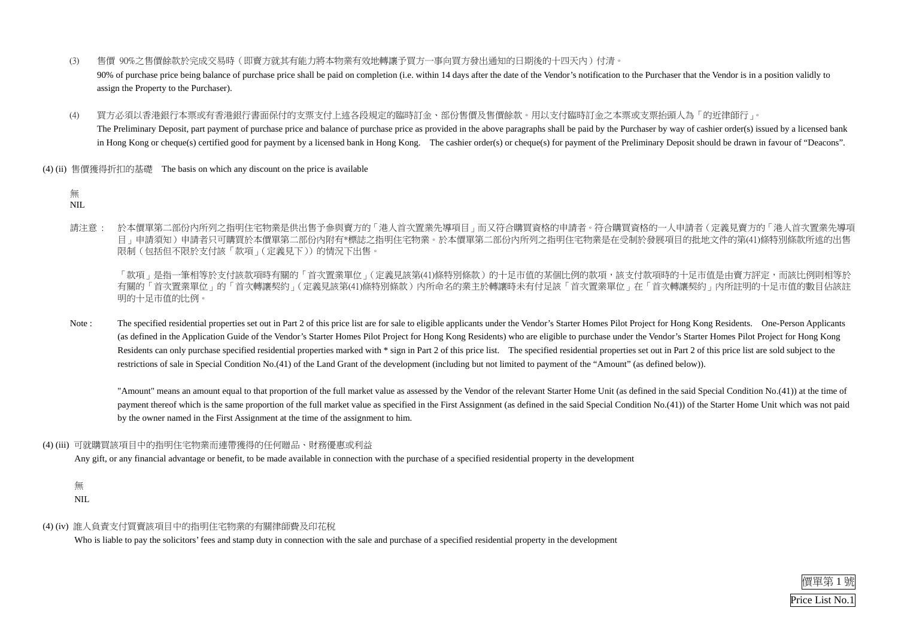

#### 無 NIL.

- (3) 售價 90%之售價餘款於完成交易時(即賣方就其有能力將本物業有效地轉讓予買方一事向買方發出通知的日期後的十四天內)付清。 90% of purchase price being balance of purchase price shall be paid on completion (i.e. within 14 days after the date of the Vendor's notification to the Purchaser that the Vendor is in a position validly to assign the Property to the Purchaser).
- (4) 買方必須以香港銀行本票或有香港銀行書面保付的支票支付上述各段規定的臨時訂金、部份售價及售價餘款。用以支付臨時訂金之本票或支票抬頭人為「的近律師行」。 The Preliminary Deposit, part payment of purchase price and balance of purchase price as provided in the above paragraphs shall be paid by the Purchaser by way of cashier order(s) issued by a licensed bank in Hong Kong or cheque(s) certified good for payment by a licensed bank in Hong Kong. The cashier order(s) or cheque(s) for payment of the Preliminary Deposit should be drawn in favour of "Deacons".
- (4) (ii) 售價獲得折扣的基礎 The basis on which any discount on the price is available

「款項」是指一筆相等於支付該款項時有關的「首次置業單位」(定義見該第(41)條特別條款)的十足市值的某個比例的款項,該支付款項時的十足市值是由賣方評定,而該比例則相等於 有關的「首次置業單位」的「首次轉讓契約」(定義見該第(41)條特別條款)內所命名的業主於轉讓時未有付足該「首次置業單位」在「首次轉讓契約」內所註明的十足市值的數目佔該註 明的十足市值的比例。

請注意 : 於本價單第二部份內所列之指明住宅物業是供出售予參與賣方的「港人首次置業先導項目」而又符合購買資格的申請者。符合購買資格的一人申請者(定義見賣方的「港人首次置業先導項 目」申請須知)申請者只可購買於本價單第二部份內附有\*標誌之指明住宅物業。於本價單第二部份內所列之指明住宅物業是在受制於發展項目的批地文件的第(41)條特別條款所述的出售 限制(包括但不限於支付該「款項」(定義見下))的情況下出售。

Note : The specified residential properties set out in Part 2 of this price list are for sale to eligible applicants under the Vendor's Starter Homes Pilot Project for Hong Kong Residents. One-Person Applicants (as defined in the Application Guide of the Vendor's Starter Homes Pilot Project for Hong Kong Residents) who are eligible to purchase under the Vendor's Starter Homes Pilot Project for Hong Kong Residents can only purchase specified residential properties marked with \* sign in Part 2 of this price list. The specified residential properties set out in Part 2 of this price list are sold subject to the restrictions of sale in Special Condition No.(41) of the Land Grant of the development (including but not limited to payment of the "Amount" (as defined below)).

 "Amount" means an amount equal to that proportion of the full market value as assessed by the Vendor of the relevant Starter Home Unit (as defined in the said Special Condition No.(41)) at the time of payment thereof which is the same proportion of the full market value as specified in the First Assignment (as defined in the said Special Condition No.(41)) of the Starter Home Unit which was not paid by the owner named in the First Assignment at the time of the assignment to him.

#### (4) (iii) 可就購買該項目中的指明住宅物業而連帶獲得的任何贈品、財務優惠或利益

Any gift, or any financial advantage or benefit, to be made available in connection with the purchase of a specified residential property in the development

# 無

NIL

#### (4) (iv) 誰人負責支付買賣該項目中的指明住宅物業的有關律師費及印花稅

Who is liable to pay the solicitors' fees and stamp duty in connection with the sale and purchase of a specified residential property in the development